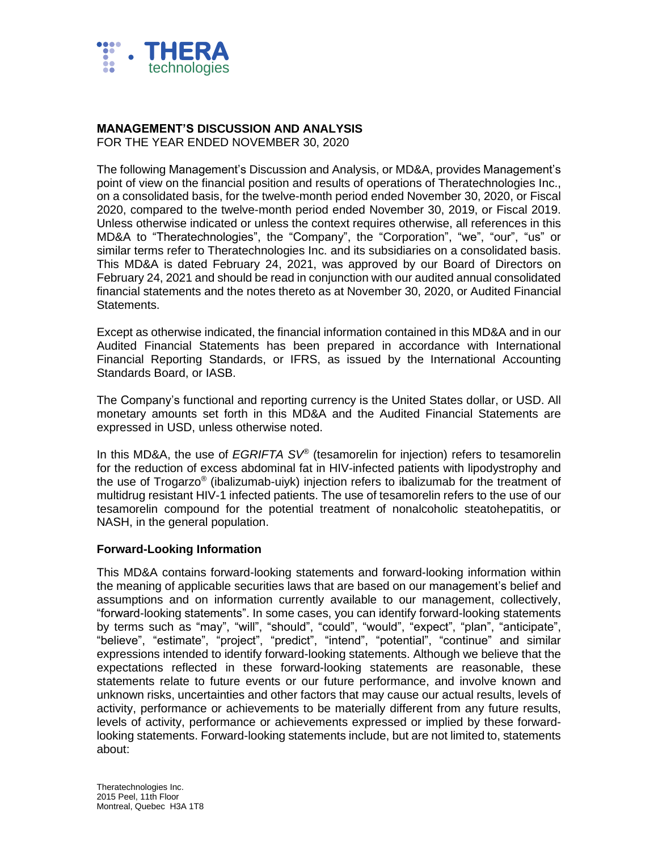

# **MANAGEMENT'S DISCUSSION AND ANALYSIS**

FOR THE YEAR ENDED NOVEMBER 30, 2020

The following Management's Discussion and Analysis, or MD&A, provides Management's point of view on the financial position and results of operations of Theratechnologies Inc., on a consolidated basis, for the twelve-month period ended November 30, 2020, or Fiscal 2020, compared to the twelve-month period ended November 30, 2019, or Fiscal 2019. Unless otherwise indicated or unless the context requires otherwise, all references in this MD&A to "Theratechnologies", the "Company", the "Corporation", "we", "our", "us" or similar terms refer to Theratechnologies Inc. and its subsidiaries on a consolidated basis. This MD&A is dated February 24, 2021, was approved by our Board of Directors on February 24, 2021 and should be read in conjunction with our audited annual consolidated financial statements and the notes thereto as at November 30, 2020, or Audited Financial Statements.

Except as otherwise indicated, the financial information contained in this MD&A and in our Audited Financial Statements has been prepared in accordance with International Financial Reporting Standards, or IFRS, as issued by the International Accounting Standards Board, or IASB.

The Company's functional and reporting currency is the United States dollar, or USD. All monetary amounts set forth in this MD&A and the Audited Financial Statements are expressed in USD, unless otherwise noted.

In this MD&A, the use of *EGRIFTA SV*® (tesamorelin for injection) refers to tesamorelin for the reduction of excess abdominal fat in HIV-infected patients with lipodystrophy and the use of Trogarzo® (ibalizumab-uiyk) injection refers to ibalizumab for the treatment of multidrug resistant HIV-1 infected patients. The use of tesamorelin refers to the use of our tesamorelin compound for the potential treatment of nonalcoholic steatohepatitis, or NASH, in the general population.

# **Forward-Looking Information**

This MD&A contains forward-looking statements and forward-looking information within the meaning of applicable securities laws that are based on our management's belief and assumptions and on information currently available to our management, collectively, "forward-looking statements". In some cases, you can identify forward-looking statements by terms such as "may", "will", "should", "could", "would", "expect", "plan", "anticipate", "believe", "estimate", "project", "predict", "intend", "potential", "continue" and similar expressions intended to identify forward-looking statements. Although we believe that the expectations reflected in these forward-looking statements are reasonable, these statements relate to future events or our future performance, and involve known and unknown risks, uncertainties and other factors that may cause our actual results, levels of activity, performance or achievements to be materially different from any future results, levels of activity, performance or achievements expressed or implied by these forwardlooking statements. Forward-looking statements include, but are not limited to, statements about: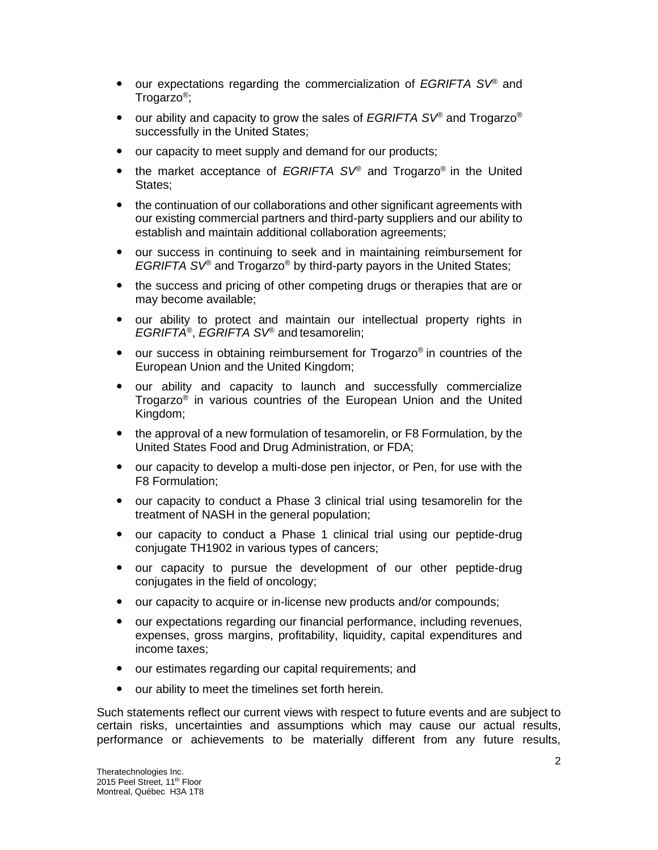- our expectations regarding the commercialization of *EGRIFTA SV*® and Trogarzo® ;
- our ability and capacity to grow the sales of *EGRIFTA SV*<sup>®</sup> and Trogarzo<sup>®</sup> successfully in the United States;
- our capacity to meet supply and demand for our products;
- the market acceptance of *EGRIFTA SV*® and Trogarzo® in the United States:
- the continuation of our collaborations and other significant agreements with our existing commercial partners and third-party suppliers and our ability to establish and maintain additional collaboration agreements;
- our success in continuing to seek and in maintaining reimbursement for *EGRIFTA SV*® and Trogarzo® by third-party payors in the United States;
- the success and pricing of other competing drugs or therapies that are or may become available;
- our ability to protect and maintain our intellectual property rights in *EGRIFTA*® , *EGRIFTA SV*® and tesamorelin;
- our success in obtaining reimbursement for Trogarzo<sup>®</sup> in countries of the European Union and the United Kingdom;
- our ability and capacity to launch and successfully commercialize Trogarzo® in various countries of the European Union and the United Kingdom;
- the approval of a new formulation of tesamorelin, or F8 Formulation, by the United States Food and Drug Administration, or FDA;
- our capacity to develop a multi-dose pen injector, or Pen, for use with the F8 Formulation;
- our capacity to conduct a Phase 3 clinical trial using tesamorelin for the treatment of NASH in the general population;
- our capacity to conduct a Phase 1 clinical trial using our peptide-drug conjugate TH1902 in various types of cancers;
- our capacity to pursue the development of our other peptide-drug conjugates in the field of oncology;
- our capacity to acquire or in-license new products and/or compounds;
- our expectations regarding our financial performance, including revenues, expenses, gross margins, profitability, liquidity, capital expenditures and income taxes;
- our estimates regarding our capital requirements; and
- our ability to meet the timelines set forth herein.

Such statements reflect our current views with respect to future events and are subject to certain risks, uncertainties and assumptions which may cause our actual results, performance or achievements to be materially different from any future results,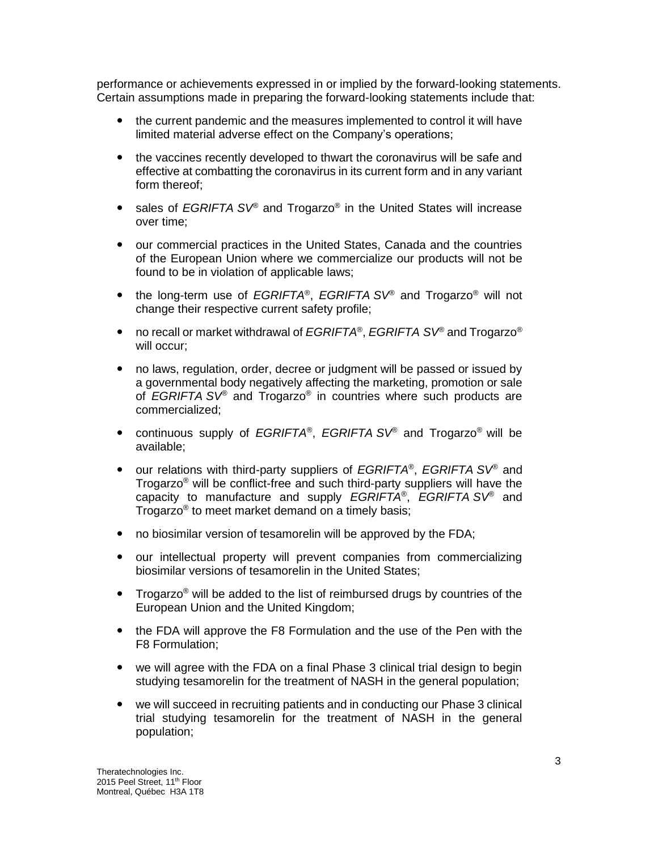performance or achievements expressed in or implied by the forward-looking statements. Certain assumptions made in preparing the forward-looking statements include that:

- the current pandemic and the measures implemented to control it will have limited material adverse effect on the Company's operations;
- the vaccines recently developed to thwart the coronavirus will be safe and effective at combatting the coronavirus in its current form and in any variant form thereof;
- sales of *EGRIFTA* SV<sup>®</sup> and Trogarzo<sup>®</sup> in the United States will increase over time;
- our commercial practices in the United States, Canada and the countries of the European Union where we commercialize our products will not be found to be in violation of applicable laws;
- the long-term use of *EGRIFTA*® , *EGRIFTA SV*® and Trogarzo® will not change their respective current safety profile;
- no recall or market withdrawal of *EGRIFTA*® , *EGRIFTA SV*® and Trogarzo® will occur;
- no laws, regulation, order, decree or judgment will be passed or issued by a governmental body negatively affecting the marketing, promotion or sale of *EGRIFTA SV*® and Trogarzo® in countries where such products are commercialized;
- continuous supply of *EGRIFTA*® , *EGRIFTA SV*® and Trogarzo® will be available;
- our relations with third-party suppliers of *EGRIFTA*<sup>®</sup>, *EGRIFTA* SV<sup>®</sup> and Trogarzo® will be conflict-free and such third-party suppliers will have the capacity to manufacture and supply *EGRIFTA*® , *EGRIFTA SV*® and Trogarzo® to meet market demand on a timely basis;
- no biosimilar version of tesamorelin will be approved by the FDA;
- our intellectual property will prevent companies from commercializing biosimilar versions of tesamorelin in the United States;
- Trogarzo<sup>®</sup> will be added to the list of reimbursed drugs by countries of the European Union and the United Kingdom;
- the FDA will approve the F8 Formulation and the use of the Pen with the F8 Formulation;
- we will agree with the FDA on a final Phase 3 clinical trial design to begin studying tesamorelin for the treatment of NASH in the general population;
- we will succeed in recruiting patients and in conducting our Phase 3 clinical trial studying tesamorelin for the treatment of NASH in the general population;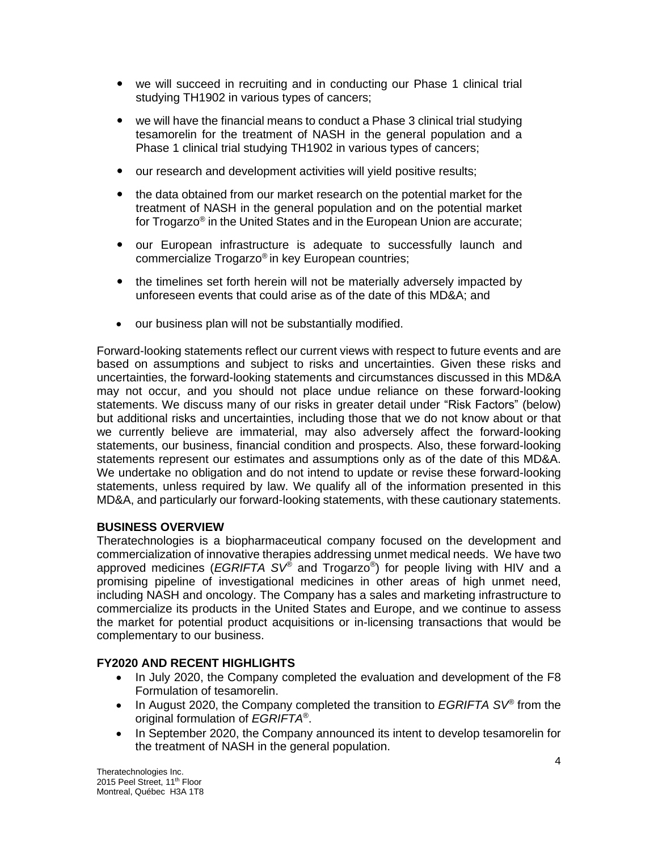- we will succeed in recruiting and in conducting our Phase 1 clinical trial studying TH1902 in various types of cancers;
- we will have the financial means to conduct a Phase 3 clinical trial studying tesamorelin for the treatment of NASH in the general population and a Phase 1 clinical trial studying TH1902 in various types of cancers;
- our research and development activities will yield positive results;
- the data obtained from our market research on the potential market for the treatment of NASH in the general population and on the potential market for Trogarzo® in the United States and in the European Union are accurate;
- our European infrastructure is adequate to successfully launch and commercialize Trogarzo® in key European countries;
- the timelines set forth herein will not be materially adversely impacted by unforeseen events that could arise as of the date of this MD&A; and
- our business plan will not be substantially modified.

Forward-looking statements reflect our current views with respect to future events and are based on assumptions and subject to risks and uncertainties. Given these risks and uncertainties, the forward-looking statements and circumstances discussed in this MD&A may not occur, and you should not place undue reliance on these forward-looking statements. We discuss many of our risks in greater detail under "Risk Factors" (below) but additional risks and uncertainties, including those that we do not know about or that we currently believe are immaterial, may also adversely affect the forward-looking statements, our business, financial condition and prospects. Also, these forward-looking statements represent our estimates and assumptions only as of the date of this MD&A. We undertake no obligation and do not intend to update or revise these forward-looking statements, unless required by law. We qualify all of the information presented in this MD&A, and particularly our forward-looking statements, with these cautionary statements.

# **BUSINESS OVERVIEW**

Theratechnologies is a biopharmaceutical company focused on the development and commercialization of innovative therapies addressing unmet medical needs. We have two approved medicines (*EGRIFTA SV®* and Trogarzo*®* ) for people living with HIV and a promising pipeline of investigational medicines in other areas of high unmet need, including NASH and oncology. The Company has a sales and marketing infrastructure to commercialize its products in the United States and Europe, and we continue to assess the market for potential product acquisitions or in-licensing transactions that would be complementary to our business.

# **FY2020 AND RECENT HIGHLIGHTS**

- In July 2020, the Company completed the evaluation and development of the F8 Formulation of tesamorelin.
- In August 2020, the Company completed the transition to *EGRIFTA SV®* from the original formulation of *EGRIFTA®* .
- In September 2020, the Company announced its intent to develop tesamorelin for the treatment of NASH in the general population.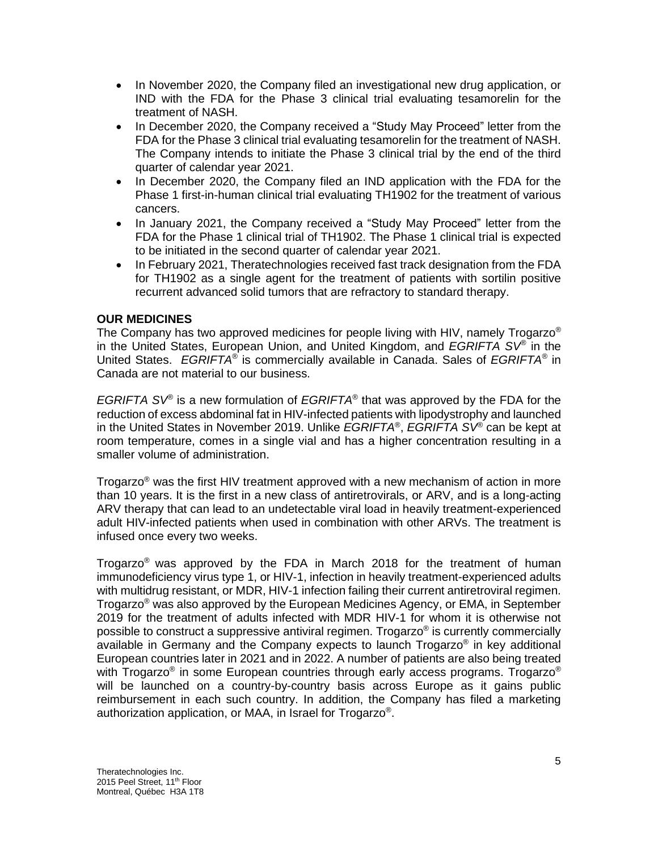- In November 2020, the Company filed an investigational new drug application, or IND with the FDA for the Phase 3 clinical trial evaluating tesamorelin for the treatment of NASH.
- In December 2020, the Company received a "Study May Proceed" letter from the FDA for the Phase 3 clinical trial evaluating tesamorelin for the treatment of NASH. The Company intends to initiate the Phase 3 clinical trial by the end of the third quarter of calendar year 2021.
- In December 2020, the Company filed an IND application with the FDA for the Phase 1 first-in-human clinical trial evaluating TH1902 for the treatment of various cancers.
- In January 2021, the Company received a "Study May Proceed" letter from the FDA for the Phase 1 clinical trial of TH1902. The Phase 1 clinical trial is expected to be initiated in the second quarter of calendar year 2021.
- In February 2021, Theratechnologies received fast track designation from the FDA for TH1902 as a single agent for the treatment of patients with sortilin positive recurrent advanced solid tumors that are refractory to standard therapy.

# **OUR MEDICINES**

The Company has two approved medicines for people living with HIV, namely Trogarzo<sup>®</sup> in the United States, European Union, and United Kingdom, and *EGRIFTA SV®* in the United States. *EGRIFTA®* is commercially available in Canada. Sales of *EGRIFTA®* in Canada are not material to our business.

*EGRIFTA SV®* is a new formulation of *EGRIFTA®* that was approved by the FDA for the reduction of excess abdominal fat in HIV-infected patients with lipodystrophy and launched in the United States in November 2019. Unlike *EGRIFTA*® , *EGRIFTA SV*® can be kept at room temperature, comes in a single vial and has a higher concentration resulting in a smaller volume of administration.

Trogarzo® was the first HIV treatment approved with a new mechanism of action in more than 10 years. It is the first in a new class of antiretrovirals, or ARV, and is a long-acting ARV therapy that can lead to an undetectable viral load in heavily treatment-experienced adult HIV-infected patients when used in combination with other ARVs. The treatment is infused once every two weeks.

Trogarzo<sup>®</sup> was approved by the FDA in March 2018 for the treatment of human immunodeficiency virus type 1, or HIV-1, infection in heavily treatment-experienced adults with multidrug resistant, or MDR, HIV-1 infection failing their current antiretroviral regimen. Trogarzo® was also approved by the European Medicines Agency, or EMA, in September 2019 for the treatment of adults infected with MDR HIV-1 for whom it is otherwise not possible to construct a suppressive antiviral regimen. Trogarzo® is currently commercially available in Germany and the Company expects to launch Trogarzo® in key additional European countries later in 2021 and in 2022. A number of patients are also being treated with Trogarzo® in some European countries through early access programs. Trogarzo® will be launched on a country-by-country basis across Europe as it gains public reimbursement in each such country. In addition, the Company has filed a marketing authorization application, or MAA, in Israel for Trogarzo® .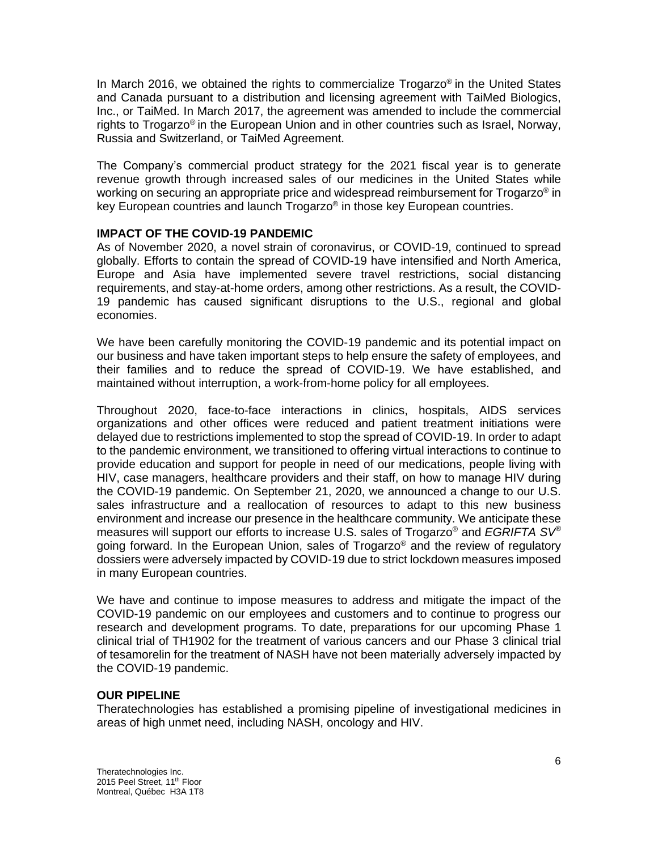In March 2016, we obtained the rights to commercialize Trogarzo® in the United States and Canada pursuant to a distribution and licensing agreement with TaiMed Biologics, Inc., or TaiMed. In March 2017, the agreement was amended to include the commercial rights to Trogarzo® in the European Union and in other countries such as Israel, Norway, Russia and Switzerland, or TaiMed Agreement.

The Company's commercial product strategy for the 2021 fiscal year is to generate revenue growth through increased sales of our medicines in the United States while working on securing an appropriate price and widespread reimbursement for  $\sf{T}$ rogarzo® in key European countries and launch Trogarzo® in those key European countries.

# **IMPACT OF THE COVID-19 PANDEMIC**

As of November 2020, a novel strain of coronavirus, or COVID-19, continued to spread globally. Efforts to contain the spread of COVID-19 have intensified and North America, Europe and Asia have implemented severe travel restrictions, social distancing requirements, and stay-at-home orders, among other restrictions. As a result, the COVID-19 pandemic has caused significant disruptions to the U.S., regional and global economies.

We have been carefully monitoring the COVID-19 pandemic and its potential impact on our business and have taken important steps to help ensure the safety of employees, and their families and to reduce the spread of COVID-19. We have established, and maintained without interruption, a work-from-home policy for all employees.

Throughout 2020, face-to-face interactions in clinics, hospitals, AIDS services organizations and other offices were reduced and patient treatment initiations were delayed due to restrictions implemented to stop the spread of COVID-19. In order to adapt to the pandemic environment, we transitioned to offering virtual interactions to continue to provide education and support for people in need of our medications, people living with HIV, case managers, healthcare providers and their staff, on how to manage HIV during the COVID-19 pandemic. On September 21, 2020, we announced a change to our U.S. sales infrastructure and a reallocation of resources to adapt to this new business environment and increase our presence in the healthcare community. We anticipate these measures will support our efforts to increase U.S. sales of Trogarzo® and *EGRIFTA SV®* going forward. In the European Union, sales of Trogarzo® and the review of regulatory dossiers were adversely impacted by COVID-19 due to strict lockdown measures imposed in many European countries.

We have and continue to impose measures to address and mitigate the impact of the COVID-19 pandemic on our employees and customers and to continue to progress our research and development programs. To date, preparations for our upcoming Phase 1 clinical trial of TH1902 for the treatment of various cancers and our Phase 3 clinical trial of tesamorelin for the treatment of NASH have not been materially adversely impacted by the COVID-19 pandemic.

# **OUR PIPELINE**

Theratechnologies has established a promising pipeline of investigational medicines in areas of high unmet need, including NASH, oncology and HIV.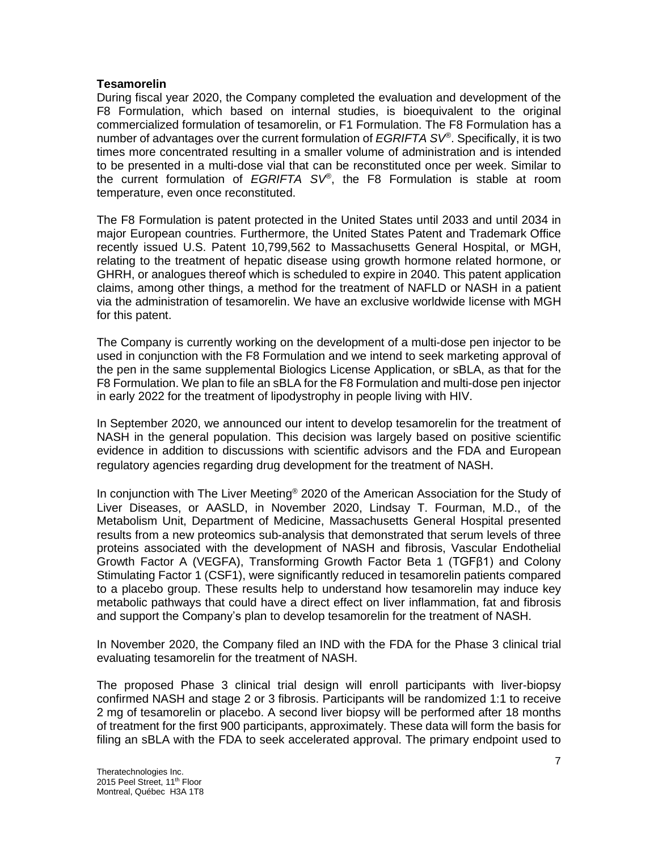## **Tesamorelin**

During fiscal year 2020, the Company completed the evaluation and development of the F8 Formulation, which based on internal studies, is bioequivalent to the original commercialized formulation of tesamorelin, or F1 Formulation. The F8 Formulation has a number of advantages over the current formulation of *EGRIFTA SV®* . Specifically, it is two times more concentrated resulting in a smaller volume of administration and is intended to be presented in a multi-dose vial that can be reconstituted once per week. Similar to the current formulation of *EGRIFTA SV®* , the F8 Formulation is stable at room temperature, even once reconstituted.

The F8 Formulation is patent protected in the United States until 2033 and until 2034 in major European countries. Furthermore, the United States Patent and Trademark Office recently issued U.S. Patent 10,799,562 to Massachusetts General Hospital, or MGH, relating to the treatment of hepatic disease using growth hormone related hormone, or GHRH, or analogues thereof which is scheduled to expire in 2040. This patent application claims, among other things, a method for the treatment of NAFLD or NASH in a patient via the administration of tesamorelin. We have an exclusive worldwide license with MGH for this patent.

The Company is currently working on the development of a multi-dose pen injector to be used in conjunction with the F8 Formulation and we intend to seek marketing approval of the pen in the same supplemental Biologics License Application, or sBLA, as that for the F8 Formulation. We plan to file an sBLA for the F8 Formulation and multi-dose pen injector in early 2022 for the treatment of lipodystrophy in people living with HIV.

In September 2020, we announced our intent to develop tesamorelin for the treatment of NASH in the general population. This decision was largely based on positive scientific evidence in addition to discussions with scientific advisors and the FDA and European regulatory agencies regarding drug development for the treatment of NASH.

In conjunction with The Liver Meeting<sup>®</sup> 2020 of the American Association for the Study of Liver Diseases, or AASLD, in November 2020, Lindsay T. Fourman, M.D., of the Metabolism Unit, Department of Medicine, Massachusetts General Hospital presented results from a new proteomics sub-analysis that demonstrated that serum levels of three proteins associated with the development of NASH and fibrosis, Vascular Endothelial Growth Factor A (VEGFA), Transforming Growth Factor Beta 1 (TGFβ1) and Colony Stimulating Factor 1 (CSF1), were significantly reduced in tesamorelin patients compared to a placebo group. These results help to understand how tesamorelin may induce key metabolic pathways that could have a direct effect on liver inflammation, fat and fibrosis and support the Company's plan to develop tesamorelin for the treatment of NASH.

In November 2020, the Company filed an IND with the FDA for the Phase 3 clinical trial evaluating tesamorelin for the treatment of NASH.

The proposed Phase 3 clinical trial design will enroll participants with liver-biopsy confirmed NASH and stage 2 or 3 fibrosis. Participants will be randomized 1:1 to receive 2 mg of tesamorelin or placebo. A second liver biopsy will be performed after 18 months of treatment for the first 900 participants, approximately. These data will form the basis for filing an sBLA with the FDA to seek accelerated approval. The primary endpoint used to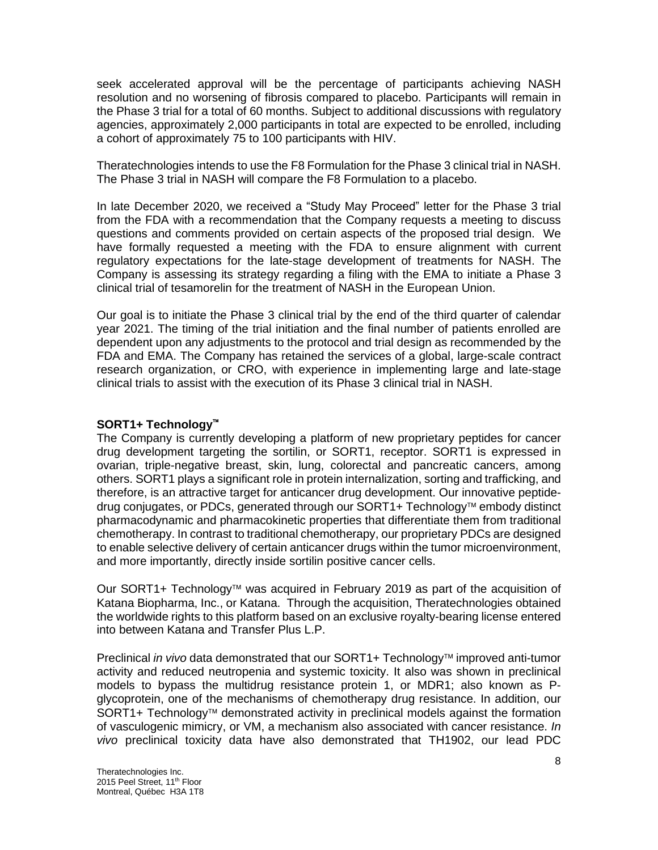seek accelerated approval will be the percentage of participants achieving NASH resolution and no worsening of fibrosis compared to placebo. Participants will remain in the Phase 3 trial for a total of 60 months. Subject to additional discussions with regulatory agencies, approximately 2,000 participants in total are expected to be enrolled, including a cohort of approximately 75 to 100 participants with HIV.

Theratechnologies intends to use the F8 Formulation for the Phase 3 clinical trial in NASH. The Phase 3 trial in NASH will compare the F8 Formulation to a placebo.

In late December 2020, we received a "Study May Proceed" letter for the Phase 3 trial from the FDA with a recommendation that the Company requests a meeting to discuss questions and comments provided on certain aspects of the proposed trial design. We have formally requested a meeting with the FDA to ensure alignment with current regulatory expectations for the late-stage development of treatments for NASH. The Company is assessing its strategy regarding a filing with the EMA to initiate a Phase 3 clinical trial of tesamorelin for the treatment of NASH in the European Union.

Our goal is to initiate the Phase 3 clinical trial by the end of the third quarter of calendar year 2021. The timing of the trial initiation and the final number of patients enrolled are dependent upon any adjustments to the protocol and trial design as recommended by the FDA and EMA. The Company has retained the services of a global, large-scale contract research organization, or CRO, with experience in implementing large and late-stage clinical trials to assist with the execution of its Phase 3 clinical trial in NASH.

# **SORT1+ Technology**

The Company is currently developing a platform of new proprietary peptides for cancer drug development targeting the sortilin, or SORT1, receptor. SORT1 is expressed in ovarian, triple-negative breast, skin, lung, colorectal and pancreatic cancers, among others. SORT1 plays a significant role in protein internalization, sorting and trafficking, and therefore, is an attractive target for anticancer drug development. Our innovative peptidedrug conjugates, or PDCs, generated through our SORT1+ Technology™ embody distinct pharmacodynamic and pharmacokinetic properties that differentiate them from traditional chemotherapy. In contrast to traditional chemotherapy, our proprietary PDCs are designed to enable selective delivery of certain anticancer drugs within the tumor microenvironment, and more importantly, directly inside sortilin positive cancer cells.

Our SORT1+ Technology<sup> $M$ </sup> was acquired in February 2019 as part of the acquisition of Katana Biopharma, Inc., or Katana. Through the acquisition, Theratechnologies obtained the worldwide rights to this platform based on an exclusive royalty-bearing license entered into between Katana and Transfer Plus L.P.

Preclinical *in vivo* data demonstrated that our SORT1+ Technology<sup>™</sup> improved anti-tumor activity and reduced neutropenia and systemic toxicity. It also was shown in preclinical models to bypass the multidrug resistance protein 1, or MDR1; also known as Pglycoprotein, one of the mechanisms of chemotherapy drug resistance. In addition, our SORT1+ Technology<sup> $M$ </sup> demonstrated activity in preclinical models against the formation of vasculogenic mimicry, or VM, a mechanism also associated with cancer resistance. *In vivo* preclinical toxicity data have also demonstrated that TH1902, our lead PDC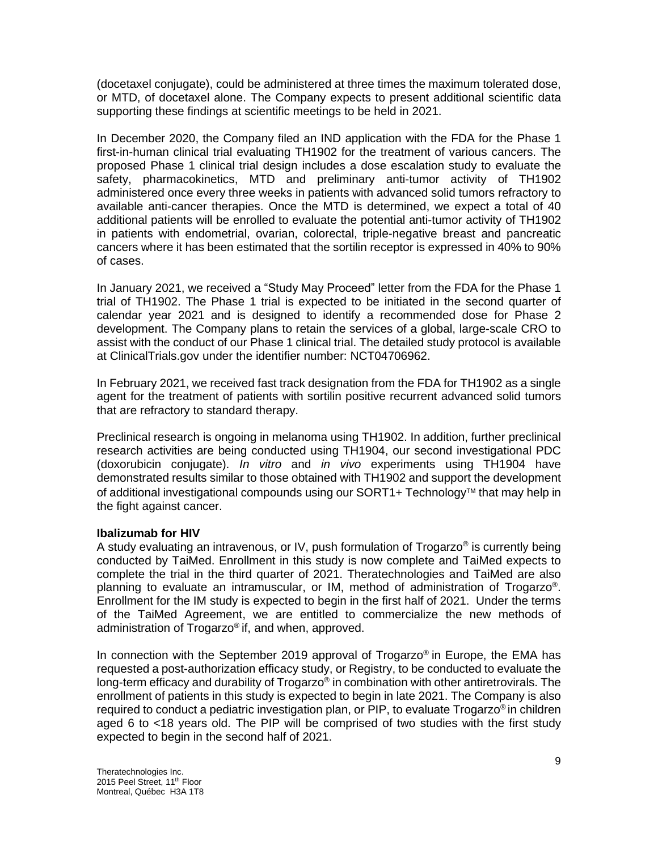(docetaxel conjugate), could be administered at three times the maximum tolerated dose, or MTD, of docetaxel alone. The Company expects to present additional scientific data supporting these findings at scientific meetings to be held in 2021.

In December 2020, the Company filed an IND application with the FDA for the Phase 1 first-in-human clinical trial evaluating TH1902 for the treatment of various cancers. The proposed Phase 1 clinical trial design includes a dose escalation study to evaluate the safety, pharmacokinetics, MTD and preliminary anti-tumor activity of TH1902 administered once every three weeks in patients with advanced solid tumors refractory to available anti-cancer therapies. Once the MTD is determined, we expect a total of 40 additional patients will be enrolled to evaluate the potential anti-tumor activity of TH1902 in patients with endometrial, ovarian, colorectal, triple-negative breast and pancreatic cancers where it has been estimated that the sortilin receptor is expressed in 40% to 90% of cases.

In January 2021, we received a "Study May Proceed" letter from the FDA for the Phase 1 trial of TH1902. The Phase 1 trial is expected to be initiated in the second quarter of calendar year 2021 and is designed to identify a recommended dose for Phase 2 development. The Company plans to retain the services of a global, large-scale CRO to assist with the conduct of our Phase 1 clinical trial. The detailed study protocol is available at ClinicalTrials.gov under the identifier number: NCT04706962.

In February 2021, we received fast track designation from the FDA for TH1902 as a single agent for the treatment of patients with sortilin positive recurrent advanced solid tumors that are refractory to standard therapy.

Preclinical research is ongoing in melanoma using TH1902. In addition, further preclinical research activities are being conducted using TH1904, our second investigational PDC (doxorubicin conjugate). *In vitro* and *in vivo* experiments using TH1904 have demonstrated results similar to those obtained with TH1902 and support the development of additional investigational compounds using our  $SORT1+ TechnologyM$  that may help in the fight against cancer.

# **Ibalizumab for HIV**

A study evaluating an intravenous, or IV, push formulation of Trogarzo® is currently being conducted by TaiMed. Enrollment in this study is now complete and TaiMed expects to complete the trial in the third quarter of 2021. Theratechnologies and TaiMed are also planning to evaluate an intramuscular, or IM, method of administration of Trogarzo®. Enrollment for the IM study is expected to begin in the first half of 2021. Under the terms of the TaiMed Agreement, we are entitled to commercialize the new methods of administration of Trogarzo® if, and when, approved.

In connection with the September 2019 approval of Trogarzo® in Europe, the EMA has requested a post-authorization efficacy study, or Registry, to be conducted to evaluate the long-term efficacy and durability of Trogarzo® in combination with other antiretrovirals. The enrollment of patients in this study is expected to begin in late 2021. The Company is also required to conduct a pediatric investigation plan, or PIP, to evaluate Trogarzo® in children aged 6 to <18 years old. The PIP will be comprised of two studies with the first study expected to begin in the second half of 2021.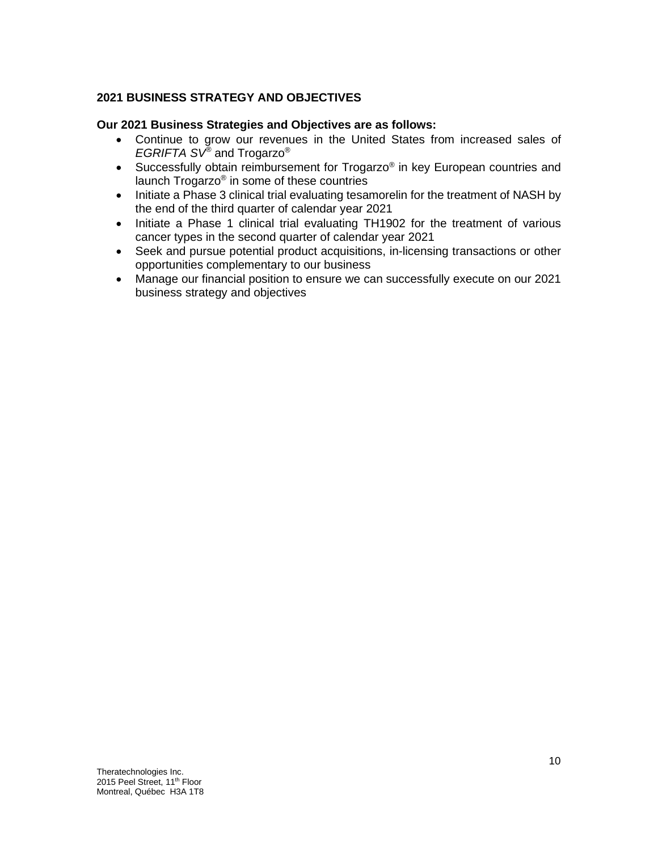# **2021 BUSINESS STRATEGY AND OBJECTIVES**

# **Our 2021 Business Strategies and Objectives are as follows:**

- Continue to grow our revenues in the United States from increased sales of *EGRIFTA SV®* and Trogarzo®
- Successfully obtain reimbursement for Trogarzo® in key European countries and launch Trogarzo® in some of these countries
- Initiate a Phase 3 clinical trial evaluating tesamorelin for the treatment of NASH by the end of the third quarter of calendar year 2021
- Initiate a Phase 1 clinical trial evaluating TH1902 for the treatment of various cancer types in the second quarter of calendar year 2021
- Seek and pursue potential product acquisitions, in-licensing transactions or other opportunities complementary to our business
- Manage our financial position to ensure we can successfully execute on our 2021 business strategy and objectives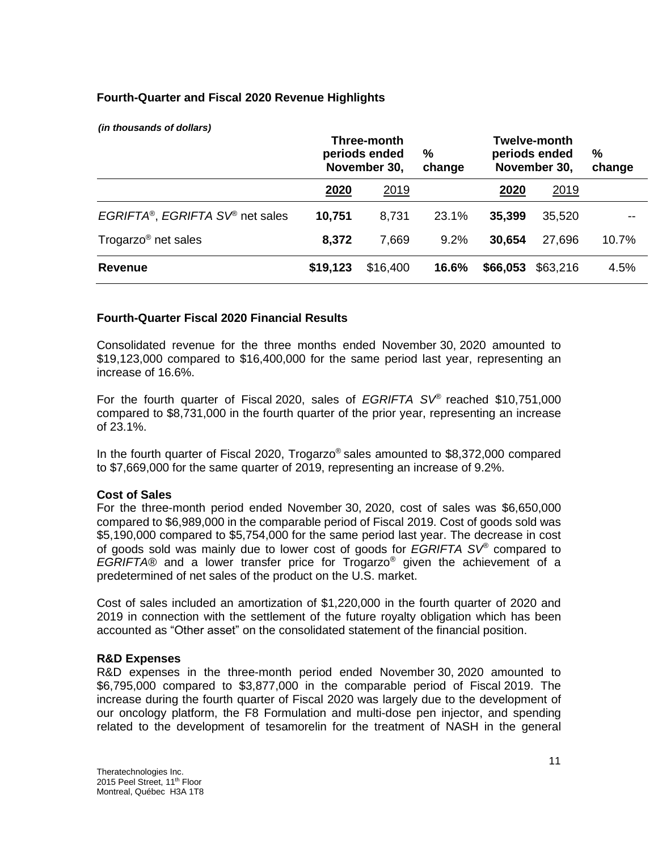# **Fourth-Quarter and Fiscal 2020 Revenue Highlights**

*(in thousands of dollars)*

|                                 | Three-month<br>periods ended<br>November 30, |          | %<br>change | <b>Twelve-month</b><br>periods ended<br>November 30, |             | %<br>change |
|---------------------------------|----------------------------------------------|----------|-------------|------------------------------------------------------|-------------|-------------|
|                                 | 2020                                         | 2019     |             | 2020                                                 | <u>2019</u> |             |
| EGRIFTA®, EGRIFTA SV® net sales | 10,751                                       | 8,731    | 23.1%       | 35,399                                               | 35,520      |             |
| Trogarzo <sup>®</sup> net sales | 8,372                                        | 7,669    | 9.2%        | 30,654                                               | 27.696      | 10.7%       |
| <b>Revenue</b>                  | \$19,123                                     | \$16,400 | 16.6%       | \$66,053                                             | \$63,216    | 4.5%        |

## **Fourth-Quarter Fiscal 2020 Financial Results**

Consolidated revenue for the three months ended November 30, 2020 amounted to \$19,123,000 compared to \$16,400,000 for the same period last year, representing an increase of 16.6%.

For the fourth quarter of Fiscal 2020, sales of *EGRIFTA SV*® reached \$10,751,000 compared to \$8,731,000 in the fourth quarter of the prior year, representing an increase of 23.1%.

In the fourth quarter of Fiscal 2020, Trogarzo® sales amounted to \$8,372,000 compared to \$7,669,000 for the same quarter of 2019, representing an increase of 9.2%.

#### **Cost of Sales**

For the three-month period ended November 30, 2020, cost of sales was \$6,650,000 compared to \$6,989,000 in the comparable period of Fiscal 2019. Cost of goods sold was \$5,190,000 compared to \$5,754,000 for the same period last year. The decrease in cost of goods sold was mainly due to lower cost of goods for *EGRIFTA SV®* compared to *EGRIFTA®* and a lower transfer price for Trogarzo*®* given the achievement of a predetermined of net sales of the product on the U.S. market.

Cost of sales included an amortization of \$1,220,000 in the fourth quarter of 2020 and 2019 in connection with the settlement of the future royalty obligation which has been accounted as "Other asset" on the consolidated statement of the financial position.

#### **R&D Expenses**

R&D expenses in the three-month period ended November 30, 2020 amounted to \$6,795,000 compared to \$3,877,000 in the comparable period of Fiscal 2019. The increase during the fourth quarter of Fiscal 2020 was largely due to the development of our oncology platform, the F8 Formulation and multi-dose pen injector, and spending related to the development of tesamorelin for the treatment of NASH in the general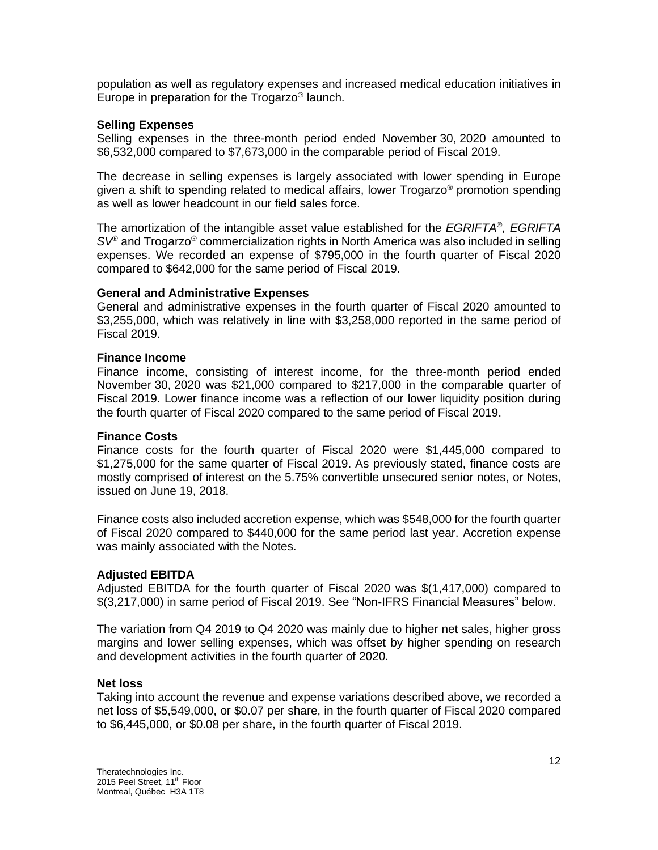population as well as regulatory expenses and increased medical education initiatives in Europe in preparation for the Trogarzo® launch.

### **Selling Expenses**

Selling expenses in the three-month period ended November 30, 2020 amounted to \$6,532,000 compared to \$7,673,000 in the comparable period of Fiscal 2019.

The decrease in selling expenses is largely associated with lower spending in Europe given a shift to spending related to medical affairs, lower Trogarzo<sup>®</sup> promotion spending as well as lower headcount in our field sales force.

The amortization of the intangible asset value established for the *EGRIFTA*® *, EGRIFTA SV*® and Trogarzo® commercialization rights in North America was also included in selling expenses. We recorded an expense of \$795,000 in the fourth quarter of Fiscal 2020 compared to \$642,000 for the same period of Fiscal 2019.

## **General and Administrative Expenses**

General and administrative expenses in the fourth quarter of Fiscal 2020 amounted to \$3,255,000, which was relatively in line with \$3,258,000 reported in the same period of Fiscal 2019.

#### **Finance Income**

Finance income, consisting of interest income, for the three-month period ended November 30, 2020 was \$21,000 compared to \$217,000 in the comparable quarter of Fiscal 2019. Lower finance income was a reflection of our lower liquidity position during the fourth quarter of Fiscal 2020 compared to the same period of Fiscal 2019.

#### **Finance Costs**

Finance costs for the fourth quarter of Fiscal 2020 were \$1,445,000 compared to \$1,275,000 for the same quarter of Fiscal 2019. As previously stated, finance costs are mostly comprised of interest on the 5.75% convertible unsecured senior notes, or Notes, issued on June 19, 2018.

Finance costs also included accretion expense, which was \$548,000 for the fourth quarter of Fiscal 2020 compared to \$440,000 for the same period last year. Accretion expense was mainly associated with the Notes.

#### **Adjusted EBITDA**

Adjusted EBITDA for the fourth quarter of Fiscal 2020 was \$(1,417,000) compared to \$(3,217,000) in same period of Fiscal 2019. See "Non-IFRS Financial Measures" below.

The variation from Q4 2019 to Q4 2020 was mainly due to higher net sales, higher gross margins and lower selling expenses, which was offset by higher spending on research and development activities in the fourth quarter of 2020.

#### **Net loss**

Taking into account the revenue and expense variations described above, we recorded a net loss of \$5,549,000, or \$0.07 per share, in the fourth quarter of Fiscal 2020 compared to \$6,445,000, or \$0.08 per share, in the fourth quarter of Fiscal 2019.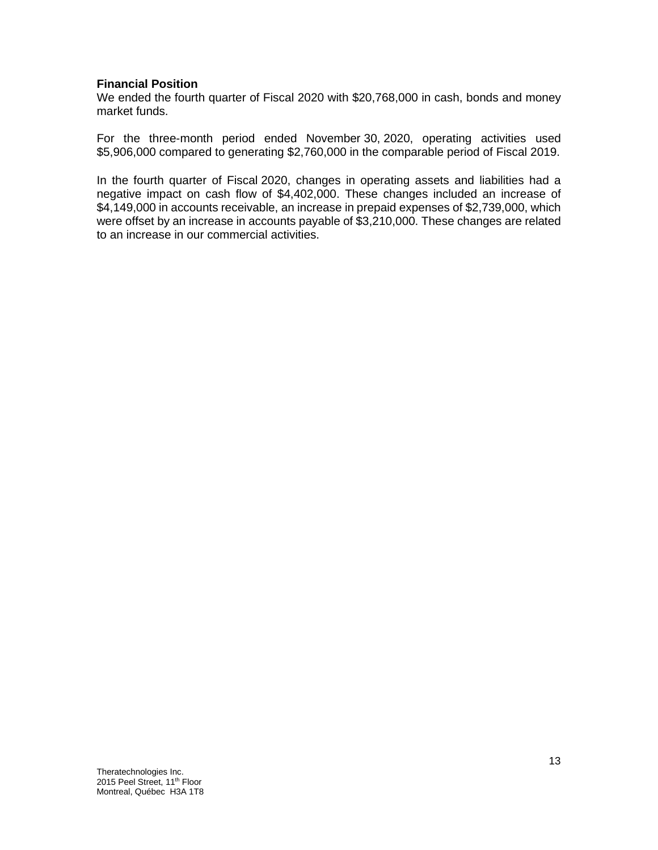## **Financial Position**

We ended the fourth quarter of Fiscal 2020 with \$20,768,000 in cash, bonds and money market funds.

For the three-month period ended November 30, 2020, operating activities used \$5,906,000 compared to generating \$2,760,000 in the comparable period of Fiscal 2019.

In the fourth quarter of Fiscal 2020, changes in operating assets and liabilities had a negative impact on cash flow of \$4,402,000. These changes included an increase of \$4,149,000 in accounts receivable, an increase in prepaid expenses of \$2,739,000, which were offset by an increase in accounts payable of \$3,210,000. These changes are related to an increase in our commercial activities.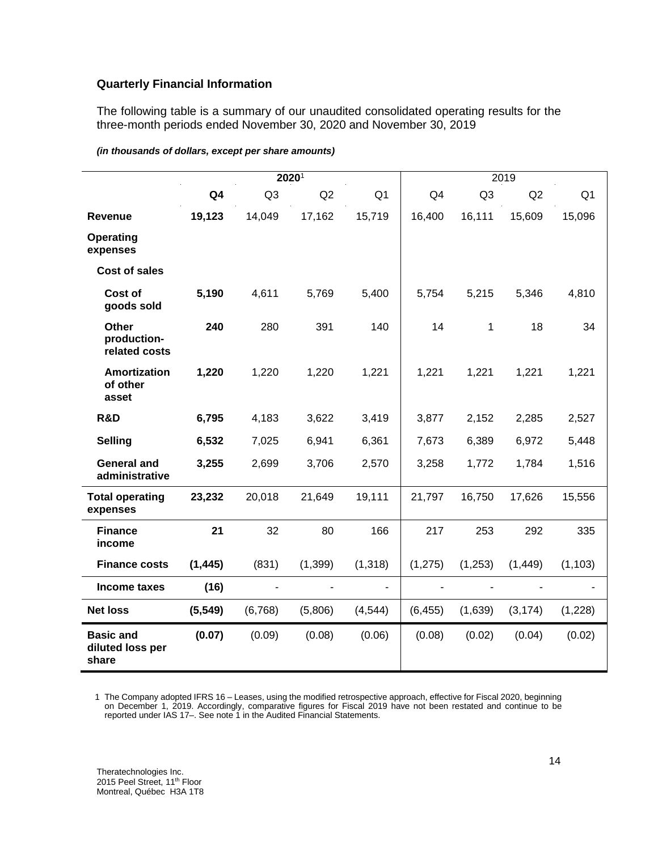## **Quarterly Financial Information**

The following table is a summary of our unaudited consolidated operating results for the three-month periods ended November 30, 2020 and November 30, 2019

|                                               |                | 2019           |                |                |                |                |          |                |
|-----------------------------------------------|----------------|----------------|----------------|----------------|----------------|----------------|----------|----------------|
|                                               | Q <sub>4</sub> | Q <sub>3</sub> | Q2             | Q <sub>1</sub> | Q <sub>4</sub> | Q <sub>3</sub> | Q2       | Q <sub>1</sub> |
| Revenue                                       | 19,123         | 14,049         | 17,162         | 15,719         | 16,400         | 16,111         | 15,609   | 15,096         |
| Operating<br>expenses                         |                |                |                |                |                |                |          |                |
| <b>Cost of sales</b>                          |                |                |                |                |                |                |          |                |
| Cost of<br>goods sold                         | 5,190          | 4,611          | 5,769          | 5,400          | 5,754          | 5,215          | 5,346    | 4,810          |
| Other<br>production-<br>related costs         | 240            | 280            | 391            | 140            | 14             | 1              | 18       | 34             |
| <b>Amortization</b><br>of other<br>asset      | 1,220          | 1,220          | 1,220          | 1,221          | 1,221          | 1,221          | 1,221    | 1,221          |
| R&D                                           | 6,795          | 4,183          | 3,622          | 3,419          | 3,877          | 2,152          | 2,285    | 2,527          |
| <b>Selling</b>                                | 6,532          | 7,025          | 6,941          | 6,361          | 7,673          | 6,389          | 6,972    | 5,448          |
| <b>General and</b><br>administrative          | 3,255          | 2,699          | 3,706          | 2,570          | 3,258          | 1,772          | 1,784    | 1,516          |
| <b>Total operating</b><br>expenses            | 23,232         | 20,018         | 21,649         | 19,111         | 21,797         | 16,750         | 17,626   | 15,556         |
| <b>Finance</b><br>income                      | 21             | 32             | 80             | 166            | 217            | 253            | 292      | 335            |
| <b>Finance costs</b>                          | (1, 445)       | (831)          | (1, 399)       | (1, 318)       | (1, 275)       | (1, 253)       | (1, 449) | (1, 103)       |
| Income taxes                                  | (16)           |                | $\blacksquare$ | L.             |                |                |          |                |
| <b>Net loss</b>                               | (5, 549)       | (6,768)        | (5,806)        | (4, 544)       | (6, 455)       | (1,639)        | (3, 174) | (1,228)        |
| <b>Basic and</b><br>diluted loss per<br>share | (0.07)         | (0.09)         | (0.08)         | (0.06)         | (0.08)         | (0.02)         | (0.04)   | (0.02)         |

#### *(in thousands of dollars, except per share amounts)*

1 The Company adopted IFRS 16 – Leases, using the modified retrospective approach, effective for Fiscal 2020, beginning on December 1, 2019. Accordingly, comparative figures for Fiscal 2019 have not been restated and continue to be reported under IAS 17–. See note 1 in the Audited Financial Statements.

Theratechnologies Inc. 2015 Peel Street, 11<sup>th</sup> Floor Montreal, Québec H3A 1T8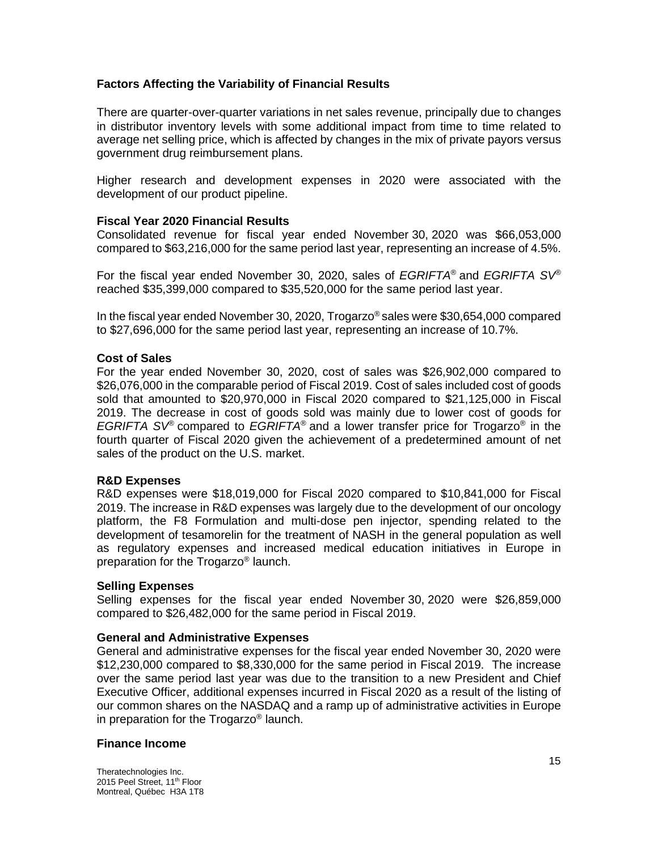# **Factors Affecting the Variability of Financial Results**

There are quarter-over-quarter variations in net sales revenue, principally due to changes in distributor inventory levels with some additional impact from time to time related to average net selling price, which is affected by changes in the mix of private payors versus government drug reimbursement plans.

Higher research and development expenses in 2020 were associated with the development of our product pipeline.

## **Fiscal Year 2020 Financial Results**

Consolidated revenue for fiscal year ended November 30, 2020 was \$66,053,000 compared to \$63,216,000 for the same period last year, representing an increase of 4.5%.

For the fiscal year ended November 30, 2020, sales of *EGRIFTA*® and *EGRIFTA SV*® reached \$35,399,000 compared to \$35,520,000 for the same period last year.

In the fiscal year ended November 30, 2020, Trogarzo® sales were \$30,654,000 compared to \$27,696,000 for the same period last year, representing an increase of 10.7%.

#### **Cost of Sales**

For the year ended November 30, 2020, cost of sales was \$26,902,000 compared to \$26,076,000 in the comparable period of Fiscal 2019. Cost of sales included cost of goods sold that amounted to \$20,970,000 in Fiscal 2020 compared to \$21,125,000 in Fiscal 2019. The decrease in cost of goods sold was mainly due to lower cost of goods for *EGRIFTA SV*® compared to *EGRIFTA*® and a lower transfer price for Trogarzo® in the fourth quarter of Fiscal 2020 given the achievement of a predetermined amount of net sales of the product on the U.S. market.

#### **R&D Expenses**

R&D expenses were \$18,019,000 for Fiscal 2020 compared to \$10,841,000 for Fiscal 2019. The increase in R&D expenses was largely due to the development of our oncology platform, the F8 Formulation and multi-dose pen injector, spending related to the development of tesamorelin for the treatment of NASH in the general population as well as regulatory expenses and increased medical education initiatives in Europe in preparation for the Trogarzo® launch.

#### **Selling Expenses**

Selling expenses for the fiscal year ended November 30, 2020 were \$26,859,000 compared to \$26,482,000 for the same period in Fiscal 2019.

#### **General and Administrative Expenses**

General and administrative expenses for the fiscal year ended November 30, 2020 were \$12,230,000 compared to \$8,330,000 for the same period in Fiscal 2019. The increase over the same period last year was due to the transition to a new President and Chief Executive Officer, additional expenses incurred in Fiscal 2020 as a result of the listing of our common shares on the NASDAQ and a ramp up of administrative activities in Europe in preparation for the Trogarzo® launch.

### **Finance Income**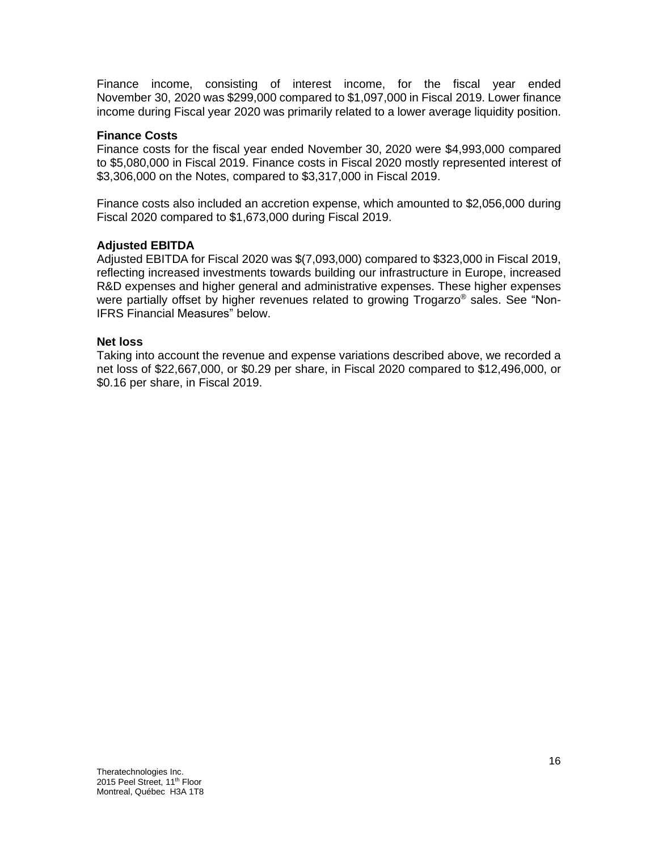Finance income, consisting of interest income, for the fiscal year ended November 30, 2020 was \$299,000 compared to \$1,097,000 in Fiscal 2019. Lower finance income during Fiscal year 2020 was primarily related to a lower average liquidity position.

## **Finance Costs**

Finance costs for the fiscal year ended November 30, 2020 were \$4,993,000 compared to \$5,080,000 in Fiscal 2019. Finance costs in Fiscal 2020 mostly represented interest of \$3,306,000 on the Notes, compared to \$3,317,000 in Fiscal 2019.

Finance costs also included an accretion expense, which amounted to \$2,056,000 during Fiscal 2020 compared to \$1,673,000 during Fiscal 2019.

## **Adjusted EBITDA**

Adjusted EBITDA for Fiscal 2020 was \$(7,093,000) compared to \$323,000 in Fiscal 2019, reflecting increased investments towards building our infrastructure in Europe, increased R&D expenses and higher general and administrative expenses. These higher expenses were partially offset by higher revenues related to growing Trogarzo® sales. See "Non-IFRS Financial Measures" below.

#### **Net loss**

Taking into account the revenue and expense variations described above, we recorded a net loss of \$22,667,000, or \$0.29 per share, in Fiscal 2020 compared to \$12,496,000, or \$0.16 per share, in Fiscal 2019.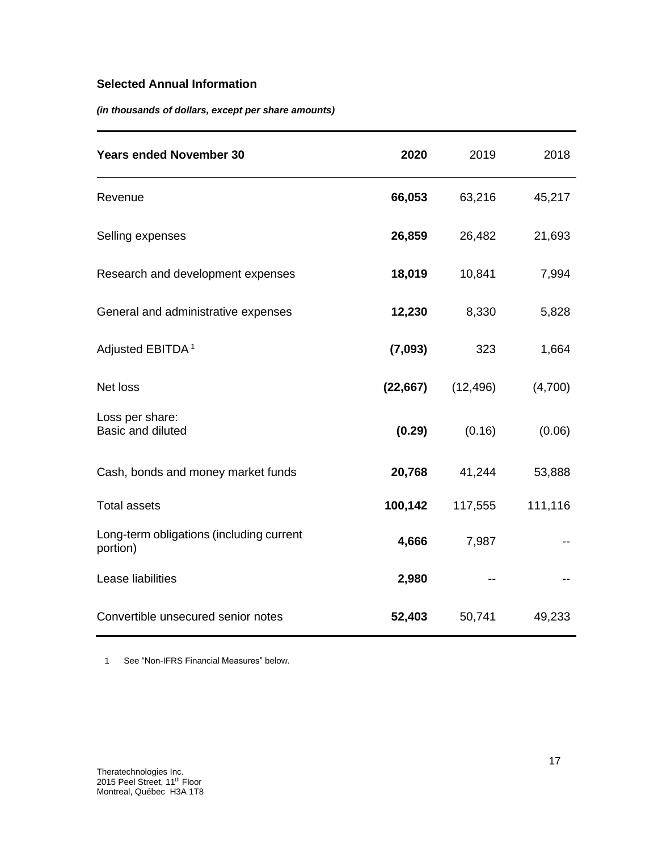# **Selected Annual Information**

*(in thousands of dollars, except per share amounts)*

| <b>Years ended November 30</b>                       | 2020      | 2019      | 2018    |
|------------------------------------------------------|-----------|-----------|---------|
| Revenue                                              | 66,053    | 63,216    | 45,217  |
| Selling expenses                                     | 26,859    | 26,482    | 21,693  |
| Research and development expenses                    | 18,019    | 10,841    | 7,994   |
| General and administrative expenses                  | 12,230    | 8,330     | 5,828   |
| Adjusted EBITDA <sup>1</sup>                         | (7,093)   | 323       | 1,664   |
| Net loss                                             | (22, 667) | (12, 496) | (4,700) |
| Loss per share:<br>Basic and diluted                 | (0.29)    | (0.16)    | (0.06)  |
| Cash, bonds and money market funds                   | 20,768    | 41,244    | 53,888  |
| <b>Total assets</b>                                  | 100,142   | 117,555   | 111,116 |
| Long-term obligations (including current<br>portion) | 4,666     | 7,987     |         |
| Lease liabilities                                    | 2,980     |           |         |
| Convertible unsecured senior notes                   | 52,403    | 50,741    | 49,233  |

1 See "Non-IFRS Financial Measures" below.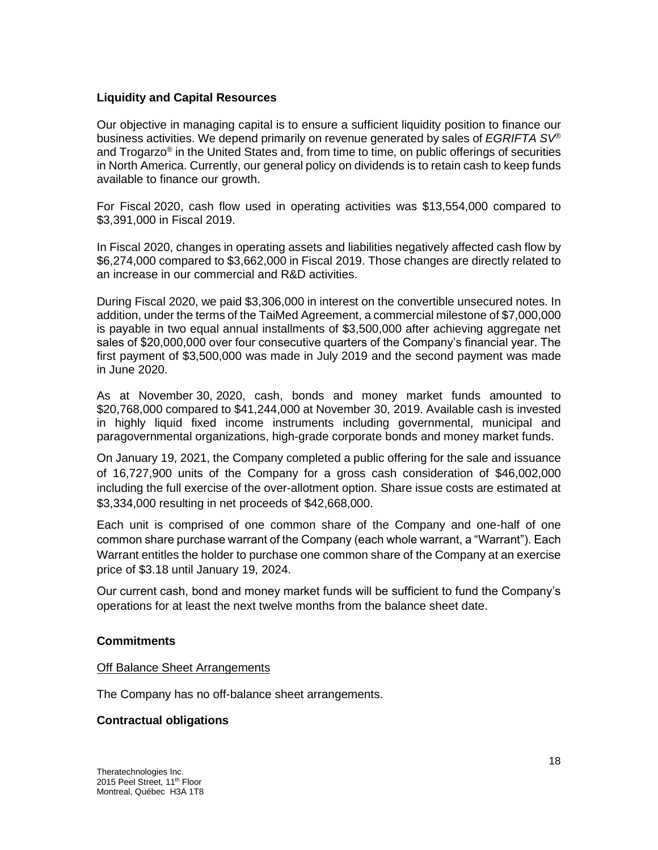# **Liquidity and Capital Resources**

Our objective in managing capital is to ensure a sufficient liquidity position to finance our business activities. We depend primarily on revenue generated by sales of *EGRIFTA SV*® and Trogarzo® in the United States and, from time to time, on public offerings of securities in North America. Currently, our general policy on dividends is to retain cash to keep funds available to finance our growth.

For Fiscal 2020, cash flow used in operating activities was \$13,554,000 compared to \$3,391,000 in Fiscal 2019.

In Fiscal 2020, changes in operating assets and liabilities negatively affected cash flow by \$6,274,000 compared to \$3,662,000 in Fiscal 2019. Those changes are directly related to an increase in our commercial and R&D activities.

During Fiscal 2020, we paid \$3,306,000 in interest on the convertible unsecured notes. In addition, under the terms of the TaiMed Agreement, a commercial milestone of \$7,000,000 is payable in two equal annual installments of \$3,500,000 after achieving aggregate net sales of \$20,000,000 over four consecutive quarters of the Company's financial year. The first payment of \$3,500,000 was made in July 2019 and the second payment was made in June 2020.

As at November 30, 2020, cash, bonds and money market funds amounted to \$20,768,000 compared to \$41,244,000 at November 30, 2019. Available cash is invested in highly liquid fixed income instruments including governmental, municipal and paragovernmental organizations, high-grade corporate bonds and money market funds.

On January 19, 2021, the Company completed a public offering for the sale and issuance of 16,727,900 units of the Company for a gross cash consideration of \$46,002,000 including the full exercise of the over-allotment option. Share issue costs are estimated at \$3,334,000 resulting in net proceeds of \$42,668,000.

Each unit is comprised of one common share of the Company and one-half of one common share purchase warrant of the Company (each whole warrant, a "Warrant"). Each Warrant entitles the holder to purchase one common share of the Company at an exercise price of \$3.18 until January 19, 2024.

Our current cash, bond and money market funds will be sufficient to fund the Company's operations for at least the next twelve months from the balance sheet date.

#### **Commitments**

#### Off Balance Sheet Arrangements

The Company has no off-balance sheet arrangements.

#### **Contractual obligations**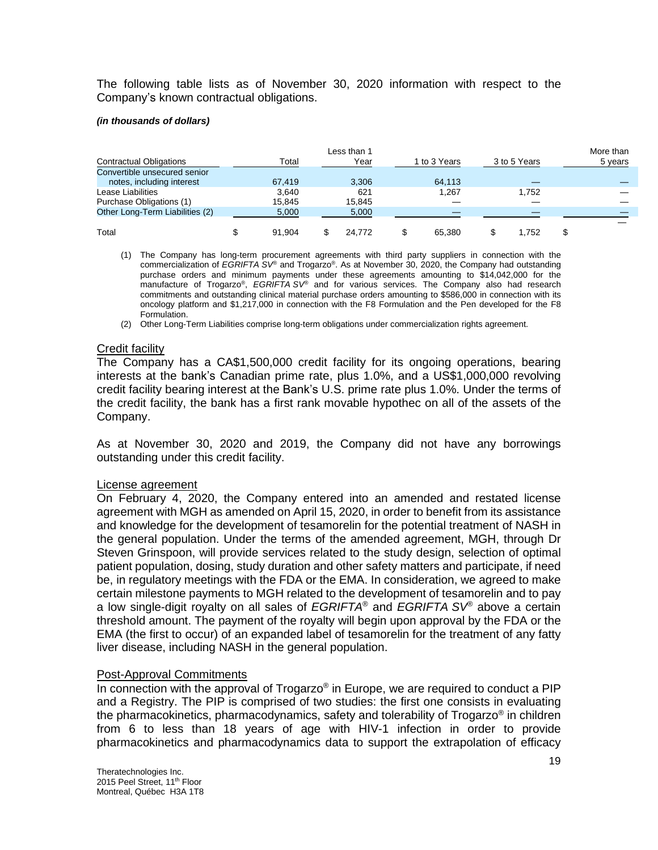The following table lists as of November 30, 2020 information with respect to the Company's known contractual obligations.

#### *(in thousands of dollars)*

|                                 |        | Less than 1 |              |              | More than |
|---------------------------------|--------|-------------|--------------|--------------|-----------|
| <b>Contractual Obligations</b>  | Total  | Year        | 1 to 3 Years | 3 to 5 Years | 5 years   |
| Convertible unsecured senior    |        |             |              |              |           |
| notes, including interest       | 67.419 | 3,306       | 64.113       |              |           |
| Lease Liabilities               | 3.640  | 621         | 1.267        | 1.752        |           |
| Purchase Obligations (1)        | 15.845 | 15.845      |              |              |           |
| Other Long-Term Liabilities (2) | 5,000  | 5,000       |              |              |           |
|                                 |        |             |              |              |           |
| Total                           | 91.904 | 24.772      | 65.380       | 1.752        |           |

(1) The Company has long-term procurement agreements with third party suppliers in connection with the commercialization of *EGRIFTA SV*® and Trogarzo® . As at November 30, 2020, the Company had outstanding purchase orders and minimum payments under these agreements amounting to \$14,042,000 for the manufacture of Trogarzo® , *EGRIFTA SV*® and for various services. The Company also had research commitments and outstanding clinical material purchase orders amounting to \$586,000 in connection with its oncology platform and \$1,217,000 in connection with the F8 Formulation and the Pen developed for the F8 Formulation.

(2) Other Long-Term Liabilities comprise long-term obligations under commercialization rights agreement.

#### Credit facility

The Company has a CA\$1,500,000 credit facility for its ongoing operations, bearing interests at the bank's Canadian prime rate, plus 1.0%, and a US\$1,000,000 revolving credit facility bearing interest at the Bank's U.S. prime rate plus 1.0%. Under the terms of the credit facility, the bank has a first rank movable hypothec on all of the assets of the Company.

As at November 30, 2020 and 2019, the Company did not have any borrowings outstanding under this credit facility.

#### License agreement

On February 4, 2020, the Company entered into an amended and restated license agreement with MGH as amended on April 15, 2020, in order to benefit from its assistance and knowledge for the development of tesamorelin for the potential treatment of NASH in the general population. Under the terms of the amended agreement, MGH, through Dr Steven Grinspoon, will provide services related to the study design, selection of optimal patient population, dosing, study duration and other safety matters and participate, if need be, in regulatory meetings with the FDA or the EMA. In consideration, we agreed to make certain milestone payments to MGH related to the development of tesamorelin and to pay a low single-digit royalty on all sales of *EGRIFTA*® and *EGRIFTA SV*® above a certain threshold amount. The payment of the royalty will begin upon approval by the FDA or the EMA (the first to occur) of an expanded label of tesamorelin for the treatment of any fatty liver disease, including NASH in the general population.

#### Post-Approval Commitments

In connection with the approval of Trogarzo® in Europe, we are required to conduct a PIP and a Registry. The PIP is comprised of two studies: the first one consists in evaluating the pharmacokinetics, pharmacodynamics, safety and tolerability of Trogarzo® in children from 6 to less than 18 years of age with HIV-1 infection in order to provide pharmacokinetics and pharmacodynamics data to support the extrapolation of efficacy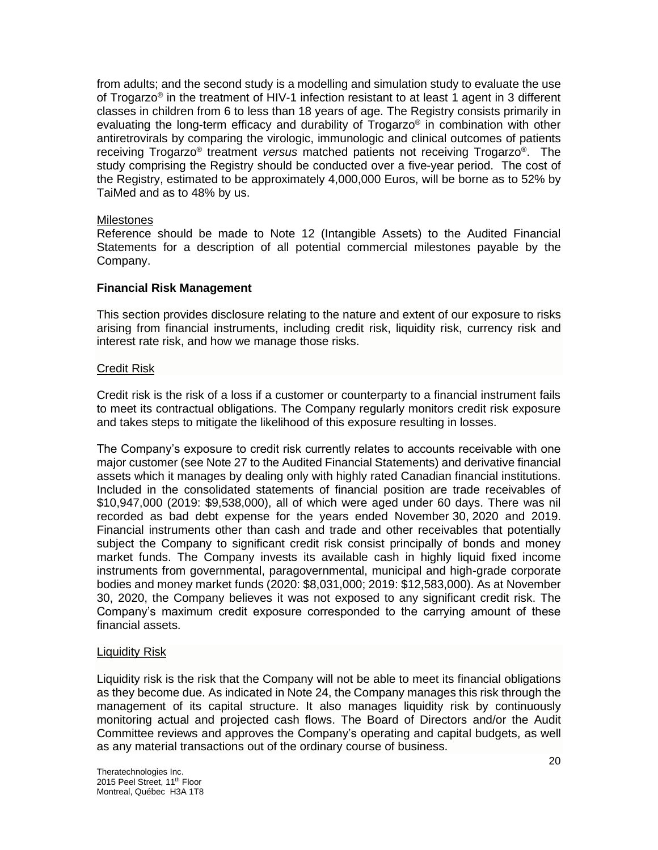from adults; and the second study is a modelling and simulation study to evaluate the use of Trogarzo® in the treatment of HIV-1 infection resistant to at least 1 agent in 3 different classes in children from 6 to less than 18 years of age. The Registry consists primarily in evaluating the long-term efficacy and durability of Trogarzo® in combination with other antiretrovirals by comparing the virologic, immunologic and clinical outcomes of patients receiving Trogarzo<sup>®</sup> treatment *versus* matched patients not receiving Trogarzo<sup>®</sup>. The study comprising the Registry should be conducted over a five-year period. The cost of the Registry, estimated to be approximately 4,000,000 Euros, will be borne as to 52% by TaiMed and as to 48% by us.

## **Milestones**

Reference should be made to Note 12 (Intangible Assets) to the Audited Financial Statements for a description of all potential commercial milestones payable by the Company.

# **Financial Risk Management**

This section provides disclosure relating to the nature and extent of our exposure to risks arising from financial instruments, including credit risk, liquidity risk, currency risk and interest rate risk, and how we manage those risks.

## Credit Risk

Credit risk is the risk of a loss if a customer or counterparty to a financial instrument fails to meet its contractual obligations. The Company regularly monitors credit risk exposure and takes steps to mitigate the likelihood of this exposure resulting in losses.

The Company's exposure to credit risk currently relates to accounts receivable with one major customer (see Note 27 to the Audited Financial Statements) and derivative financial assets which it manages by dealing only with highly rated Canadian financial institutions. Included in the consolidated statements of financial position are trade receivables of \$10,947,000 (2019: \$9,538,000), all of which were aged under 60 days. There was nil recorded as bad debt expense for the years ended November 30, 2020 and 2019. Financial instruments other than cash and trade and other receivables that potentially subject the Company to significant credit risk consist principally of bonds and money market funds. The Company invests its available cash in highly liquid fixed income instruments from governmental, paragovernmental, municipal and high-grade corporate bodies and money market funds (2020: \$8,031,000; 2019: \$12,583,000). As at November 30, 2020, the Company believes it was not exposed to any significant credit risk. The Company's maximum credit exposure corresponded to the carrying amount of these financial assets.

#### Liquidity Risk

Liquidity risk is the risk that the Company will not be able to meet its financial obligations as they become due. As indicated in Note 24, the Company manages this risk through the management of its capital structure. It also manages liquidity risk by continuously monitoring actual and projected cash flows. The Board of Directors and/or the Audit Committee reviews and approves the Company's operating and capital budgets, as well as any material transactions out of the ordinary course of business.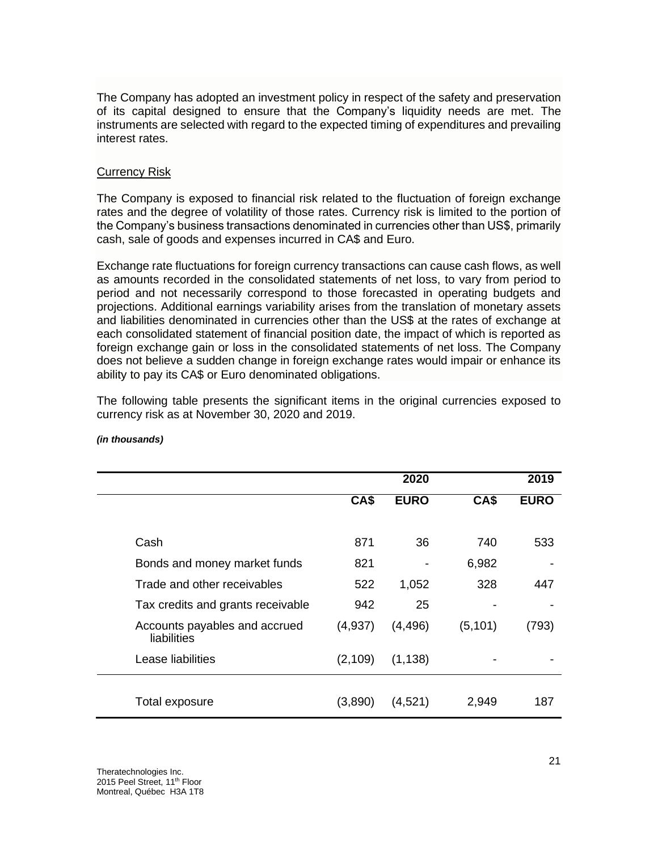The Company has adopted an investment policy in respect of the safety and preservation of its capital designed to ensure that the Company's liquidity needs are met. The instruments are selected with regard to the expected timing of expenditures and prevailing interest rates.

## Currency Risk

The Company is exposed to financial risk related to the fluctuation of foreign exchange rates and the degree of volatility of those rates. Currency risk is limited to the portion of the Company's business transactions denominated in currencies other than US\$, primarily cash, sale of goods and expenses incurred in CA\$ and Euro.

Exchange rate fluctuations for foreign currency transactions can cause cash flows, as well as amounts recorded in the consolidated statements of net loss, to vary from period to period and not necessarily correspond to those forecasted in operating budgets and projections. Additional earnings variability arises from the translation of monetary assets and liabilities denominated in currencies other than the US\$ at the rates of exchange at each consolidated statement of financial position date, the impact of which is reported as foreign exchange gain or loss in the consolidated statements of net loss. The Company does not believe a sudden change in foreign exchange rates would impair or enhance its ability to pay its CA\$ or Euro denominated obligations.

The following table presents the significant items in the original currencies exposed to currency risk as at November 30, 2020 and 2019.

|                                              |          | 2020        |          | 2019        |
|----------------------------------------------|----------|-------------|----------|-------------|
|                                              | CA\$     | <b>EURO</b> | CA\$     | <b>EURO</b> |
|                                              |          |             |          |             |
| Cash                                         | 871      | 36          | 740      | 533         |
| Bonds and money market funds                 | 821      |             | 6,982    |             |
| Trade and other receivables                  | 522      | 1,052       | 328      | 447         |
| Tax credits and grants receivable            | 942      | 25          |          |             |
| Accounts payables and accrued<br>liabilities | (4,937)  | (4, 496)    | (5, 101) | (793)       |
| Lease liabilities                            | (2, 109) | (1, 138)    |          |             |
|                                              |          |             |          |             |
| Total exposure                               | (3,890)  | (4,521)     | 2,949    | 187         |

#### *(in thousands)*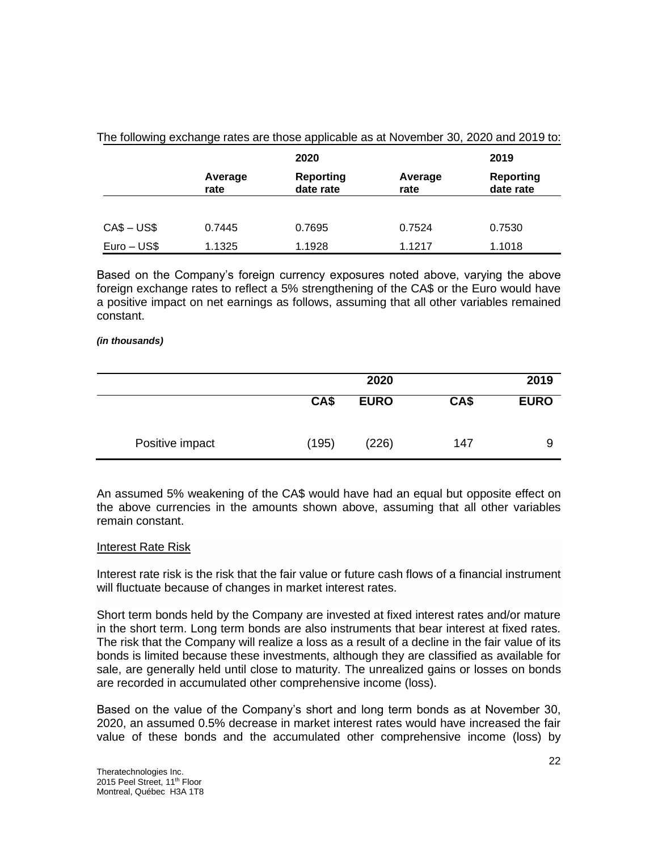|             |                 | 2020                          |                 | 2019                          |
|-------------|-----------------|-------------------------------|-----------------|-------------------------------|
|             | Average<br>rate | <b>Reporting</b><br>date rate | Average<br>rate | <b>Reporting</b><br>date rate |
|             |                 |                               |                 |                               |
| $CAS - USS$ | 0.7445          | 0.7695                        | 0.7524          | 0.7530                        |
| Euro – US\$ | 1.1325          | 1.1928                        | 1.1217          | 1.1018                        |

The following exchange rates are those applicable as at November 30, 2020 and 2019 to:

Based on the Company's foreign currency exposures noted above, varying the above foreign exchange rates to reflect a 5% strengthening of the CA\$ or the Euro would have a positive impact on net earnings as follows, assuming that all other variables remained constant.

#### *(in thousands)*

|                 |       | 2020        |      | 2019        |
|-----------------|-------|-------------|------|-------------|
|                 | CA\$  | <b>EURO</b> | CA\$ | <b>EURO</b> |
| Positive impact | (195) | (226)       | 147  | 9           |

An assumed 5% weakening of the CA\$ would have had an equal but opposite effect on the above currencies in the amounts shown above, assuming that all other variables remain constant.

#### Interest Rate Risk

Interest rate risk is the risk that the fair value or future cash flows of a financial instrument will fluctuate because of changes in market interest rates.

Short term bonds held by the Company are invested at fixed interest rates and/or mature in the short term. Long term bonds are also instruments that bear interest at fixed rates. The risk that the Company will realize a loss as a result of a decline in the fair value of its bonds is limited because these investments, although they are classified as available for sale, are generally held until close to maturity. The unrealized gains or losses on bonds are recorded in accumulated other comprehensive income (loss).

Based on the value of the Company's short and long term bonds as at November 30, 2020, an assumed 0.5% decrease in market interest rates would have increased the fair value of these bonds and the accumulated other comprehensive income (loss) by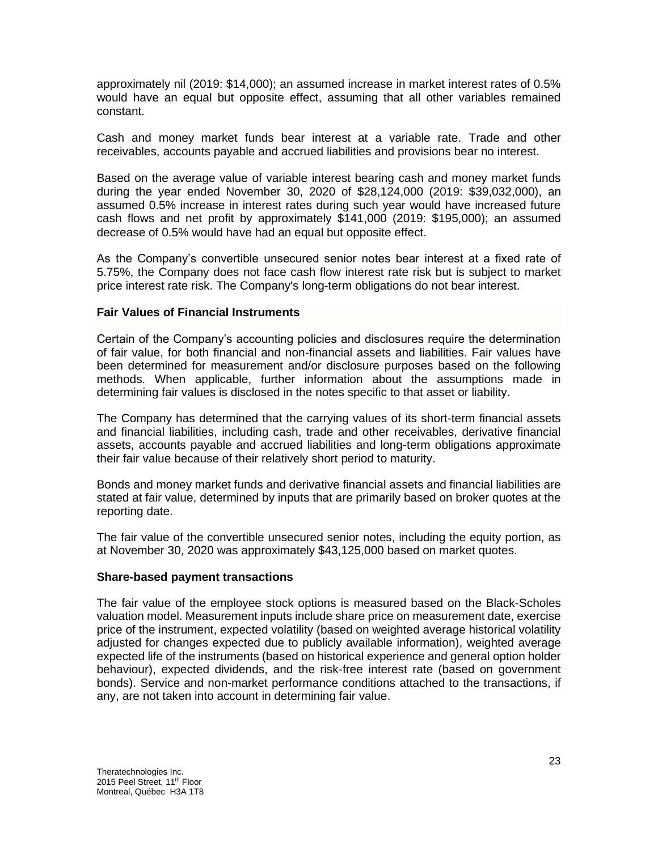approximately nil (2019: \$14,000); an assumed increase in market interest rates of 0.5% would have an equal but opposite effect, assuming that all other variables remained constant.

Cash and money market funds bear interest at a variable rate. Trade and other receivables, accounts payable and accrued liabilities and provisions bear no interest.

Based on the average value of variable interest bearing cash and money market funds during the year ended November 30, 2020 of \$28,124,000 (2019: \$39,032,000), an assumed 0.5% increase in interest rates during such year would have increased future cash flows and net profit by approximately \$141,000 (2019: \$195,000); an assumed decrease of 0.5% would have had an equal but opposite effect.

As the Company's convertible unsecured senior notes bear interest at a fixed rate of 5.75%, the Company does not face cash flow interest rate risk but is subject to market price interest rate risk. The Company's long-term obligations do not bear interest.

## **Fair Values of Financial Instruments**

Certain of the Company's accounting policies and disclosures require the determination of fair value, for both financial and non-financial assets and liabilities. Fair values have been determined for measurement and/or disclosure purposes based on the following methods. When applicable, further information about the assumptions made in determining fair values is disclosed in the notes specific to that asset or liability.

The Company has determined that the carrying values of its short-term financial assets and financial liabilities, including cash, trade and other receivables, derivative financial assets, accounts payable and accrued liabilities and long-term obligations approximate their fair value because of their relatively short period to maturity.

Bonds and money market funds and derivative financial assets and financial liabilities are stated at fair value, determined by inputs that are primarily based on broker quotes at the reporting date.

The fair value of the convertible unsecured senior notes, including the equity portion, as at November 30, 2020 was approximately \$43,125,000 based on market quotes.

#### **Share-based payment transactions**

The fair value of the employee stock options is measured based on the Black-Scholes valuation model. Measurement inputs include share price on measurement date, exercise price of the instrument, expected volatility (based on weighted average historical volatility adjusted for changes expected due to publicly available information), weighted average expected life of the instruments (based on historical experience and general option holder behaviour), expected dividends, and the risk-free interest rate (based on government bonds). Service and non-market performance conditions attached to the transactions, if any, are not taken into account in determining fair value.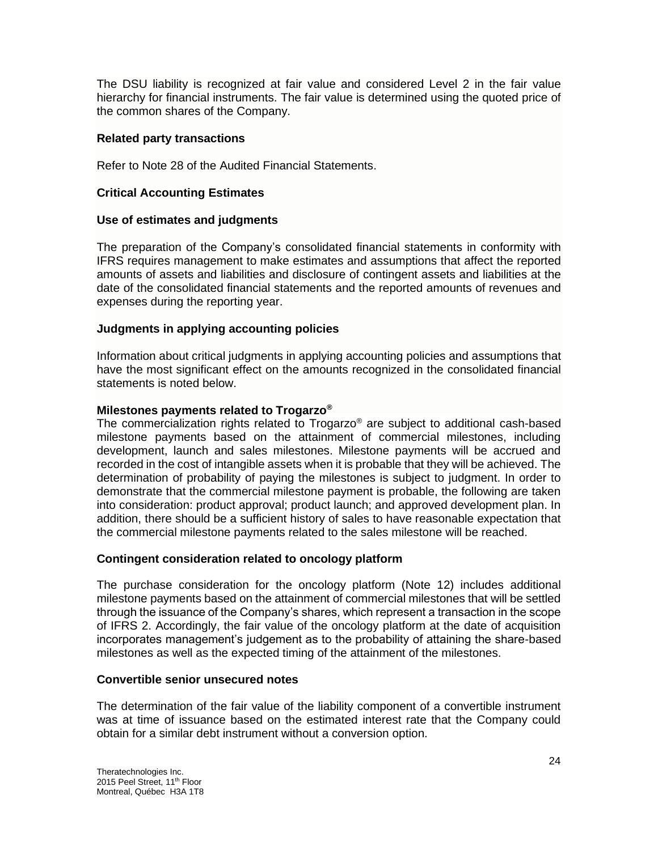The DSU liability is recognized at fair value and considered Level 2 in the fair value hierarchy for financial instruments. The fair value is determined using the quoted price of the common shares of the Company.

# **Related party transactions**

Refer to Note 28 of the Audited Financial Statements.

## **Critical Accounting Estimates**

#### **Use of estimates and judgments**

The preparation of the Company's consolidated financial statements in conformity with IFRS requires management to make estimates and assumptions that affect the reported amounts of assets and liabilities and disclosure of contingent assets and liabilities at the date of the consolidated financial statements and the reported amounts of revenues and expenses during the reporting year.

## **Judgments in applying accounting policies**

Information about critical judgments in applying accounting policies and assumptions that have the most significant effect on the amounts recognized in the consolidated financial statements is noted below.

## **Milestones payments related to Trogarzo®**

The commercialization rights related to Trogarzo® are subject to additional cash-based milestone payments based on the attainment of commercial milestones, including development, launch and sales milestones. Milestone payments will be accrued and recorded in the cost of intangible assets when it is probable that they will be achieved. The determination of probability of paying the milestones is subject to judgment. In order to demonstrate that the commercial milestone payment is probable, the following are taken into consideration: product approval; product launch; and approved development plan. In addition, there should be a sufficient history of sales to have reasonable expectation that the commercial milestone payments related to the sales milestone will be reached.

#### **Contingent consideration related to oncology platform**

The purchase consideration for the oncology platform (Note 12) includes additional milestone payments based on the attainment of commercial milestones that will be settled through the issuance of the Company's shares, which represent a transaction in the scope of IFRS 2. Accordingly, the fair value of the oncology platform at the date of acquisition incorporates management's judgement as to the probability of attaining the share-based milestones as well as the expected timing of the attainment of the milestones.

#### **Convertible senior unsecured notes**

The determination of the fair value of the liability component of a convertible instrument was at time of issuance based on the estimated interest rate that the Company could obtain for a similar debt instrument without a conversion option.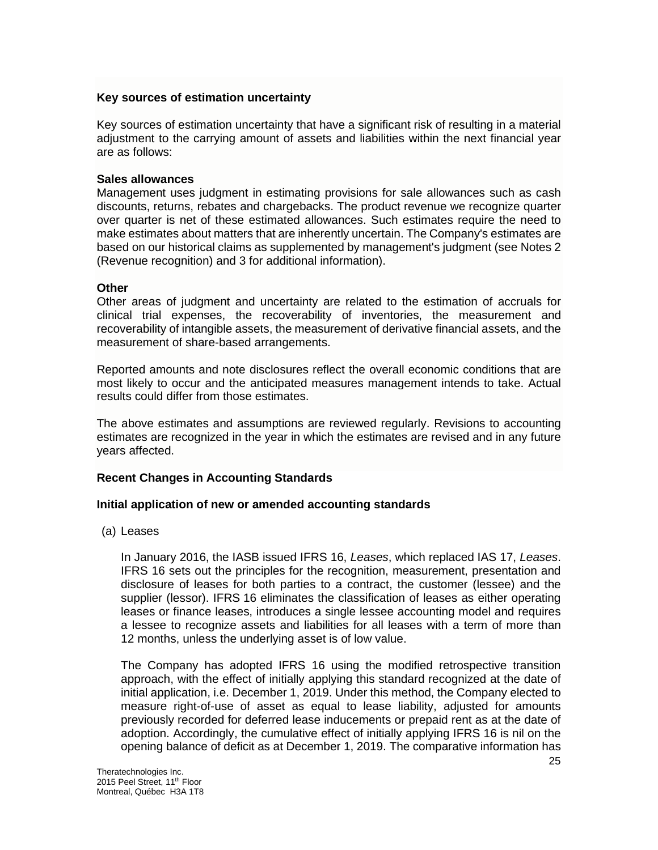## **Key sources of estimation uncertainty**

Key sources of estimation uncertainty that have a significant risk of resulting in a material adjustment to the carrying amount of assets and liabilities within the next financial year are as follows:

## **Sales allowances**

Management uses judgment in estimating provisions for sale allowances such as cash discounts, returns, rebates and chargebacks. The product revenue we recognize quarter over quarter is net of these estimated allowances. Such estimates require the need to make estimates about matters that are inherently uncertain. The Company's estimates are based on our historical claims as supplemented by management's judgment (see Notes 2 (Revenue recognition) and 3 for additional information).

## **Other**

Other areas of judgment and uncertainty are related to the estimation of accruals for clinical trial expenses, the recoverability of inventories, the measurement and recoverability of intangible assets, the measurement of derivative financial assets, and the measurement of share-based arrangements.

Reported amounts and note disclosures reflect the overall economic conditions that are most likely to occur and the anticipated measures management intends to take. Actual results could differ from those estimates.

The above estimates and assumptions are reviewed regularly. Revisions to accounting estimates are recognized in the year in which the estimates are revised and in any future years affected.

# **Recent Changes in Accounting Standards**

#### **Initial application of new or amended accounting standards**

(a) Leases

In January 2016, the IASB issued IFRS 16, *Leases*, which replaced IAS 17, *Leases*. IFRS 16 sets out the principles for the recognition, measurement, presentation and disclosure of leases for both parties to a contract, the customer (lessee) and the supplier (lessor). IFRS 16 eliminates the classification of leases as either operating leases or finance leases, introduces a single lessee accounting model and requires a lessee to recognize assets and liabilities for all leases with a term of more than 12 months, unless the underlying asset is of low value.

The Company has adopted IFRS 16 using the modified retrospective transition approach, with the effect of initially applying this standard recognized at the date of initial application, i.e. December 1, 2019. Under this method, the Company elected to measure right-of-use of asset as equal to lease liability, adjusted for amounts previously recorded for deferred lease inducements or prepaid rent as at the date of adoption. Accordingly, the cumulative effect of initially applying IFRS 16 is nil on the opening balance of deficit as at December 1, 2019. The comparative information has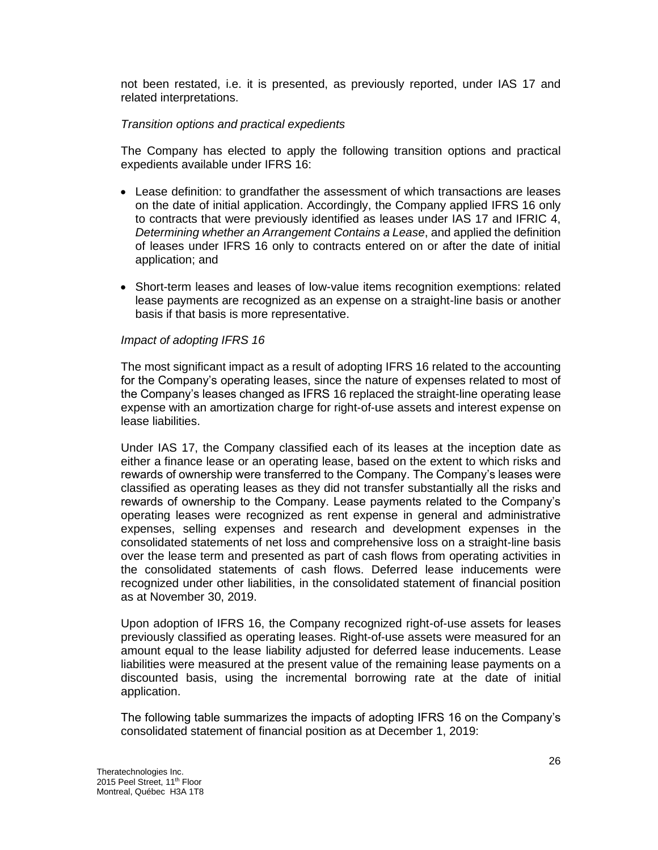not been restated, i.e. it is presented, as previously reported, under IAS 17 and related interpretations.

## *Transition options and practical expedients*

The Company has elected to apply the following transition options and practical expedients available under IFRS 16:

- Lease definition: to grandfather the assessment of which transactions are leases on the date of initial application. Accordingly, the Company applied IFRS 16 only to contracts that were previously identified as leases under IAS 17 and IFRIC 4, *Determining whether an Arrangement Contains a Lease*, and applied the definition of leases under IFRS 16 only to contracts entered on or after the date of initial application; and
- Short-term leases and leases of low-value items recognition exemptions: related lease payments are recognized as an expense on a straight-line basis or another basis if that basis is more representative.

## *Impact of adopting IFRS 16*

The most significant impact as a result of adopting IFRS 16 related to the accounting for the Company's operating leases, since the nature of expenses related to most of the Company's leases changed as IFRS 16 replaced the straight-line operating lease expense with an amortization charge for right-of-use assets and interest expense on lease liabilities.

Under IAS 17, the Company classified each of its leases at the inception date as either a finance lease or an operating lease, based on the extent to which risks and rewards of ownership were transferred to the Company. The Company's leases were classified as operating leases as they did not transfer substantially all the risks and rewards of ownership to the Company. Lease payments related to the Company's operating leases were recognized as rent expense in general and administrative expenses, selling expenses and research and development expenses in the consolidated statements of net loss and comprehensive loss on a straight-line basis over the lease term and presented as part of cash flows from operating activities in the consolidated statements of cash flows. Deferred lease inducements were recognized under other liabilities, in the consolidated statement of financial position as at November 30, 2019.

Upon adoption of IFRS 16, the Company recognized right-of-use assets for leases previously classified as operating leases. Right-of-use assets were measured for an amount equal to the lease liability adjusted for deferred lease inducements. Lease liabilities were measured at the present value of the remaining lease payments on a discounted basis, using the incremental borrowing rate at the date of initial application.

The following table summarizes the impacts of adopting IFRS 16 on the Company's consolidated statement of financial position as at December 1, 2019: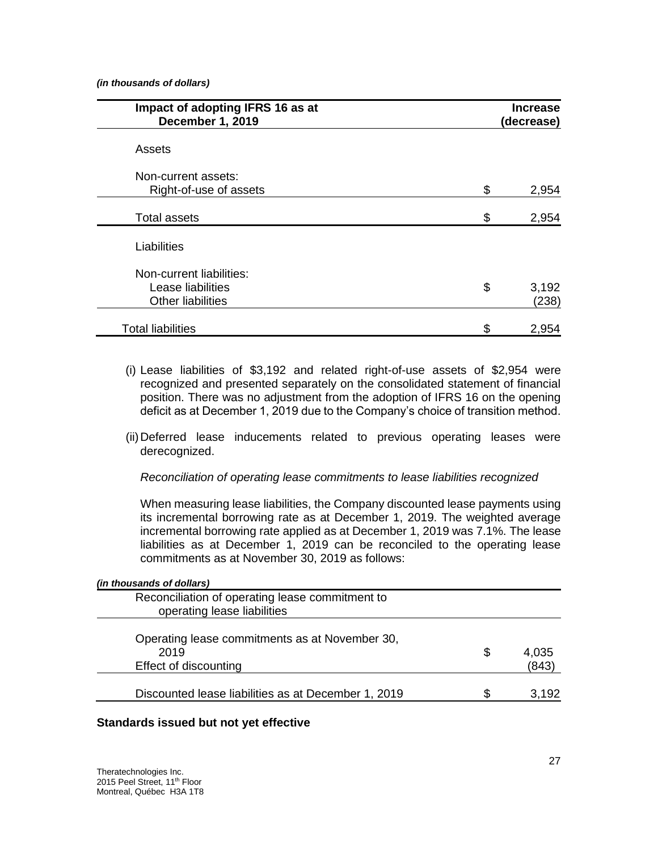*(in thousands of dollars)*

| Impact of adopting IFRS 16 as at<br>December 1, 2019 | <b>Increase</b><br>(decrease) |
|------------------------------------------------------|-------------------------------|
| Assets                                               |                               |
| Non-current assets:                                  |                               |
| Right-of-use of assets                               | \$<br>2,954                   |
| <b>Total assets</b>                                  | \$<br>2,954                   |
| Liabilities                                          |                               |
| Non-current liabilities:<br>Lease liabilities        | \$<br>3,192                   |
| <b>Other liabilities</b>                             | (238)                         |
| <b>Total liabilities</b>                             | \$<br>2,954                   |

- (i) Lease liabilities of \$3,192 and related right-of-use assets of \$2,954 were recognized and presented separately on the consolidated statement of financial position. There was no adjustment from the adoption of IFRS 16 on the opening deficit as at December 1, 2019 due to the Company's choice of transition method.
- (ii)Deferred lease inducements related to previous operating leases were derecognized.

*Reconciliation of operating lease commitments to lease liabilities recognized*

When measuring lease liabilities, the Company discounted lease payments using its incremental borrowing rate as at December 1, 2019. The weighted average incremental borrowing rate applied as at December 1, 2019 was 7.1%. The lease liabilities as at December 1, 2019 can be reconciled to the operating lease commitments as at November 30, 2019 as follows:

| (in thousands of dollars)                                                       |    |                |
|---------------------------------------------------------------------------------|----|----------------|
| Reconciliation of operating lease commitment to<br>operating lease liabilities  |    |                |
| Operating lease commitments as at November 30,<br>2019<br>Effect of discounting | \$ | 4,035<br>(843) |
| Discounted lease liabilities as at December 1, 2019                             | S  | 3.192          |
|                                                                                 |    |                |

# **Standards issued but not yet effective**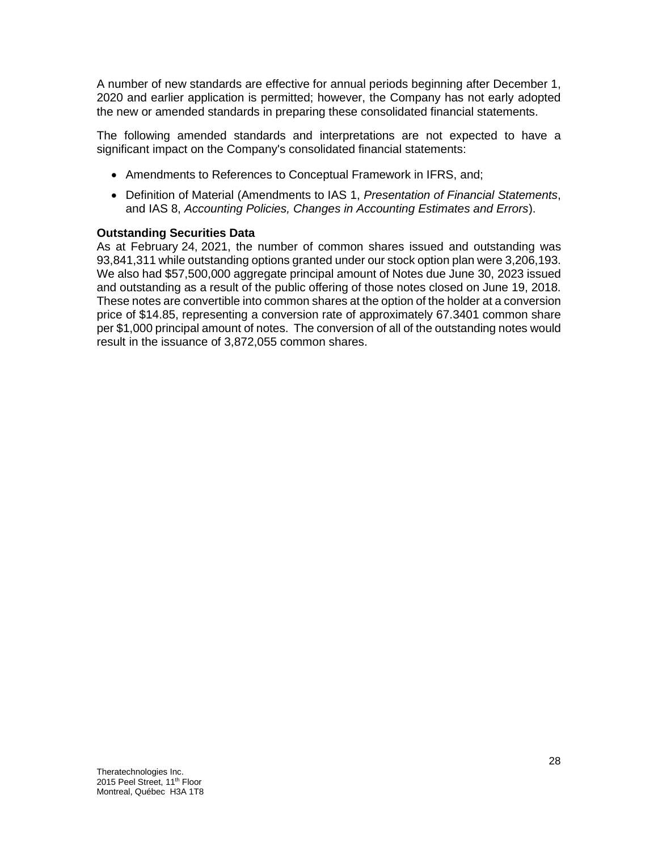A number of new standards are effective for annual periods beginning after December 1, 2020 and earlier application is permitted; however, the Company has not early adopted the new or amended standards in preparing these consolidated financial statements.

The following amended standards and interpretations are not expected to have a significant impact on the Company's consolidated financial statements:

- Amendments to References to Conceptual Framework in IFRS, and;
- Definition of Material (Amendments to IAS 1, *Presentation of Financial Statements*, and IAS 8, *Accounting Policies, Changes in Accounting Estimates and Errors*).

## **Outstanding Securities Data**

As at February 24, 2021, the number of common shares issued and outstanding was 93,841,311 while outstanding options granted under our stock option plan were 3,206,193. We also had \$57,500,000 aggregate principal amount of Notes due June 30, 2023 issued and outstanding as a result of the public offering of those notes closed on June 19, 2018. These notes are convertible into common shares at the option of the holder at a conversion price of \$14.85, representing a conversion rate of approximately 67.3401 common share per \$1,000 principal amount of notes. The conversion of all of the outstanding notes would result in the issuance of 3,872,055 common shares.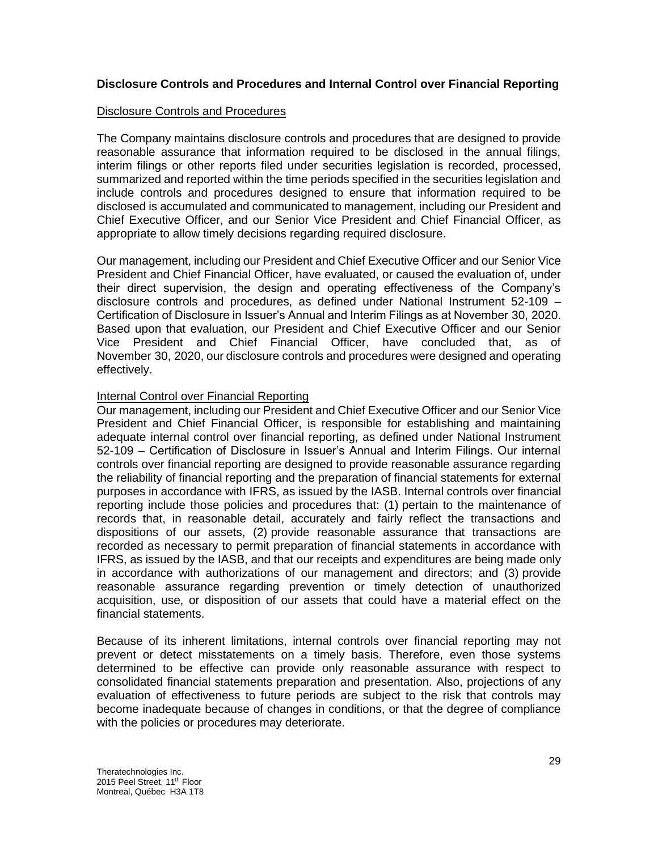# **Disclosure Controls and Procedures and Internal Control over Financial Reporting**

## Disclosure Controls and Procedures

The Company maintains disclosure controls and procedures that are designed to provide reasonable assurance that information required to be disclosed in the annual filings, interim filings or other reports filed under securities legislation is recorded, processed, summarized and reported within the time periods specified in the securities legislation and include controls and procedures designed to ensure that information required to be disclosed is accumulated and communicated to management, including our President and Chief Executive Officer, and our Senior Vice President and Chief Financial Officer, as appropriate to allow timely decisions regarding required disclosure.

Our management, including our President and Chief Executive Officer and our Senior Vice President and Chief Financial Officer, have evaluated, or caused the evaluation of, under their direct supervision, the design and operating effectiveness of the Company's disclosure controls and procedures, as defined under National Instrument 52-109 – Certification of Disclosure in Issuer's Annual and Interim Filings as at November 30, 2020. Based upon that evaluation, our President and Chief Executive Officer and our Senior Vice President and Chief Financial Officer, have concluded that, as of November 30, 2020, our disclosure controls and procedures were designed and operating effectively.

## Internal Control over Financial Reporting

Our management, including our President and Chief Executive Officer and our Senior Vice President and Chief Financial Officer, is responsible for establishing and maintaining adequate internal control over financial reporting, as defined under National Instrument 52-109 – Certification of Disclosure in Issuer's Annual and Interim Filings. Our internal controls over financial reporting are designed to provide reasonable assurance regarding the reliability of financial reporting and the preparation of financial statements for external purposes in accordance with IFRS, as issued by the IASB. Internal controls over financial reporting include those policies and procedures that: (1) pertain to the maintenance of records that, in reasonable detail, accurately and fairly reflect the transactions and dispositions of our assets, (2) provide reasonable assurance that transactions are recorded as necessary to permit preparation of financial statements in accordance with IFRS, as issued by the IASB, and that our receipts and expenditures are being made only in accordance with authorizations of our management and directors; and (3) provide reasonable assurance regarding prevention or timely detection of unauthorized acquisition, use, or disposition of our assets that could have a material effect on the financial statements.

Because of its inherent limitations, internal controls over financial reporting may not prevent or detect misstatements on a timely basis. Therefore, even those systems determined to be effective can provide only reasonable assurance with respect to consolidated financial statements preparation and presentation. Also, projections of any evaluation of effectiveness to future periods are subject to the risk that controls may become inadequate because of changes in conditions, or that the degree of compliance with the policies or procedures may deteriorate.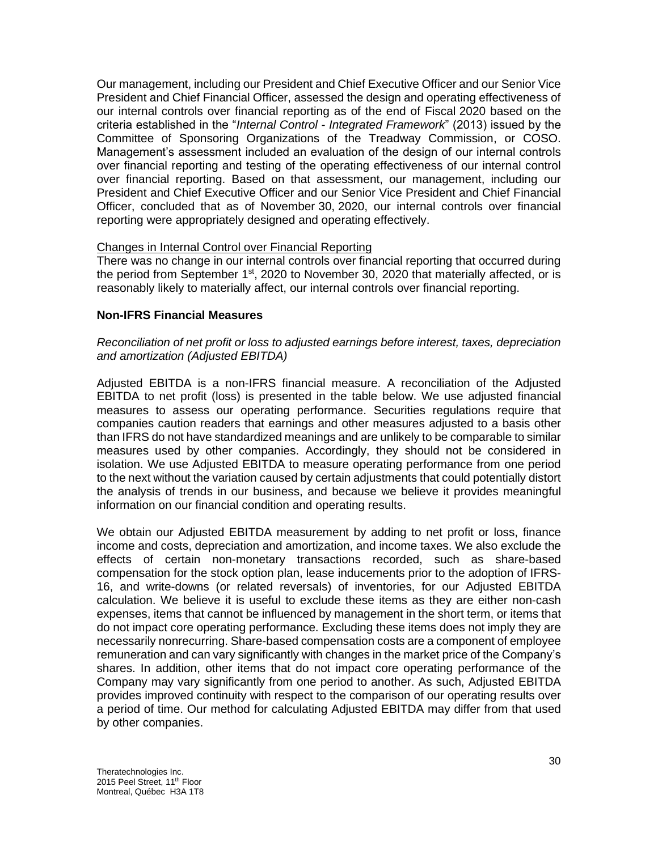Our management, including our President and Chief Executive Officer and our Senior Vice President and Chief Financial Officer, assessed the design and operating effectiveness of our internal controls over financial reporting as of the end of Fiscal 2020 based on the criteria established in the "*Internal Control - Integrated Framework*" (2013) issued by the Committee of Sponsoring Organizations of the Treadway Commission, or COSO. Management's assessment included an evaluation of the design of our internal controls over financial reporting and testing of the operating effectiveness of our internal control over financial reporting. Based on that assessment, our management, including our President and Chief Executive Officer and our Senior Vice President and Chief Financial Officer, concluded that as of November 30, 2020, our internal controls over financial reporting were appropriately designed and operating effectively.

# Changes in Internal Control over Financial Reporting

There was no change in our internal controls over financial reporting that occurred during the period from September 1<sup>st</sup>, 2020 to November 30, 2020 that materially affected, or is reasonably likely to materially affect, our internal controls over financial reporting.

## **Non-IFRS Financial Measures**

*Reconciliation of net profit or loss to adjusted earnings before interest, taxes, depreciation and amortization (Adjusted EBITDA)*

Adjusted EBITDA is a non-IFRS financial measure. A reconciliation of the Adjusted EBITDA to net profit (loss) is presented in the table below. We use adjusted financial measures to assess our operating performance. Securities regulations require that companies caution readers that earnings and other measures adjusted to a basis other than IFRS do not have standardized meanings and are unlikely to be comparable to similar measures used by other companies. Accordingly, they should not be considered in isolation. We use Adjusted EBITDA to measure operating performance from one period to the next without the variation caused by certain adjustments that could potentially distort the analysis of trends in our business, and because we believe it provides meaningful information on our financial condition and operating results.

We obtain our Adjusted EBITDA measurement by adding to net profit or loss, finance income and costs, depreciation and amortization, and income taxes. We also exclude the effects of certain non-monetary transactions recorded, such as share-based compensation for the stock option plan, lease inducements prior to the adoption of IFRS-16, and write-downs (or related reversals) of inventories, for our Adjusted EBITDA calculation. We believe it is useful to exclude these items as they are either non-cash expenses, items that cannot be influenced by management in the short term, or items that do not impact core operating performance. Excluding these items does not imply they are necessarily nonrecurring. Share-based compensation costs are a component of employee remuneration and can vary significantly with changes in the market price of the Company's shares. In addition, other items that do not impact core operating performance of the Company may vary significantly from one period to another. As such, Adjusted EBITDA provides improved continuity with respect to the comparison of our operating results over a period of time. Our method for calculating Adjusted EBITDA may differ from that used by other companies.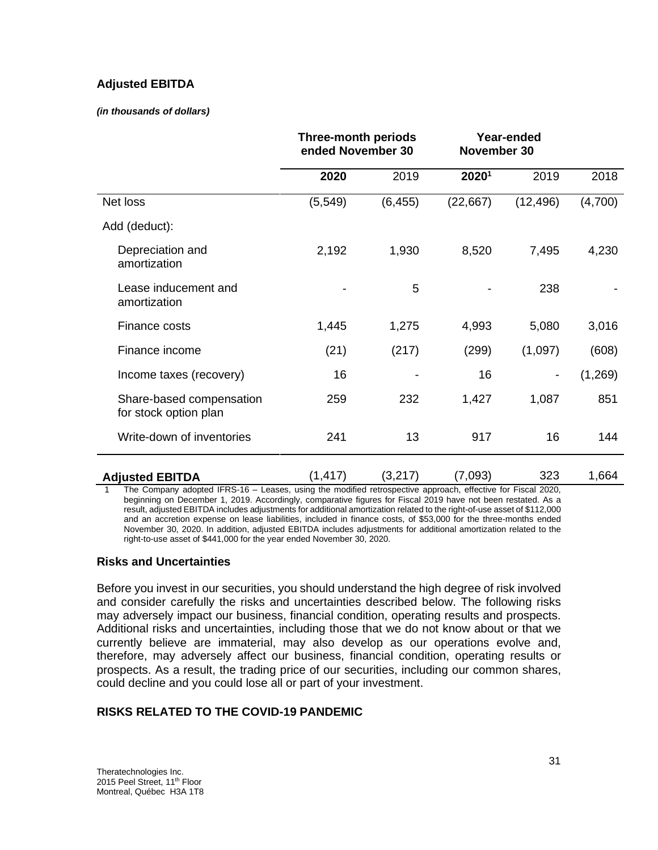# **Adjusted EBITDA**

#### *(in thousands of dollars)*

|                                                   | <b>Three-month periods</b><br>ended November 30 |          | Year-ended<br>November 30 |           |         |
|---------------------------------------------------|-------------------------------------------------|----------|---------------------------|-----------|---------|
|                                                   | 2020                                            | 2019     | 20201                     | 2019      | 2018    |
| Net loss                                          | (5, 549)                                        | (6, 455) | (22, 667)                 | (12, 496) | (4,700) |
| Add (deduct):                                     |                                                 |          |                           |           |         |
| Depreciation and<br>amortization                  | 2,192                                           | 1,930    | 8,520                     | 7,495     | 4,230   |
| Lease inducement and<br>amortization              |                                                 | 5        |                           | 238       |         |
| Finance costs                                     | 1,445                                           | 1,275    | 4,993                     | 5,080     | 3,016   |
| Finance income                                    | (21)                                            | (217)    | (299)                     | (1,097)   | (608)   |
| Income taxes (recovery)                           | 16                                              |          | 16                        |           | (1,269) |
| Share-based compensation<br>for stock option plan | 259                                             | 232      | 1,427                     | 1,087     | 851     |
| Write-down of inventories                         | 241                                             | 13       | 917                       | 16        | 144     |
| <b>Adjusted EBITDA</b>                            | (1, 417)                                        | (3,217)  | (7,093)                   | 323       | 1,664   |

1 The Company adopted IFRS-16 – Leases, using the modified retrospective approach, effective for Fiscal 2020, beginning on December 1, 2019. Accordingly, comparative figures for Fiscal 2019 have not been restated. As a result, adjusted EBITDA includes adjustments for additional amortization related to the right-of-use asset of \$112,000 and an accretion expense on lease liabilities, included in finance costs, of \$53,000 for the three-months ended November 30, 2020. In addition, adjusted EBITDA includes adjustments for additional amortization related to the right-to-use asset of \$441,000 for the year ended November 30, 2020.

# **Risks and Uncertainties**

Before you invest in our securities, you should understand the high degree of risk involved and consider carefully the risks and uncertainties described below. The following risks may adversely impact our business, financial condition, operating results and prospects. Additional risks and uncertainties, including those that we do not know about or that we currently believe are immaterial, may also develop as our operations evolve and, therefore, may adversely affect our business, financial condition, operating results or prospects. As a result, the trading price of our securities, including our common shares, could decline and you could lose all or part of your investment.

# **RISKS RELATED TO THE COVID-19 PANDEMIC**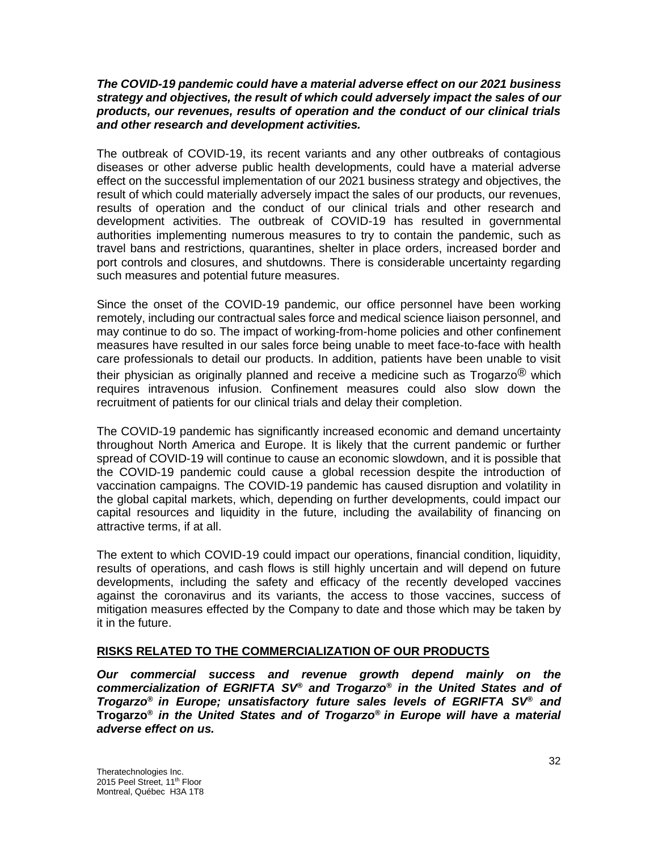### *The COVID-19 pandemic could have a material adverse effect on our 2021 business strategy and objectives, the result of which could adversely impact the sales of our products, our revenues, results of operation and the conduct of our clinical trials and other research and development activities.*

The outbreak of COVID-19, its recent variants and any other outbreaks of contagious diseases or other adverse public health developments, could have a material adverse effect on the successful implementation of our 2021 business strategy and objectives, the result of which could materially adversely impact the sales of our products, our revenues, results of operation and the conduct of our clinical trials and other research and development activities. The outbreak of COVID-19 has resulted in governmental authorities implementing numerous measures to try to contain the pandemic, such as travel bans and restrictions, quarantines, shelter in place orders, increased border and port controls and closures, and shutdowns. There is considerable uncertainty regarding such measures and potential future measures.

Since the onset of the COVID-19 pandemic, our office personnel have been working remotely, including our contractual sales force and medical science liaison personnel, and may continue to do so. The impact of working-from-home policies and other confinement measures have resulted in our sales force being unable to meet face-to-face with health care professionals to detail our products. In addition, patients have been unable to visit their physician as originally planned and receive a medicine such as Trogarzo<sup>®</sup> which requires intravenous infusion. Confinement measures could also slow down the recruitment of patients for our clinical trials and delay their completion.

The COVID-19 pandemic has significantly increased economic and demand uncertainty throughout North America and Europe. It is likely that the current pandemic or further spread of COVID-19 will continue to cause an economic slowdown, and it is possible that the COVID-19 pandemic could cause a global recession despite the introduction of vaccination campaigns. The COVID-19 pandemic has caused disruption and volatility in the global capital markets, which, depending on further developments, could impact our capital resources and liquidity in the future, including the availability of financing on attractive terms, if at all.

The extent to which COVID-19 could impact our operations, financial condition, liquidity, results of operations, and cash flows is still highly uncertain and will depend on future developments, including the safety and efficacy of the recently developed vaccines against the coronavirus and its variants, the access to those vaccines, success of mitigation measures effected by the Company to date and those which may be taken by it in the future.

# **RISKS RELATED TO THE COMMERCIALIZATION OF OUR PRODUCTS**

*Our commercial success and revenue growth depend mainly on the commercialization of EGRIFTA SV® and Trogarzo® in the United States and of Trogarzo® in Europe; unsatisfactory future sales levels of EGRIFTA SV® and* **Trogarzo®** *in the United States and of Trogarzo® in Europe will have a material adverse effect on us.*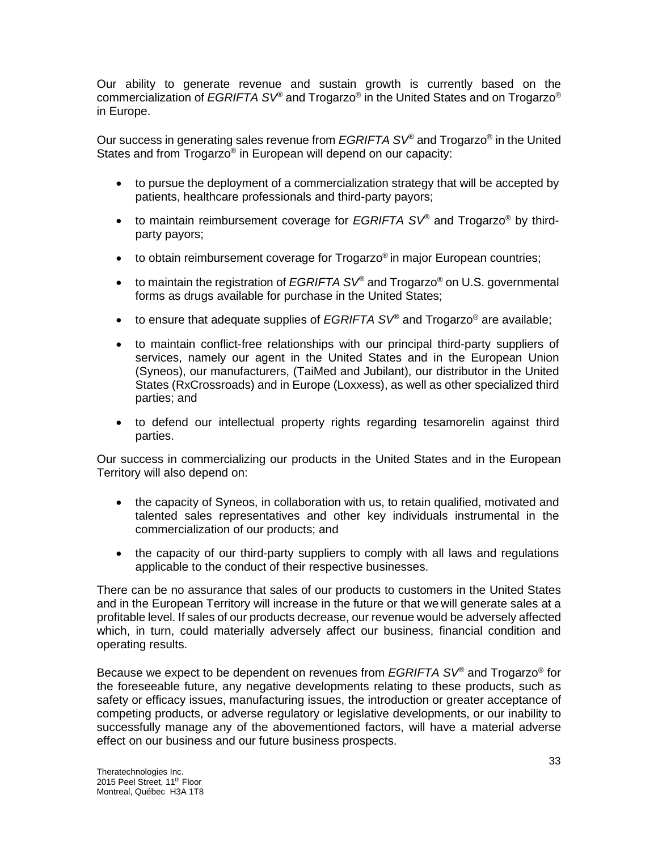Our ability to generate revenue and sustain growth is currently based on the commercialization of *EGRIFTA SV®* and Trogarzo® in the United States and on Trogarzo® in Europe.

Our success in generating sales revenue from *EGRIFTA SV®* and Trogarzo® in the United States and from Trogarzo® in European will depend on our capacity:

- to pursue the deployment of a commercialization strategy that will be accepted by patients, healthcare professionals and third-party payors;
- to maintain reimbursement coverage for *EGRIFTA SV®* and Trogarzo® by thirdparty payors;
- $\bullet$  to obtain reimbursement coverage for Trogarzo® in major European countries;
- to maintain the registration of *EGRIFTA SV®* and Trogarzo® on U.S. governmental forms as drugs available for purchase in the United States;
- to ensure that adequate supplies of *EGRIFTA SV®* and Trogarzo® are available;
- to maintain conflict-free relationships with our principal third-party suppliers of services, namely our agent in the United States and in the European Union (Syneos), our manufacturers, (TaiMed and Jubilant), our distributor in the United States (RxCrossroads) and in Europe (Loxxess), as well as other specialized third parties; and
- to defend our intellectual property rights regarding tesamorelin against third parties.

Our success in commercializing our products in the United States and in the European Territory will also depend on:

- the capacity of Syneos, in collaboration with us, to retain qualified, motivated and talented sales representatives and other key individuals instrumental in the commercialization of our products; and
- the capacity of our third-party suppliers to comply with all laws and regulations applicable to the conduct of their respective businesses.

There can be no assurance that sales of our products to customers in the United States and in the European Territory will increase in the future or that we will generate sales at a profitable level. If sales of our products decrease, our revenue would be adversely affected which, in turn, could materially adversely affect our business, financial condition and operating results.

Because we expect to be dependent on revenues from *EGRIFTA SV®* and Trogarzo® for the foreseeable future, any negative developments relating to these products, such as safety or efficacy issues, manufacturing issues, the introduction or greater acceptance of competing products, or adverse regulatory or legislative developments, or our inability to successfully manage any of the abovementioned factors, will have a material adverse effect on our business and our future business prospects.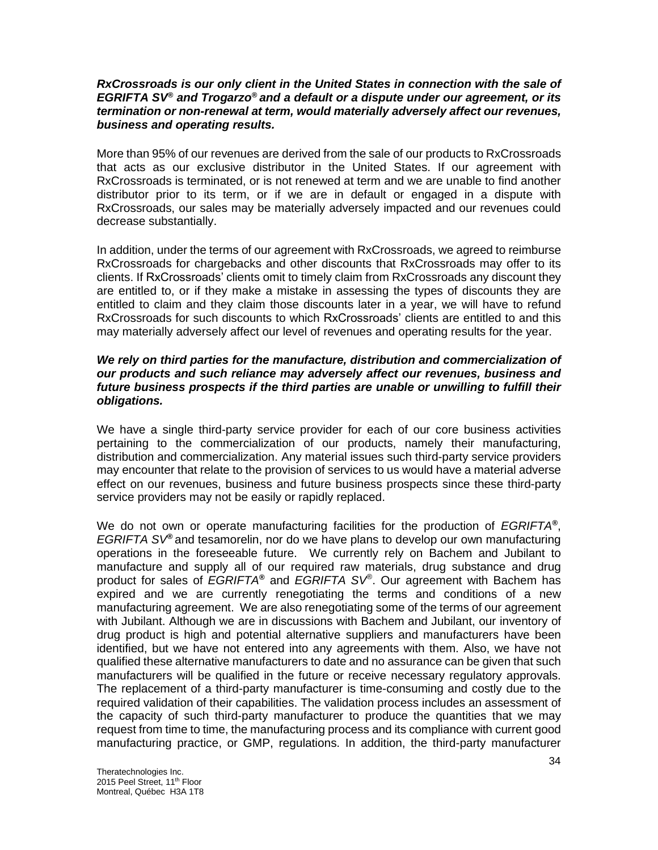### *RxCrossroads is our only client in the United States in connection with the sale of EGRIFTA SV® and Trogarzo® and a default or a dispute under our agreement, or its termination or non-renewal at term, would materially adversely affect our revenues, business and operating results.*

More than 95% of our revenues are derived from the sale of our products to RxCrossroads that acts as our exclusive distributor in the United States. If our agreement with RxCrossroads is terminated, or is not renewed at term and we are unable to find another distributor prior to its term, or if we are in default or engaged in a dispute with RxCrossroads, our sales may be materially adversely impacted and our revenues could decrease substantially.

In addition, under the terms of our agreement with RxCrossroads, we agreed to reimburse RxCrossroads for chargebacks and other discounts that RxCrossroads may offer to its clients. If RxCrossroads' clients omit to timely claim from RxCrossroads any discount they are entitled to, or if they make a mistake in assessing the types of discounts they are entitled to claim and they claim those discounts later in a year, we will have to refund RxCrossroads for such discounts to which RxCrossroads' clients are entitled to and this may materially adversely affect our level of revenues and operating results for the year.

### *We rely on third parties for the manufacture, distribution and commercialization of our products and such reliance may adversely affect our revenues, business and future business prospects if the third parties are unable or unwilling to fulfill their obligations.*

We have a single third-party service provider for each of our core business activities pertaining to the commercialization of our products, namely their manufacturing, distribution and commercialization. Any material issues such third-party service providers may encounter that relate to the provision of services to us would have a material adverse effect on our revenues, business and future business prospects since these third-party service providers may not be easily or rapidly replaced.

We do not own or operate manufacturing facilities for the production of *EGRIFTA®* , *EGRIFTA SV®* and tesamorelin, nor do we have plans to develop our own manufacturing operations in the foreseeable future. We currently rely on Bachem and Jubilant to manufacture and supply all of our required raw materials, drug substance and drug product for sales of *EGRIFTA®* and *EGRIFTA SV®* . Our agreement with Bachem has expired and we are currently renegotiating the terms and conditions of a new manufacturing agreement. We are also renegotiating some of the terms of our agreement with Jubilant. Although we are in discussions with Bachem and Jubilant, our inventory of drug product is high and potential alternative suppliers and manufacturers have been identified, but we have not entered into any agreements with them. Also, we have not qualified these alternative manufacturers to date and no assurance can be given that such manufacturers will be qualified in the future or receive necessary regulatory approvals. The replacement of a third-party manufacturer is time-consuming and costly due to the required validation of their capabilities. The validation process includes an assessment of the capacity of such third-party manufacturer to produce the quantities that we may request from time to time, the manufacturing process and its compliance with current good manufacturing practice, or GMP, regulations. In addition, the third-party manufacturer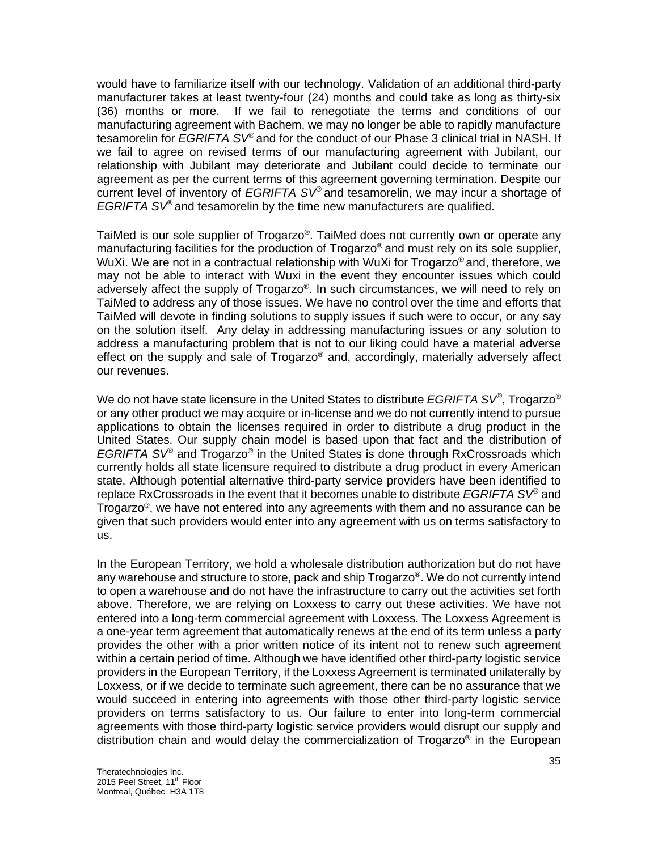would have to familiarize itself with our technology. Validation of an additional third-party manufacturer takes at least twenty-four (24) months and could take as long as thirty-six (36) months or more. If we fail to renegotiate the terms and conditions of our manufacturing agreement with Bachem, we may no longer be able to rapidly manufacture tesamorelin for *EGRIFTA SV®* and for the conduct of our Phase 3 clinical trial in NASH. If we fail to agree on revised terms of our manufacturing agreement with Jubilant, our relationship with Jubilant may deteriorate and Jubilant could decide to terminate our agreement as per the current terms of this agreement governing termination. Despite our current level of inventory of *EGRIFTA SV®* and tesamorelin, we may incur a shortage of *EGRIFTA SV®* and tesamorelin by the time new manufacturers are qualified.

TaiMed is our sole supplier of Trogarzo®. TaiMed does not currently own or operate any manufacturing facilities for the production of Trogarzo<sup>®</sup> and must rely on its sole supplier, WuXi. We are not in a contractual relationship with WuXi for Trogarzo® and, therefore, we may not be able to interact with Wuxi in the event they encounter issues which could adversely affect the supply of Trogarzo®. In such circumstances, we will need to rely on TaiMed to address any of those issues. We have no control over the time and efforts that TaiMed will devote in finding solutions to supply issues if such were to occur, or any say on the solution itself. Any delay in addressing manufacturing issues or any solution to address a manufacturing problem that is not to our liking could have a material adverse effect on the supply and sale of  $T_{\text{rogarzo}}^{\text{}}$  and, accordingly, materially adversely affect our revenues.

We do not have state licensure in the United States to distribute *EGRIFTA SV®* , Trogarzo® or any other product we may acquire or in-license and we do not currently intend to pursue applications to obtain the licenses required in order to distribute a drug product in the United States. Our supply chain model is based upon that fact and the distribution of *EGRIFTA SV®* and Trogarzo® in the United States is done through RxCrossroads which currently holds all state licensure required to distribute a drug product in every American state. Although potential alternative third-party service providers have been identified to replace RxCrossroads in the event that it becomes unable to distribute *EGRIFTA SV®* and Trogarzo® , we have not entered into any agreements with them and no assurance can be given that such providers would enter into any agreement with us on terms satisfactory to us.

In the European Territory, we hold a wholesale distribution authorization but do not have any warehouse and structure to store, pack and ship  $\sf{T}$ rogarzo $^\circledast$ . We do not currently intend to open a warehouse and do not have the infrastructure to carry out the activities set forth above. Therefore, we are relying on Loxxess to carry out these activities. We have not entered into a long-term commercial agreement with Loxxess. The Loxxess Agreement is a one-year term agreement that automatically renews at the end of its term unless a party provides the other with a prior written notice of its intent not to renew such agreement within a certain period of time. Although we have identified other third-party logistic service providers in the European Territory, if the Loxxess Agreement is terminated unilaterally by Loxxess, or if we decide to terminate such agreement, there can be no assurance that we would succeed in entering into agreements with those other third-party logistic service providers on terms satisfactory to us. Our failure to enter into long-term commercial agreements with those third-party logistic service providers would disrupt our supply and distribution chain and would delay the commercialization of Trogarzo® in the European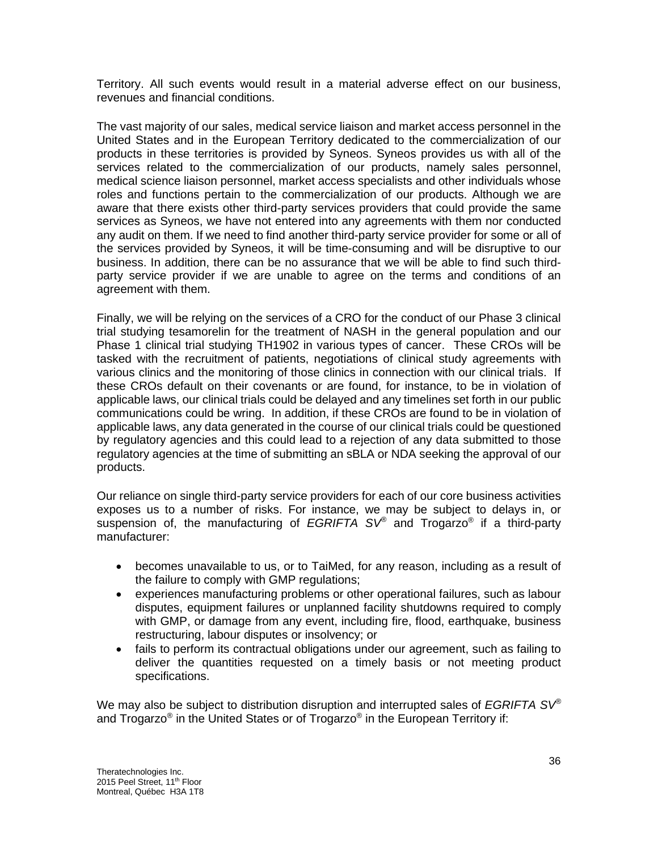Territory. All such events would result in a material adverse effect on our business, revenues and financial conditions.

The vast majority of our sales, medical service liaison and market access personnel in the United States and in the European Territory dedicated to the commercialization of our products in these territories is provided by Syneos. Syneos provides us with all of the services related to the commercialization of our products, namely sales personnel, medical science liaison personnel, market access specialists and other individuals whose roles and functions pertain to the commercialization of our products. Although we are aware that there exists other third-party services providers that could provide the same services as Syneos, we have not entered into any agreements with them nor conducted any audit on them. If we need to find another third-party service provider for some or all of the services provided by Syneos, it will be time-consuming and will be disruptive to our business. In addition, there can be no assurance that we will be able to find such thirdparty service provider if we are unable to agree on the terms and conditions of an agreement with them.

Finally, we will be relying on the services of a CRO for the conduct of our Phase 3 clinical trial studying tesamorelin for the treatment of NASH in the general population and our Phase 1 clinical trial studying TH1902 in various types of cancer. These CROs will be tasked with the recruitment of patients, negotiations of clinical study agreements with various clinics and the monitoring of those clinics in connection with our clinical trials. If these CROs default on their covenants or are found, for instance, to be in violation of applicable laws, our clinical trials could be delayed and any timelines set forth in our public communications could be wring. In addition, if these CROs are found to be in violation of applicable laws, any data generated in the course of our clinical trials could be questioned by regulatory agencies and this could lead to a rejection of any data submitted to those regulatory agencies at the time of submitting an sBLA or NDA seeking the approval of our products.

Our reliance on single third-party service providers for each of our core business activities exposes us to a number of risks. For instance, we may be subject to delays in, or suspension of, the manufacturing of *EGRIFTA SV®* and Trogarzo® if a third-party manufacturer:

- becomes unavailable to us, or to TaiMed, for any reason, including as a result of the failure to comply with GMP regulations;
- experiences manufacturing problems or other operational failures, such as labour disputes, equipment failures or unplanned facility shutdowns required to comply with GMP, or damage from any event, including fire, flood, earthquake, business restructuring, labour disputes or insolvency; or
- fails to perform its contractual obligations under our agreement, such as failing to deliver the quantities requested on a timely basis or not meeting product specifications.

We may also be subject to distribution disruption and interrupted sales of *EGRIFTA SV®* and Trogarzo® in the United States or of Trogarzo® in the European Territory if: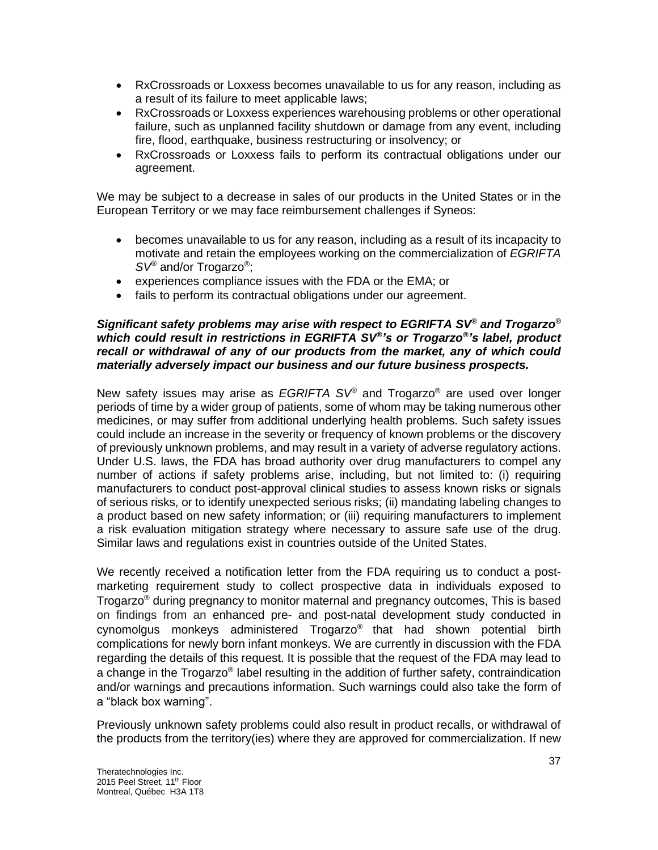- RxCrossroads or Loxxess becomes unavailable to us for any reason, including as a result of its failure to meet applicable laws;
- RxCrossroads or Loxxess experiences warehousing problems or other operational failure, such as unplanned facility shutdown or damage from any event, including fire, flood, earthquake, business restructuring or insolvency; or
- RxCrossroads or Loxxess fails to perform its contractual obligations under our agreement.

We may be subject to a decrease in sales of our products in the United States or in the European Territory or we may face reimbursement challenges if Syneos:

- becomes unavailable to us for any reason, including as a result of its incapacity to motivate and retain the employees working on the commercialization of *EGRIFTA SV®* and/or Trogarzo® ;
- experiences compliance issues with the FDA or the EMA; or
- fails to perform its contractual obligations under our agreement.

## *Significant safety problems may arise with respect to EGRIFTA SV® and Trogarzo® which could result in restrictions in EGRIFTA SV® 's or Trogarzo® 's label, product recall or withdrawal of any of our products from the market, any of which could materially adversely impact our business and our future business prospects.*

New safety issues may arise as *EGRIFTA SV®* and Trogarzo® are used over longer periods of time by a wider group of patients, some of whom may be taking numerous other medicines, or may suffer from additional underlying health problems. Such safety issues could include an increase in the severity or frequency of known problems or the discovery of previously unknown problems, and may result in a variety of adverse regulatory actions. Under U.S. laws, the FDA has broad authority over drug manufacturers to compel any number of actions if safety problems arise, including, but not limited to: (i) requiring manufacturers to conduct post-approval clinical studies to assess known risks or signals of serious risks, or to identify unexpected serious risks; (ii) mandating labeling changes to a product based on new safety information; or (iii) requiring manufacturers to implement a risk evaluation mitigation strategy where necessary to assure safe use of the drug. Similar laws and regulations exist in countries outside of the United States.

We recently received a notification letter from the FDA requiring us to conduct a postmarketing requirement study to collect prospective data in individuals exposed to Trogarzo® during pregnancy to monitor maternal and pregnancy outcomes, This is based on findings from an enhanced pre- and post-natal development study conducted in cynomolgus monkeys administered Trogarzo® that had shown potential birth complications for newly born infant monkeys. We are currently in discussion with the FDA regarding the details of this request. It is possible that the request of the FDA may lead to a change in the Trogarzo® label resulting in the addition of further safety, contraindication and/or warnings and precautions information. Such warnings could also take the form of a "black box warning".

Previously unknown safety problems could also result in product recalls, or withdrawal of the products from the territory(ies) where they are approved for commercialization. If new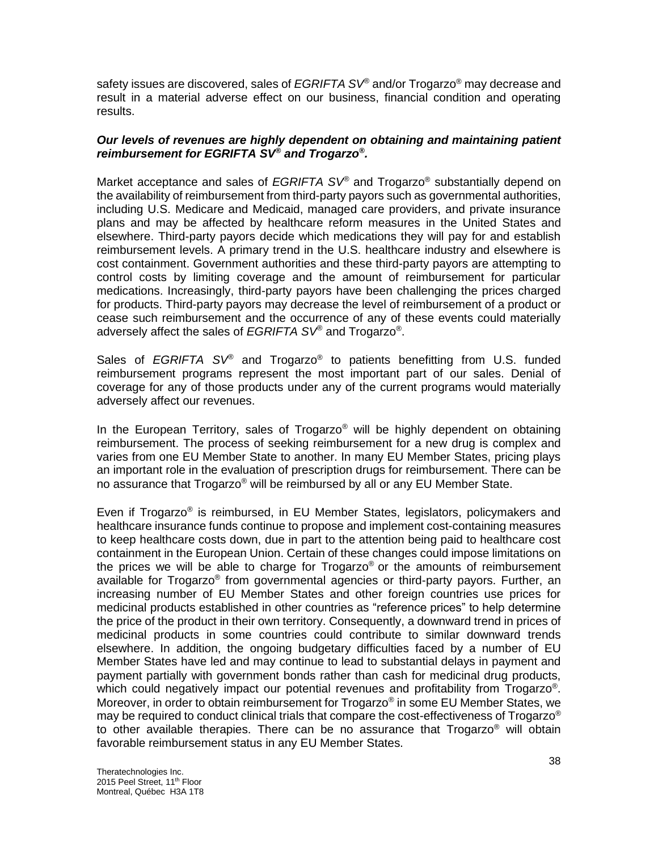safety issues are discovered, sales of *EGRIFTA SV®* and/or Trogarzo® may decrease and result in a material adverse effect on our business, financial condition and operating results.

## *Our levels of revenues are highly dependent on obtaining and maintaining patient reimbursement for EGRIFTA SV® and Trogarzo® .*

Market acceptance and sales of *EGRIFTA SV®* and Trogarzo® substantially depend on the availability of reimbursement from third-party payors such as governmental authorities, including U.S. Medicare and Medicaid, managed care providers, and private insurance plans and may be affected by healthcare reform measures in the United States and elsewhere. Third-party payors decide which medications they will pay for and establish reimbursement levels. A primary trend in the U.S. healthcare industry and elsewhere is cost containment. Government authorities and these third-party payors are attempting to control costs by limiting coverage and the amount of reimbursement for particular medications. Increasingly, third-party payors have been challenging the prices charged for products. Third-party payors may decrease the level of reimbursement of a product or cease such reimbursement and the occurrence of any of these events could materially adversely affect the sales of *EGRIFTA SV®* and Trogarzo® .

Sales of *EGRIFTA SV®* and Trogarzo® to patients benefitting from U.S. funded reimbursement programs represent the most important part of our sales. Denial of coverage for any of those products under any of the current programs would materially adversely affect our revenues.

In the European Territory, sales of Trogarzo<sup>®</sup> will be highly dependent on obtaining reimbursement. The process of seeking reimbursement for a new drug is complex and varies from one EU Member State to another. In many EU Member States, pricing plays an important role in the evaluation of prescription drugs for reimbursement. There can be no assurance that Trogarzo® will be reimbursed by all or any EU Member State.

Even if Trogarzo® is reimbursed, in EU Member States, legislators, policymakers and healthcare insurance funds continue to propose and implement cost-containing measures to keep healthcare costs down, due in part to the attention being paid to healthcare cost containment in the European Union. Certain of these changes could impose limitations on the prices we will be able to charge for Trogarzo® or the amounts of reimbursement available for Trogarzo® from governmental agencies or third-party payors. Further, an increasing number of EU Member States and other foreign countries use prices for medicinal products established in other countries as "reference prices" to help determine the price of the product in their own territory. Consequently, a downward trend in prices of medicinal products in some countries could contribute to similar downward trends elsewhere. In addition, the ongoing budgetary difficulties faced by a number of EU Member States have led and may continue to lead to substantial delays in payment and payment partially with government bonds rather than cash for medicinal drug products, which could negatively impact our potential revenues and profitability from Trogarzo®. Moreover, in order to obtain reimbursement for Trogarzo® in some EU Member States, we may be required to conduct clinical trials that compare the cost-effectiveness of Trogarzo<sup>®</sup> to other available therapies. There can be no assurance that  $T$ rogarzo<sup>®</sup> will obtain favorable reimbursement status in any EU Member States.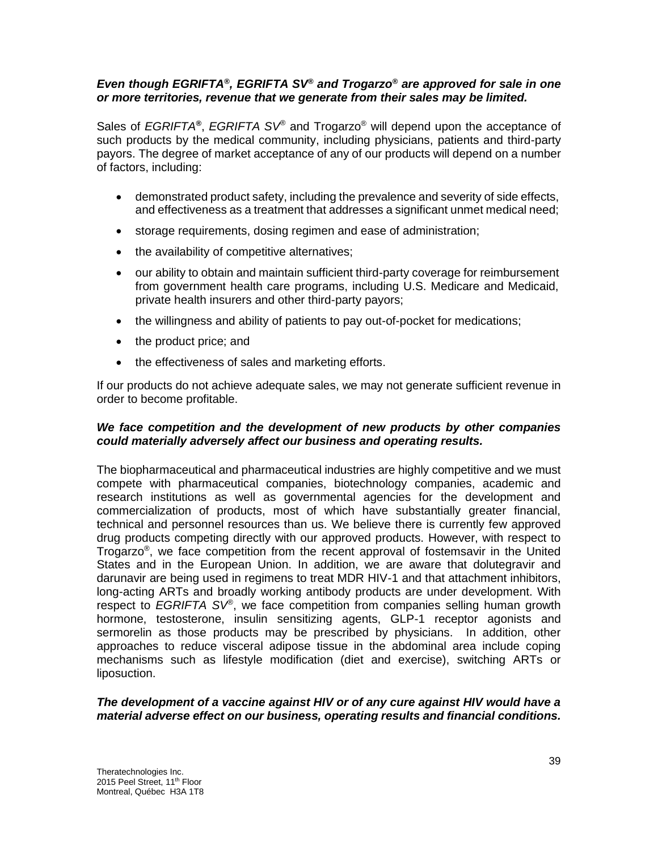# *Even though EGRIFTA® , EGRIFTA SV® and Trogarzo® are approved for sale in one or more territories, revenue that we generate from their sales may be limited.*

Sales of *EGRIFTA®*, *EGRIFTA SV<sup>®</sup>* and Trogarzo<sup>®</sup> will depend upon the acceptance of such products by the medical community, including physicians, patients and third-party payors. The degree of market acceptance of any of our products will depend on a number of factors, including:

- demonstrated product safety, including the prevalence and severity of side effects, and effectiveness as a treatment that addresses a significant unmet medical need;
- storage requirements, dosing regimen and ease of administration;
- the availability of competitive alternatives;
- our ability to obtain and maintain sufficient third-party coverage for reimbursement from government health care programs, including U.S. Medicare and Medicaid, private health insurers and other third-party payors;
- the willingness and ability of patients to pay out-of-pocket for medications;
- the product price; and
- the effectiveness of sales and marketing efforts.

If our products do not achieve adequate sales, we may not generate sufficient revenue in order to become profitable.

# *We face competition and the development of new products by other companies could materially adversely affect our business and operating results.*

The biopharmaceutical and pharmaceutical industries are highly competitive and we must compete with pharmaceutical companies, biotechnology companies, academic and research institutions as well as governmental agencies for the development and commercialization of products, most of which have substantially greater financial, technical and personnel resources than us. We believe there is currently few approved drug products competing directly with our approved products. However, with respect to Trogarzo® , we face competition from the recent approval of fostemsavir in the United States and in the European Union. In addition, we are aware that dolutegravir and darunavir are being used in regimens to treat MDR HIV-1 and that attachment inhibitors, long-acting ARTs and broadly working antibody products are under development. With respect to *EGRIFTA SV®* , we face competition from companies selling human growth hormone, testosterone, insulin sensitizing agents, GLP-1 receptor agonists and sermorelin as those products may be prescribed by physicians. In addition, other approaches to reduce visceral adipose tissue in the abdominal area include coping mechanisms such as lifestyle modification (diet and exercise), switching ARTs or liposuction.

## *The development of a vaccine against HIV or of any cure against HIV would have a material adverse effect on our business, operating results and financial conditions.*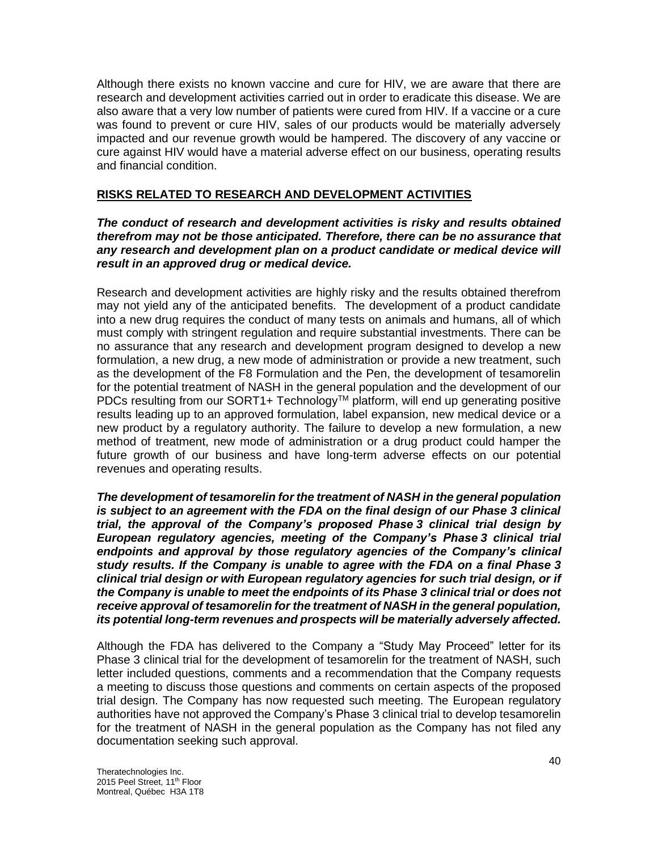Although there exists no known vaccine and cure for HIV, we are aware that there are research and development activities carried out in order to eradicate this disease. We are also aware that a very low number of patients were cured from HIV. If a vaccine or a cure was found to prevent or cure HIV, sales of our products would be materially adversely impacted and our revenue growth would be hampered. The discovery of any vaccine or cure against HIV would have a material adverse effect on our business, operating results and financial condition.

# **RISKS RELATED TO RESEARCH AND DEVELOPMENT ACTIVITIES**

## *The conduct of research and development activities is risky and results obtained therefrom may not be those anticipated. Therefore, there can be no assurance that any research and development plan on a product candidate or medical device will result in an approved drug or medical device.*

Research and development activities are highly risky and the results obtained therefrom may not yield any of the anticipated benefits. The development of a product candidate into a new drug requires the conduct of many tests on animals and humans, all of which must comply with stringent regulation and require substantial investments. There can be no assurance that any research and development program designed to develop a new formulation, a new drug, a new mode of administration or provide a new treatment, such as the development of the F8 Formulation and the Pen, the development of tesamorelin for the potential treatment of NASH in the general population and the development of our PDCs resulting from our SORT1+ Technology™ platform, will end up generating positive results leading up to an approved formulation, label expansion, new medical device or a new product by a regulatory authority. The failure to develop a new formulation, a new method of treatment, new mode of administration or a drug product could hamper the future growth of our business and have long-term adverse effects on our potential revenues and operating results.

*The development of tesamorelin for the treatment of NASH in the general population is subject to an agreement with the FDA on the final design of our Phase 3 clinical trial, the approval of the Company's proposed Phase 3 clinical trial design by European regulatory agencies, meeting of the Company's Phase 3 clinical trial endpoints and approval by those regulatory agencies of the Company's clinical study results. If the Company is unable to agree with the FDA on a final Phase 3 clinical trial design or with European regulatory agencies for such trial design, or if the Company is unable to meet the endpoints of its Phase 3 clinical trial or does not receive approval of tesamorelin for the treatment of NASH in the general population, its potential long-term revenues and prospects will be materially adversely affected.*

Although the FDA has delivered to the Company a "Study May Proceed" letter for its Phase 3 clinical trial for the development of tesamorelin for the treatment of NASH, such letter included questions, comments and a recommendation that the Company requests a meeting to discuss those questions and comments on certain aspects of the proposed trial design. The Company has now requested such meeting. The European regulatory authorities have not approved the Company's Phase 3 clinical trial to develop tesamorelin for the treatment of NASH in the general population as the Company has not filed any documentation seeking such approval.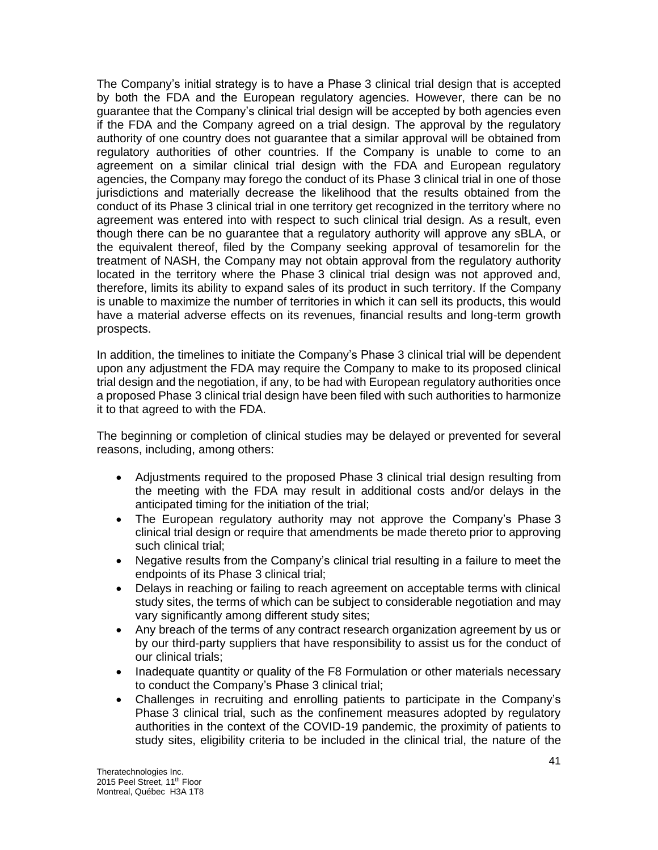The Company's initial strategy is to have a Phase 3 clinical trial design that is accepted by both the FDA and the European regulatory agencies. However, there can be no guarantee that the Company's clinical trial design will be accepted by both agencies even if the FDA and the Company agreed on a trial design. The approval by the regulatory authority of one country does not guarantee that a similar approval will be obtained from regulatory authorities of other countries. If the Company is unable to come to an agreement on a similar clinical trial design with the FDA and European regulatory agencies, the Company may forego the conduct of its Phase 3 clinical trial in one of those jurisdictions and materially decrease the likelihood that the results obtained from the conduct of its Phase 3 clinical trial in one territory get recognized in the territory where no agreement was entered into with respect to such clinical trial design. As a result, even though there can be no guarantee that a regulatory authority will approve any sBLA, or the equivalent thereof, filed by the Company seeking approval of tesamorelin for the treatment of NASH, the Company may not obtain approval from the regulatory authority located in the territory where the Phase 3 clinical trial design was not approved and, therefore, limits its ability to expand sales of its product in such territory. If the Company is unable to maximize the number of territories in which it can sell its products, this would have a material adverse effects on its revenues, financial results and long-term growth prospects.

In addition, the timelines to initiate the Company's Phase 3 clinical trial will be dependent upon any adjustment the FDA may require the Company to make to its proposed clinical trial design and the negotiation, if any, to be had with European regulatory authorities once a proposed Phase 3 clinical trial design have been filed with such authorities to harmonize it to that agreed to with the FDA.

The beginning or completion of clinical studies may be delayed or prevented for several reasons, including, among others:

- Adjustments required to the proposed Phase 3 clinical trial design resulting from the meeting with the FDA may result in additional costs and/or delays in the anticipated timing for the initiation of the trial;
- The European regulatory authority may not approve the Company's Phase 3 clinical trial design or require that amendments be made thereto prior to approving such clinical trial;
- Negative results from the Company's clinical trial resulting in a failure to meet the endpoints of its Phase 3 clinical trial;
- Delays in reaching or failing to reach agreement on acceptable terms with clinical study sites, the terms of which can be subject to considerable negotiation and may vary significantly among different study sites;
- Any breach of the terms of any contract research organization agreement by us or by our third-party suppliers that have responsibility to assist us for the conduct of our clinical trials;
- Inadequate quantity or quality of the F8 Formulation or other materials necessary to conduct the Company's Phase 3 clinical trial;
- Challenges in recruiting and enrolling patients to participate in the Company's Phase 3 clinical trial, such as the confinement measures adopted by regulatory authorities in the context of the COVID-19 pandemic, the proximity of patients to study sites, eligibility criteria to be included in the clinical trial, the nature of the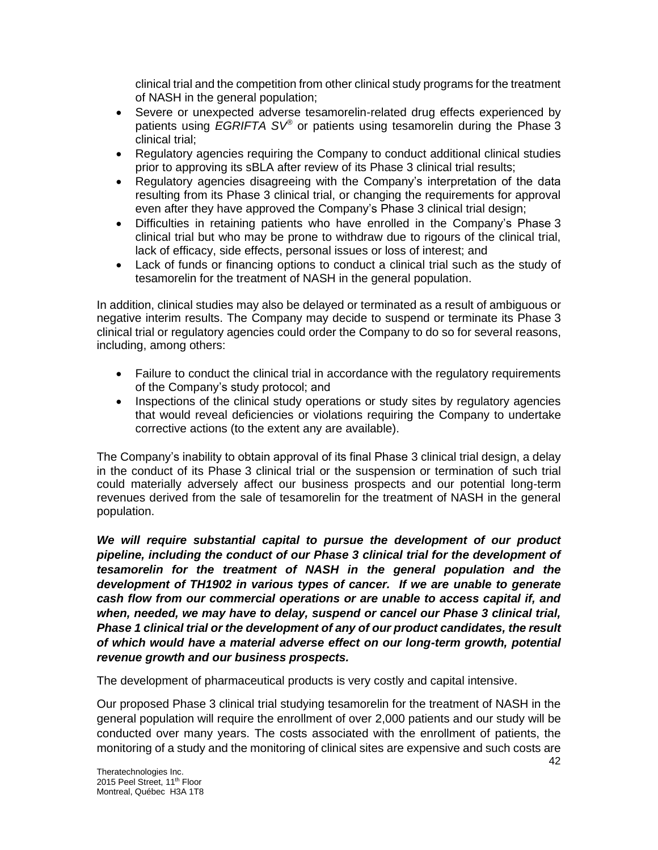clinical trial and the competition from other clinical study programs for the treatment of NASH in the general population;

- Severe or unexpected adverse tesamorelin-related drug effects experienced by patients using *EGRIFTA SV®* or patients using tesamorelin during the Phase 3 clinical trial;
- Regulatory agencies requiring the Company to conduct additional clinical studies prior to approving its sBLA after review of its Phase 3 clinical trial results;
- Regulatory agencies disagreeing with the Company's interpretation of the data resulting from its Phase 3 clinical trial, or changing the requirements for approval even after they have approved the Company's Phase 3 clinical trial design;
- Difficulties in retaining patients who have enrolled in the Company's Phase 3 clinical trial but who may be prone to withdraw due to rigours of the clinical trial, lack of efficacy, side effects, personal issues or loss of interest; and
- Lack of funds or financing options to conduct a clinical trial such as the study of tesamorelin for the treatment of NASH in the general population.

In addition, clinical studies may also be delayed or terminated as a result of ambiguous or negative interim results. The Company may decide to suspend or terminate its Phase 3 clinical trial or regulatory agencies could order the Company to do so for several reasons, including, among others:

- Failure to conduct the clinical trial in accordance with the regulatory requirements of the Company's study protocol; and
- Inspections of the clinical study operations or study sites by regulatory agencies that would reveal deficiencies or violations requiring the Company to undertake corrective actions (to the extent any are available).

The Company's inability to obtain approval of its final Phase 3 clinical trial design, a delay in the conduct of its Phase 3 clinical trial or the suspension or termination of such trial could materially adversely affect our business prospects and our potential long-term revenues derived from the sale of tesamorelin for the treatment of NASH in the general population.

*We will require substantial capital to pursue the development of our product pipeline, including the conduct of our Phase 3 clinical trial for the development of tesamorelin for the treatment of NASH in the general population and the development of TH1902 in various types of cancer. If we are unable to generate cash flow from our commercial operations or are unable to access capital if, and when, needed, we may have to delay, suspend or cancel our Phase 3 clinical trial, Phase 1 clinical trial or the development of any of our product candidates, the result of which would have a material adverse effect on our long-term growth, potential revenue growth and our business prospects.*

The development of pharmaceutical products is very costly and capital intensive.

Our proposed Phase 3 clinical trial studying tesamorelin for the treatment of NASH in the general population will require the enrollment of over 2,000 patients and our study will be conducted over many years. The costs associated with the enrollment of patients, the monitoring of a study and the monitoring of clinical sites are expensive and such costs are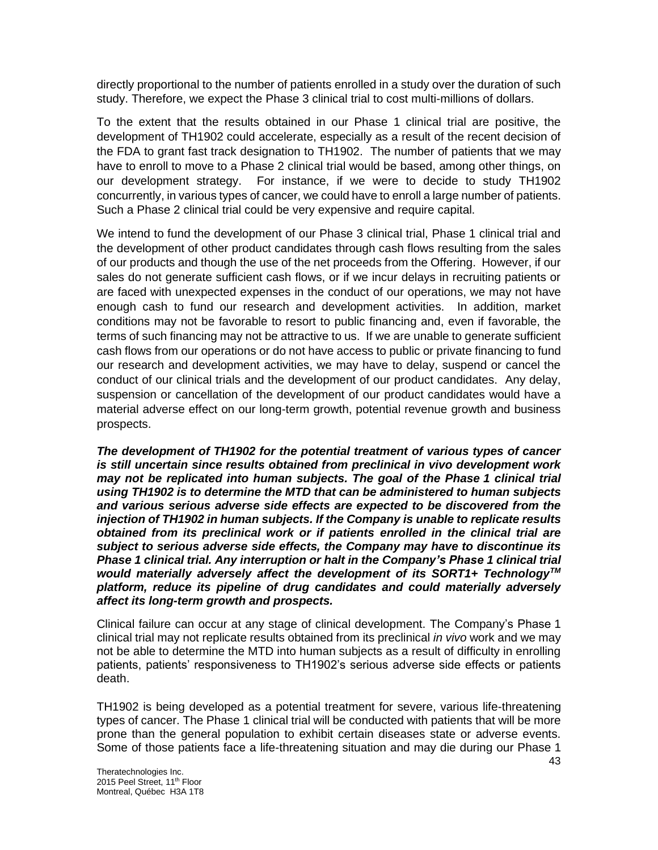directly proportional to the number of patients enrolled in a study over the duration of such study. Therefore, we expect the Phase 3 clinical trial to cost multi-millions of dollars.

To the extent that the results obtained in our Phase 1 clinical trial are positive, the development of TH1902 could accelerate, especially as a result of the recent decision of the FDA to grant fast track designation to TH1902. The number of patients that we may have to enroll to move to a Phase 2 clinical trial would be based, among other things, on our development strategy. For instance, if we were to decide to study TH1902 concurrently, in various types of cancer, we could have to enroll a large number of patients. Such a Phase 2 clinical trial could be very expensive and require capital.

We intend to fund the development of our Phase 3 clinical trial, Phase 1 clinical trial and the development of other product candidates through cash flows resulting from the sales of our products and though the use of the net proceeds from the Offering. However, if our sales do not generate sufficient cash flows, or if we incur delays in recruiting patients or are faced with unexpected expenses in the conduct of our operations, we may not have enough cash to fund our research and development activities. In addition, market conditions may not be favorable to resort to public financing and, even if favorable, the terms of such financing may not be attractive to us. If we are unable to generate sufficient cash flows from our operations or do not have access to public or private financing to fund our research and development activities, we may have to delay, suspend or cancel the conduct of our clinical trials and the development of our product candidates. Any delay, suspension or cancellation of the development of our product candidates would have a material adverse effect on our long-term growth, potential revenue growth and business prospects.

*The development of TH1902 for the potential treatment of various types of cancer is still uncertain since results obtained from preclinical in vivo development work may not be replicated into human subjects. The goal of the Phase 1 clinical trial using TH1902 is to determine the MTD that can be administered to human subjects and various serious adverse side effects are expected to be discovered from the injection of TH1902 in human subjects. If the Company is unable to replicate results obtained from its preclinical work or if patients enrolled in the clinical trial are subject to serious adverse side effects, the Company may have to discontinue its Phase 1 clinical trial. Any interruption or halt in the Company's Phase 1 clinical trial would materially adversely affect the development of its SORT1+ TechnologyTM platform, reduce its pipeline of drug candidates and could materially adversely affect its long-term growth and prospects.*

Clinical failure can occur at any stage of clinical development. The Company's Phase 1 clinical trial may not replicate results obtained from its preclinical *in vivo* work and we may not be able to determine the MTD into human subjects as a result of difficulty in enrolling patients, patients' responsiveness to TH1902's serious adverse side effects or patients death.

TH1902 is being developed as a potential treatment for severe, various life-threatening types of cancer. The Phase 1 clinical trial will be conducted with patients that will be more prone than the general population to exhibit certain diseases state or adverse events. Some of those patients face a life-threatening situation and may die during our Phase 1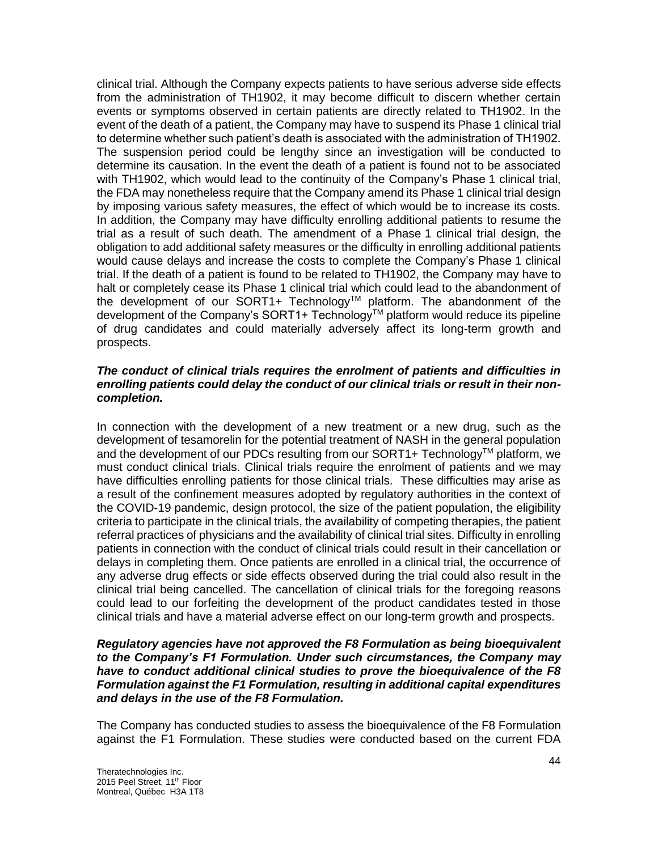clinical trial. Although the Company expects patients to have serious adverse side effects from the administration of TH1902, it may become difficult to discern whether certain events or symptoms observed in certain patients are directly related to TH1902. In the event of the death of a patient, the Company may have to suspend its Phase 1 clinical trial to determine whether such patient's death is associated with the administration of TH1902. The suspension period could be lengthy since an investigation will be conducted to determine its causation. In the event the death of a patient is found not to be associated with TH1902, which would lead to the continuity of the Company's Phase 1 clinical trial, the FDA may nonetheless require that the Company amend its Phase 1 clinical trial design by imposing various safety measures, the effect of which would be to increase its costs. In addition, the Company may have difficulty enrolling additional patients to resume the trial as a result of such death. The amendment of a Phase 1 clinical trial design, the obligation to add additional safety measures or the difficulty in enrolling additional patients would cause delays and increase the costs to complete the Company's Phase 1 clinical trial. If the death of a patient is found to be related to TH1902, the Company may have to halt or completely cease its Phase 1 clinical trial which could lead to the abandonment of the development of our SORT1+ Technology™ platform. The abandonment of the development of the Company's SORT1+ Technology™ platform would reduce its pipeline of drug candidates and could materially adversely affect its long-term growth and prospects.

## *The conduct of clinical trials requires the enrolment of patients and difficulties in enrolling patients could delay the conduct of our clinical trials or result in their noncompletion.*

In connection with the development of a new treatment or a new drug, such as the development of tesamorelin for the potential treatment of NASH in the general population and the development of our PDCs resulting from our SORT1+ Technology™ platform, we must conduct clinical trials. Clinical trials require the enrolment of patients and we may have difficulties enrolling patients for those clinical trials. These difficulties may arise as a result of the confinement measures adopted by regulatory authorities in the context of the COVID-19 pandemic, design protocol, the size of the patient population, the eligibility criteria to participate in the clinical trials, the availability of competing therapies, the patient referral practices of physicians and the availability of clinical trial sites. Difficulty in enrolling patients in connection with the conduct of clinical trials could result in their cancellation or delays in completing them. Once patients are enrolled in a clinical trial, the occurrence of any adverse drug effects or side effects observed during the trial could also result in the clinical trial being cancelled. The cancellation of clinical trials for the foregoing reasons could lead to our forfeiting the development of the product candidates tested in those clinical trials and have a material adverse effect on our long-term growth and prospects.

#### *Regulatory agencies have not approved the F8 Formulation as being bioequivalent to the Company's F1 Formulation. Under such circumstances, the Company may have to conduct additional clinical studies to prove the bioequivalence of the F8 Formulation against the F1 Formulation, resulting in additional capital expenditures and delays in the use of the F8 Formulation.*

The Company has conducted studies to assess the bioequivalence of the F8 Formulation against the F1 Formulation. These studies were conducted based on the current FDA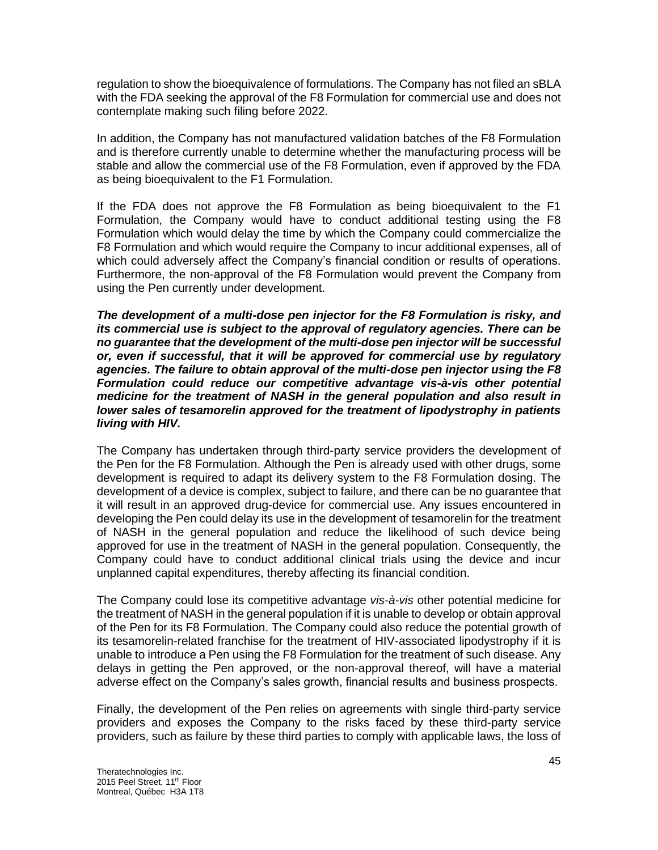regulation to show the bioequivalence of formulations. The Company has not filed an sBLA with the FDA seeking the approval of the F8 Formulation for commercial use and does not contemplate making such filing before 2022.

In addition, the Company has not manufactured validation batches of the F8 Formulation and is therefore currently unable to determine whether the manufacturing process will be stable and allow the commercial use of the F8 Formulation, even if approved by the FDA as being bioequivalent to the F1 Formulation.

If the FDA does not approve the F8 Formulation as being bioequivalent to the F1 Formulation, the Company would have to conduct additional testing using the F8 Formulation which would delay the time by which the Company could commercialize the F8 Formulation and which would require the Company to incur additional expenses, all of which could adversely affect the Company's financial condition or results of operations. Furthermore, the non-approval of the F8 Formulation would prevent the Company from using the Pen currently under development.

*The development of a multi-dose pen injector for the F8 Formulation is risky, and its commercial use is subject to the approval of regulatory agencies. There can be no guarantee that the development of the multi-dose pen injector will be successful or, even if successful, that it will be approved for commercial use by regulatory agencies. The failure to obtain approval of the multi-dose pen injector using the F8 Formulation could reduce our competitive advantage vis-à-vis other potential medicine for the treatment of NASH in the general population and also result in lower sales of tesamorelin approved for the treatment of lipodystrophy in patients living with HIV.*

The Company has undertaken through third-party service providers the development of the Pen for the F8 Formulation. Although the Pen is already used with other drugs, some development is required to adapt its delivery system to the F8 Formulation dosing. The development of a device is complex, subject to failure, and there can be no guarantee that it will result in an approved drug-device for commercial use. Any issues encountered in developing the Pen could delay its use in the development of tesamorelin for the treatment of NASH in the general population and reduce the likelihood of such device being approved for use in the treatment of NASH in the general population. Consequently, the Company could have to conduct additional clinical trials using the device and incur unplanned capital expenditures, thereby affecting its financial condition.

The Company could lose its competitive advantage *vis-à-vis* other potential medicine for the treatment of NASH in the general population if it is unable to develop or obtain approval of the Pen for its F8 Formulation. The Company could also reduce the potential growth of its tesamorelin-related franchise for the treatment of HIV-associated lipodystrophy if it is unable to introduce a Pen using the F8 Formulation for the treatment of such disease. Any delays in getting the Pen approved, or the non-approval thereof, will have a material adverse effect on the Company's sales growth, financial results and business prospects.

Finally, the development of the Pen relies on agreements with single third-party service providers and exposes the Company to the risks faced by these third-party service providers, such as failure by these third parties to comply with applicable laws, the loss of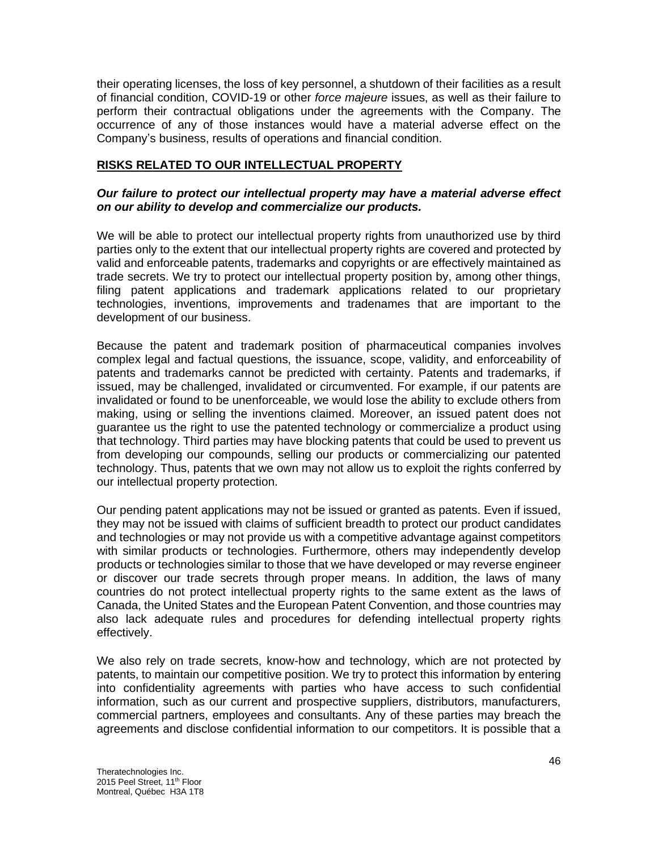their operating licenses, the loss of key personnel, a shutdown of their facilities as a result of financial condition, COVID-19 or other *force majeure* issues, as well as their failure to perform their contractual obligations under the agreements with the Company. The occurrence of any of those instances would have a material adverse effect on the Company's business, results of operations and financial condition.

# **RISKS RELATED TO OUR INTELLECTUAL PROPERTY**

## *Our failure to protect our intellectual property may have a material adverse effect on our ability to develop and commercialize our products.*

We will be able to protect our intellectual property rights from unauthorized use by third parties only to the extent that our intellectual property rights are covered and protected by valid and enforceable patents, trademarks and copyrights or are effectively maintained as trade secrets. We try to protect our intellectual property position by, among other things, filing patent applications and trademark applications related to our proprietary technologies, inventions, improvements and tradenames that are important to the development of our business.

Because the patent and trademark position of pharmaceutical companies involves complex legal and factual questions, the issuance, scope, validity, and enforceability of patents and trademarks cannot be predicted with certainty. Patents and trademarks, if issued, may be challenged, invalidated or circumvented. For example, if our patents are invalidated or found to be unenforceable, we would lose the ability to exclude others from making, using or selling the inventions claimed. Moreover, an issued patent does not guarantee us the right to use the patented technology or commercialize a product using that technology. Third parties may have blocking patents that could be used to prevent us from developing our compounds, selling our products or commercializing our patented technology. Thus, patents that we own may not allow us to exploit the rights conferred by our intellectual property protection.

Our pending patent applications may not be issued or granted as patents. Even if issued, they may not be issued with claims of sufficient breadth to protect our product candidates and technologies or may not provide us with a competitive advantage against competitors with similar products or technologies. Furthermore, others may independently develop products or technologies similar to those that we have developed or may reverse engineer or discover our trade secrets through proper means. In addition, the laws of many countries do not protect intellectual property rights to the same extent as the laws of Canada, the United States and the European Patent Convention, and those countries may also lack adequate rules and procedures for defending intellectual property rights effectively.

We also rely on trade secrets, know-how and technology, which are not protected by patents, to maintain our competitive position. We try to protect this information by entering into confidentiality agreements with parties who have access to such confidential information, such as our current and prospective suppliers, distributors, manufacturers, commercial partners, employees and consultants. Any of these parties may breach the agreements and disclose confidential information to our competitors. It is possible that a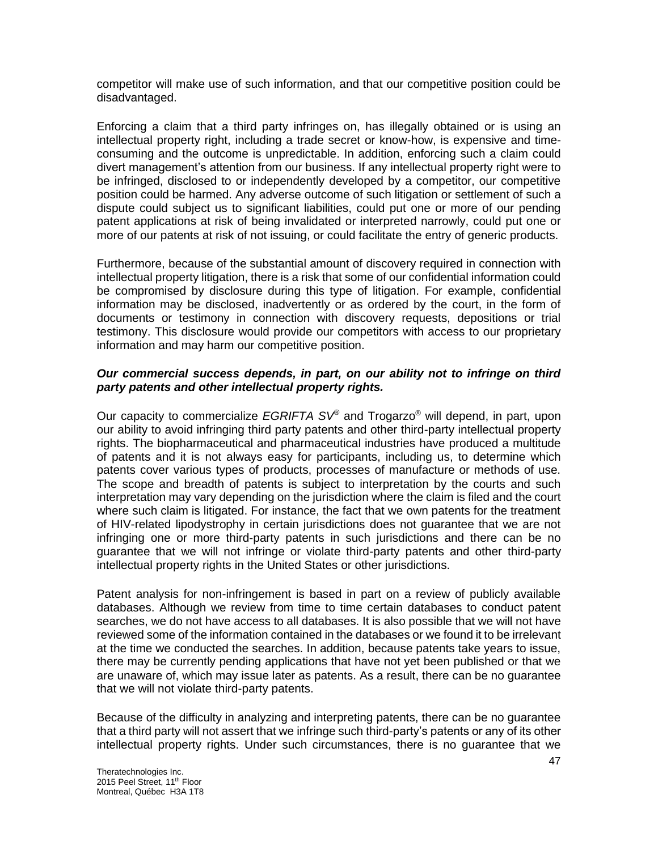competitor will make use of such information, and that our competitive position could be disadvantaged.

Enforcing a claim that a third party infringes on, has illegally obtained or is using an intellectual property right, including a trade secret or know-how, is expensive and timeconsuming and the outcome is unpredictable. In addition, enforcing such a claim could divert management's attention from our business. If any intellectual property right were to be infringed, disclosed to or independently developed by a competitor, our competitive position could be harmed. Any adverse outcome of such litigation or settlement of such a dispute could subject us to significant liabilities, could put one or more of our pending patent applications at risk of being invalidated or interpreted narrowly, could put one or more of our patents at risk of not issuing, or could facilitate the entry of generic products.

Furthermore, because of the substantial amount of discovery required in connection with intellectual property litigation, there is a risk that some of our confidential information could be compromised by disclosure during this type of litigation. For example, confidential information may be disclosed, inadvertently or as ordered by the court, in the form of documents or testimony in connection with discovery requests, depositions or trial testimony. This disclosure would provide our competitors with access to our proprietary information and may harm our competitive position.

## *Our commercial success depends, in part, on our ability not to infringe on third party patents and other intellectual property rights.*

Our capacity to commercialize *EGRIFTA SV®* and Trogarzo® will depend, in part, upon our ability to avoid infringing third party patents and other third-party intellectual property rights. The biopharmaceutical and pharmaceutical industries have produced a multitude of patents and it is not always easy for participants, including us, to determine which patents cover various types of products, processes of manufacture or methods of use. The scope and breadth of patents is subject to interpretation by the courts and such interpretation may vary depending on the jurisdiction where the claim is filed and the court where such claim is litigated. For instance, the fact that we own patents for the treatment of HIV-related lipodystrophy in certain jurisdictions does not guarantee that we are not infringing one or more third-party patents in such jurisdictions and there can be no guarantee that we will not infringe or violate third-party patents and other third-party intellectual property rights in the United States or other jurisdictions.

Patent analysis for non-infringement is based in part on a review of publicly available databases. Although we review from time to time certain databases to conduct patent searches, we do not have access to all databases. It is also possible that we will not have reviewed some of the information contained in the databases or we found it to be irrelevant at the time we conducted the searches. In addition, because patents take years to issue, there may be currently pending applications that have not yet been published or that we are unaware of, which may issue later as patents. As a result, there can be no guarantee that we will not violate third-party patents.

Because of the difficulty in analyzing and interpreting patents, there can be no guarantee that a third party will not assert that we infringe such third-party's patents or any of its other intellectual property rights. Under such circumstances, there is no guarantee that we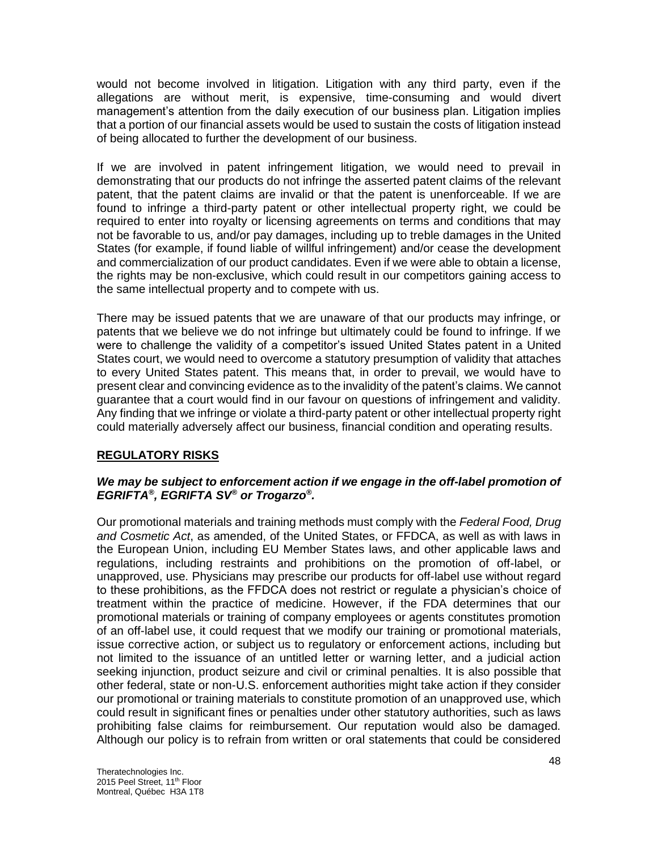would not become involved in litigation. Litigation with any third party, even if the allegations are without merit, is expensive, time-consuming and would divert management's attention from the daily execution of our business plan. Litigation implies that a portion of our financial assets would be used to sustain the costs of litigation instead of being allocated to further the development of our business.

If we are involved in patent infringement litigation, we would need to prevail in demonstrating that our products do not infringe the asserted patent claims of the relevant patent, that the patent claims are invalid or that the patent is unenforceable. If we are found to infringe a third-party patent or other intellectual property right, we could be required to enter into royalty or licensing agreements on terms and conditions that may not be favorable to us, and/or pay damages, including up to treble damages in the United States (for example, if found liable of willful infringement) and/or cease the development and commercialization of our product candidates. Even if we were able to obtain a license, the rights may be non-exclusive, which could result in our competitors gaining access to the same intellectual property and to compete with us.

There may be issued patents that we are unaware of that our products may infringe, or patents that we believe we do not infringe but ultimately could be found to infringe. If we were to challenge the validity of a competitor's issued United States patent in a United States court, we would need to overcome a statutory presumption of validity that attaches to every United States patent. This means that, in order to prevail, we would have to present clear and convincing evidence as to the invalidity of the patent's claims. We cannot guarantee that a court would find in our favour on questions of infringement and validity. Any finding that we infringe or violate a third-party patent or other intellectual property right could materially adversely affect our business, financial condition and operating results.

# **REGULATORY RISKS**

# *We may be subject to enforcement action if we engage in the off-label promotion of EGRIFTA® , EGRIFTA SV® or Trogarzo® .*

Our promotional materials and training methods must comply with the *Federal Food, Drug and Cosmetic Act*, as amended, of the United States, or FFDCA, as well as with laws in the European Union, including EU Member States laws, and other applicable laws and regulations, including restraints and prohibitions on the promotion of off-label, or unapproved, use. Physicians may prescribe our products for off-label use without regard to these prohibitions, as the FFDCA does not restrict or regulate a physician's choice of treatment within the practice of medicine. However, if the FDA determines that our promotional materials or training of company employees or agents constitutes promotion of an off-label use, it could request that we modify our training or promotional materials, issue corrective action, or subject us to regulatory or enforcement actions, including but not limited to the issuance of an untitled letter or warning letter, and a judicial action seeking injunction, product seizure and civil or criminal penalties. It is also possible that other federal, state or non-U.S. enforcement authorities might take action if they consider our promotional or training materials to constitute promotion of an unapproved use, which could result in significant fines or penalties under other statutory authorities, such as laws prohibiting false claims for reimbursement. Our reputation would also be damaged. Although our policy is to refrain from written or oral statements that could be considered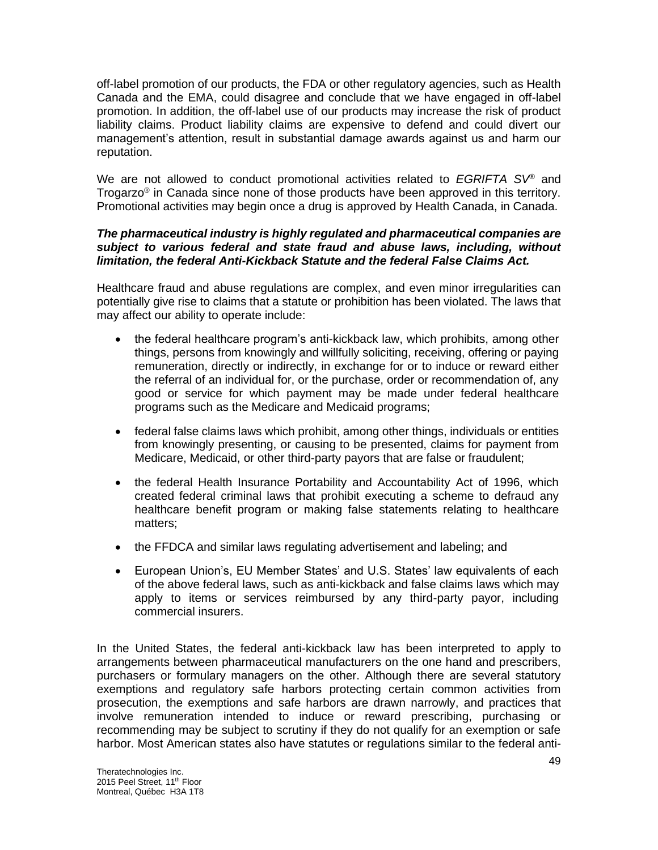off-label promotion of our products, the FDA or other regulatory agencies, such as Health Canada and the EMA, could disagree and conclude that we have engaged in off-label promotion. In addition, the off-label use of our products may increase the risk of product liability claims. Product liability claims are expensive to defend and could divert our management's attention, result in substantial damage awards against us and harm our reputation.

We are not allowed to conduct promotional activities related to *EGRIFTA SV*® and Trogarzo<sup>®</sup> in Canada since none of those products have been approved in this territory. Promotional activities may begin once a drug is approved by Health Canada, in Canada.

### *The pharmaceutical industry is highly regulated and pharmaceutical companies are subject to various federal and state fraud and abuse laws, including, without limitation, the federal Anti-Kickback Statute and the federal False Claims Act.*

Healthcare fraud and abuse regulations are complex, and even minor irregularities can potentially give rise to claims that a statute or prohibition has been violated. The laws that may affect our ability to operate include:

- the federal healthcare program's anti-kickback law, which prohibits, among other things, persons from knowingly and willfully soliciting, receiving, offering or paying remuneration, directly or indirectly, in exchange for or to induce or reward either the referral of an individual for, or the purchase, order or recommendation of, any good or service for which payment may be made under federal healthcare programs such as the Medicare and Medicaid programs;
- federal false claims laws which prohibit, among other things, individuals or entities from knowingly presenting, or causing to be presented, claims for payment from Medicare, Medicaid, or other third-party payors that are false or fraudulent;
- the federal Health Insurance Portability and Accountability Act of 1996, which created federal criminal laws that prohibit executing a scheme to defraud any healthcare benefit program or making false statements relating to healthcare matters;
- the FFDCA and similar laws regulating advertisement and labeling; and
- European Union's, EU Member States' and U.S. States' law equivalents of each of the above federal laws, such as anti-kickback and false claims laws which may apply to items or services reimbursed by any third-party payor, including commercial insurers.

In the United States, the federal anti-kickback law has been interpreted to apply to arrangements between pharmaceutical manufacturers on the one hand and prescribers, purchasers or formulary managers on the other. Although there are several statutory exemptions and regulatory safe harbors protecting certain common activities from prosecution, the exemptions and safe harbors are drawn narrowly, and practices that involve remuneration intended to induce or reward prescribing, purchasing or recommending may be subject to scrutiny if they do not qualify for an exemption or safe harbor. Most American states also have statutes or regulations similar to the federal anti-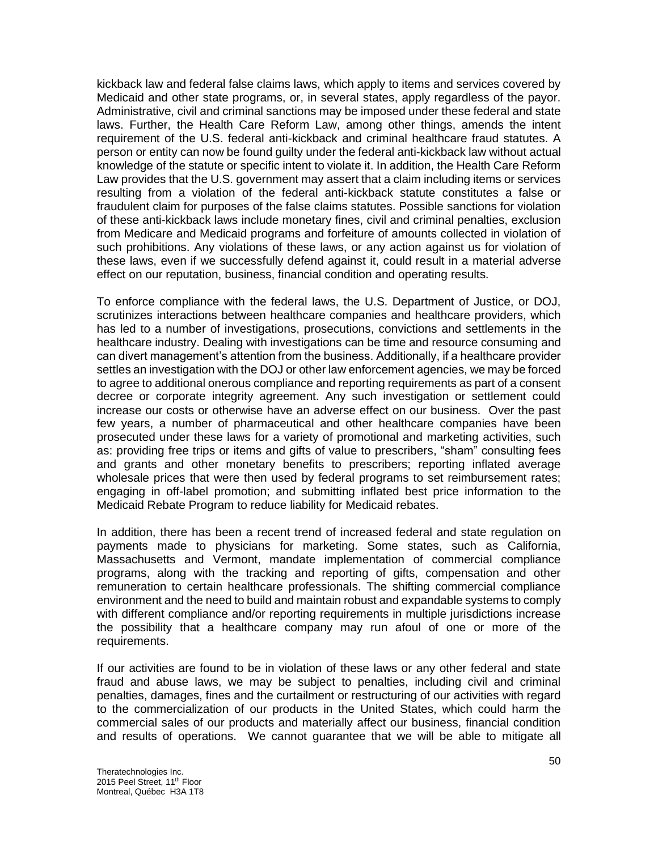kickback law and federal false claims laws, which apply to items and services covered by Medicaid and other state programs, or, in several states, apply regardless of the payor. Administrative, civil and criminal sanctions may be imposed under these federal and state laws. Further, the Health Care Reform Law, among other things, amends the intent requirement of the U.S. federal anti-kickback and criminal healthcare fraud statutes. A person or entity can now be found guilty under the federal anti-kickback law without actual knowledge of the statute or specific intent to violate it. In addition, the Health Care Reform Law provides that the U.S. government may assert that a claim including items or services resulting from a violation of the federal anti-kickback statute constitutes a false or fraudulent claim for purposes of the false claims statutes. Possible sanctions for violation of these anti-kickback laws include monetary fines, civil and criminal penalties, exclusion from Medicare and Medicaid programs and forfeiture of amounts collected in violation of such prohibitions. Any violations of these laws, or any action against us for violation of these laws, even if we successfully defend against it, could result in a material adverse effect on our reputation, business, financial condition and operating results.

To enforce compliance with the federal laws, the U.S. Department of Justice, or DOJ, scrutinizes interactions between healthcare companies and healthcare providers, which has led to a number of investigations, prosecutions, convictions and settlements in the healthcare industry. Dealing with investigations can be time and resource consuming and can divert management's attention from the business. Additionally, if a healthcare provider settles an investigation with the DOJ or other law enforcement agencies, we may be forced to agree to additional onerous compliance and reporting requirements as part of a consent decree or corporate integrity agreement. Any such investigation or settlement could increase our costs or otherwise have an adverse effect on our business. Over the past few years, a number of pharmaceutical and other healthcare companies have been prosecuted under these laws for a variety of promotional and marketing activities, such as: providing free trips or items and gifts of value to prescribers, "sham" consulting fees and grants and other monetary benefits to prescribers; reporting inflated average wholesale prices that were then used by federal programs to set reimbursement rates; engaging in off-label promotion; and submitting inflated best price information to the Medicaid Rebate Program to reduce liability for Medicaid rebates.

In addition, there has been a recent trend of increased federal and state regulation on payments made to physicians for marketing. Some states, such as California, Massachusetts and Vermont, mandate implementation of commercial compliance programs, along with the tracking and reporting of gifts, compensation and other remuneration to certain healthcare professionals. The shifting commercial compliance environment and the need to build and maintain robust and expandable systems to comply with different compliance and/or reporting requirements in multiple jurisdictions increase the possibility that a healthcare company may run afoul of one or more of the requirements.

If our activities are found to be in violation of these laws or any other federal and state fraud and abuse laws, we may be subject to penalties, including civil and criminal penalties, damages, fines and the curtailment or restructuring of our activities with regard to the commercialization of our products in the United States, which could harm the commercial sales of our products and materially affect our business, financial condition and results of operations. We cannot guarantee that we will be able to mitigate all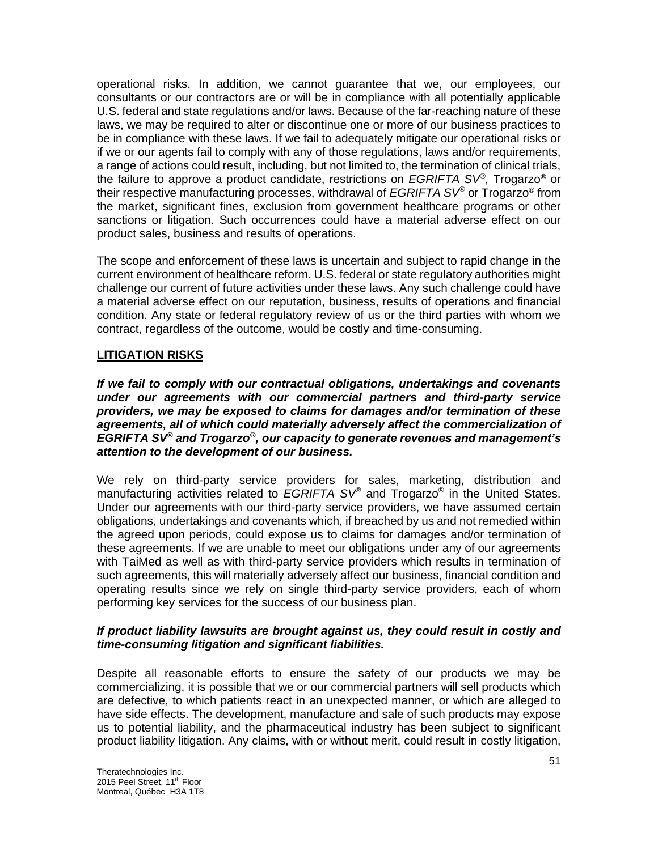operational risks. In addition, we cannot guarantee that we, our employees, our consultants or our contractors are or will be in compliance with all potentially applicable U.S. federal and state regulations and/or laws. Because of the far-reaching nature of these laws, we may be required to alter or discontinue one or more of our business practices to be in compliance with these laws. If we fail to adequately mitigate our operational risks or if we or our agents fail to comply with any of those regulations, laws and/or requirements, a range of actions could result, including, but not limited to, the termination of clinical trials, the failure to approve a product candidate, restrictions on *EGRIFTA SV® ,* Trogarzo® or their respective manufacturing processes, withdrawal of *EGRIFTA SV®* or Trogarzo® from the market, significant fines, exclusion from government healthcare programs or other sanctions or litigation. Such occurrences could have a material adverse effect on our product sales, business and results of operations.

The scope and enforcement of these laws is uncertain and subject to rapid change in the current environment of healthcare reform. U.S. federal or state regulatory authorities might challenge our current of future activities under these laws. Any such challenge could have a material adverse effect on our reputation, business, results of operations and financial condition. Any state or federal regulatory review of us or the third parties with whom we contract, regardless of the outcome, would be costly and time-consuming.

# **LITIGATION RISKS**

*If we fail to comply with our contractual obligations, undertakings and covenants under our agreements with our commercial partners and third-party service providers, we may be exposed to claims for damages and/or termination of these*  agreements, all of which could materially adversely affect the commercialization of EGRIFTA SV<sup>®</sup> and Trogarzo<sup>®</sup>, our capacity to generate revenues and management's *attention to the development of our business.* 

We rely on third-party service providers for sales, marketing, distribution and manufacturing activities related to *EGRIFTA SV®* and Trogarzo*®* in the United States. Under our agreements with our third-party service providers, we have assumed certain obligations, undertakings and covenants which, if breached by us and not remedied within the agreed upon periods, could expose us to claims for damages and/or termination of these agreements. If we are unable to meet our obligations under any of our agreements with TaiMed as well as with third-party service providers which results in termination of such agreements, this will materially adversely affect our business, financial condition and operating results since we rely on single third-party service providers, each of whom performing key services for the success of our business plan.

# *If product liability lawsuits are brought against us, they could result in costly and time-consuming litigation and significant liabilities.*

Despite all reasonable efforts to ensure the safety of our products we may be commercializing, it is possible that we or our commercial partners will sell products which are defective, to which patients react in an unexpected manner, or which are alleged to have side effects. The development, manufacture and sale of such products may expose us to potential liability, and the pharmaceutical industry has been subject to significant product liability litigation. Any claims, with or without merit, could result in costly litigation,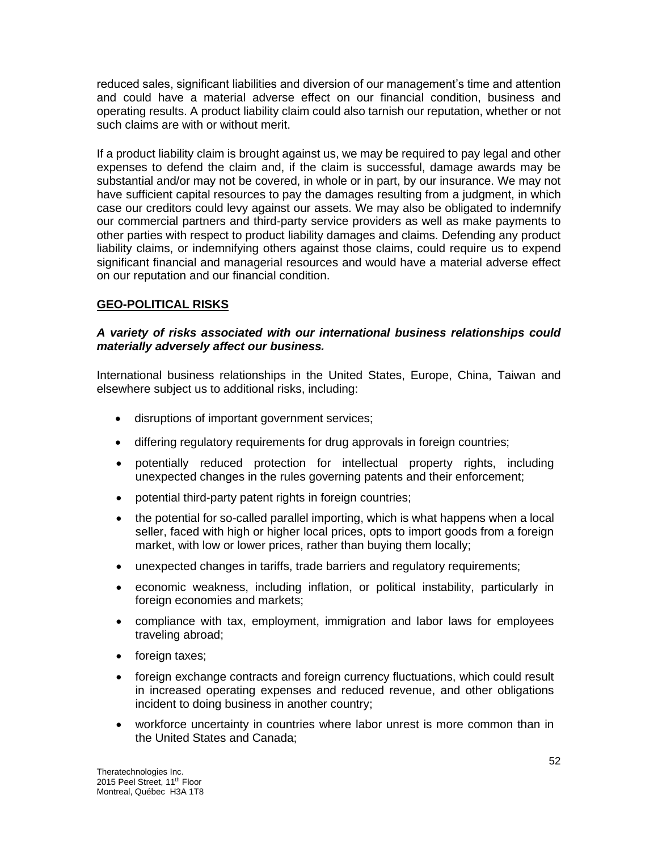reduced sales, significant liabilities and diversion of our management's time and attention and could have a material adverse effect on our financial condition, business and operating results. A product liability claim could also tarnish our reputation, whether or not such claims are with or without merit.

If a product liability claim is brought against us, we may be required to pay legal and other expenses to defend the claim and, if the claim is successful, damage awards may be substantial and/or may not be covered, in whole or in part, by our insurance. We may not have sufficient capital resources to pay the damages resulting from a judgment, in which case our creditors could levy against our assets. We may also be obligated to indemnify our commercial partners and third-party service providers as well as make payments to other parties with respect to product liability damages and claims. Defending any product liability claims, or indemnifying others against those claims, could require us to expend significant financial and managerial resources and would have a material adverse effect on our reputation and our financial condition.

# **GEO-POLITICAL RISKS**

## *A variety of risks associated with our international business relationships could materially adversely affect our business.*

International business relationships in the United States, Europe, China, Taiwan and elsewhere subject us to additional risks, including:

- disruptions of important government services;
- differing regulatory requirements for drug approvals in foreign countries;
- potentially reduced protection for intellectual property rights, including unexpected changes in the rules governing patents and their enforcement;
- potential third-party patent rights in foreign countries;
- the potential for so-called parallel importing, which is what happens when a local seller, faced with high or higher local prices, opts to import goods from a foreign market, with low or lower prices, rather than buying them locally;
- unexpected changes in tariffs, trade barriers and regulatory requirements;
- economic weakness, including inflation, or political instability, particularly in foreign economies and markets;
- compliance with tax, employment, immigration and labor laws for employees traveling abroad;
- foreign taxes;
- foreign exchange contracts and foreign currency fluctuations, which could result in increased operating expenses and reduced revenue, and other obligations incident to doing business in another country;
- workforce uncertainty in countries where labor unrest is more common than in the United States and Canada;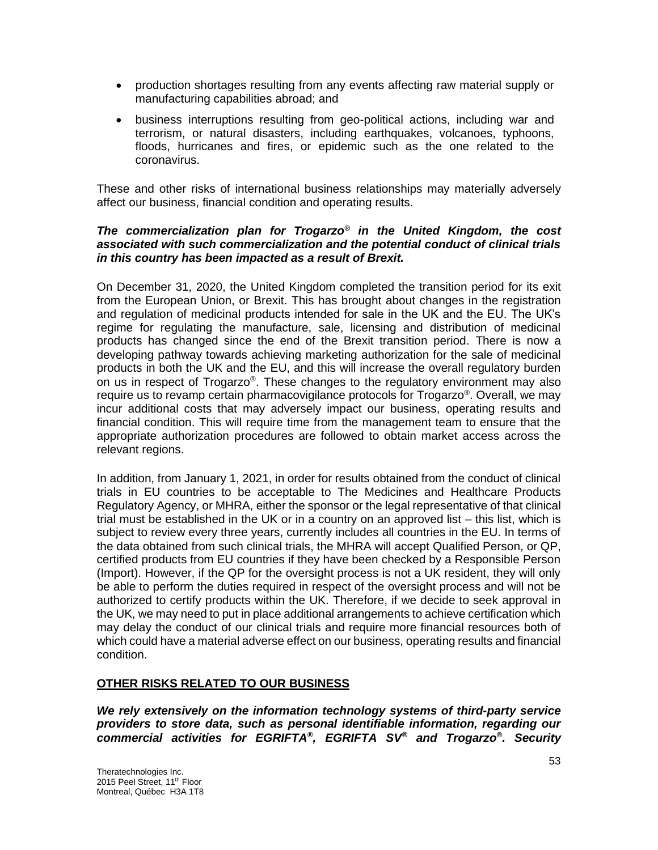- production shortages resulting from any events affecting raw material supply or manufacturing capabilities abroad; and
- business interruptions resulting from geo-political actions, including war and terrorism, or natural disasters, including earthquakes, volcanoes, typhoons, floods, hurricanes and fires, or epidemic such as the one related to the coronavirus.

These and other risks of international business relationships may materially adversely affect our business, financial condition and operating results.

## *The commercialization plan for Trogarzo® in the United Kingdom, the cost associated with such commercialization and the potential conduct of clinical trials in this country has been impacted as a result of Brexit.*

On December 31, 2020, the United Kingdom completed the transition period for its exit from the European Union, or Brexit. This has brought about changes in the registration and regulation of medicinal products intended for sale in the UK and the EU. The UK's regime for regulating the manufacture, sale, licensing and distribution of medicinal products has changed since the end of the Brexit transition period. There is now a developing pathway towards achieving marketing authorization for the sale of medicinal products in both the UK and the EU, and this will increase the overall regulatory burden on us in respect of Trogarzo®. These changes to the regulatory environment may also require us to revamp certain pharmacovigilance protocols for Trogarzo®. Overall, we may incur additional costs that may adversely impact our business, operating results and financial condition. This will require time from the management team to ensure that the appropriate authorization procedures are followed to obtain market access across the relevant regions.

In addition, from January 1, 2021, in order for results obtained from the conduct of clinical trials in EU countries to be acceptable to The Medicines and Healthcare Products Regulatory Agency, or MHRA, either the sponsor or the legal representative of that clinical trial must be established in the UK or in a country on an approved list – this list, which is subject to review every three years, currently includes all countries in the EU. In terms of the data obtained from such clinical trials, the MHRA will accept Qualified Person, or QP, certified products from EU countries if they have been checked by a Responsible Person (Import). However, if the QP for the oversight process is not a UK resident, they will only be able to perform the duties required in respect of the oversight process and will not be authorized to certify products within the UK. Therefore, if we decide to seek approval in the UK, we may need to put in place additional arrangements to achieve certification which may delay the conduct of our clinical trials and require more financial resources both of which could have a material adverse effect on our business, operating results and financial condition.

# **OTHER RISKS RELATED TO OUR BUSINESS**

*We rely extensively on the information technology systems of third-party service providers to store data, such as personal identifiable information, regarding our commercial activities for EGRIFTA® , EGRIFTA SV® and Trogarzo® . Security*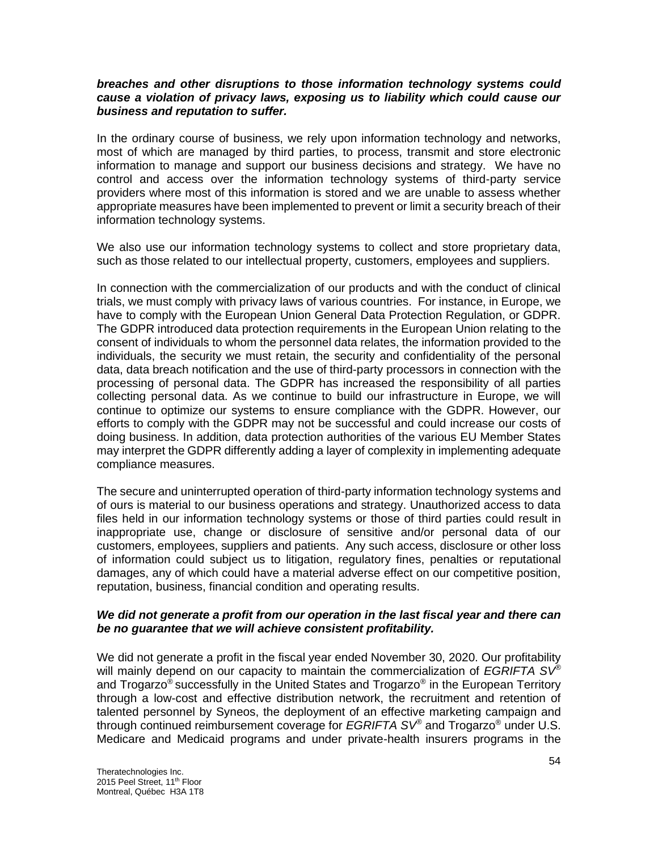## *breaches and other disruptions to those information technology systems could cause a violation of privacy laws, exposing us to liability which could cause our business and reputation to suffer.*

In the ordinary course of business, we rely upon information technology and networks, most of which are managed by third parties, to process, transmit and store electronic information to manage and support our business decisions and strategy. We have no control and access over the information technology systems of third-party service providers where most of this information is stored and we are unable to assess whether appropriate measures have been implemented to prevent or limit a security breach of their information technology systems.

We also use our information technology systems to collect and store proprietary data, such as those related to our intellectual property, customers, employees and suppliers.

In connection with the commercialization of our products and with the conduct of clinical trials, we must comply with privacy laws of various countries. For instance, in Europe, we have to comply with the European Union General Data Protection Regulation, or GDPR. The GDPR introduced data protection requirements in the European Union relating to the consent of individuals to whom the personnel data relates, the information provided to the individuals, the security we must retain, the security and confidentiality of the personal data, data breach notification and the use of third-party processors in connection with the processing of personal data. The GDPR has increased the responsibility of all parties collecting personal data. As we continue to build our infrastructure in Europe, we will continue to optimize our systems to ensure compliance with the GDPR. However, our efforts to comply with the GDPR may not be successful and could increase our costs of doing business. In addition, data protection authorities of the various EU Member States may interpret the GDPR differently adding a layer of complexity in implementing adequate compliance measures.

The secure and uninterrupted operation of third-party information technology systems and of ours is material to our business operations and strategy. Unauthorized access to data files held in our information technology systems or those of third parties could result in inappropriate use, change or disclosure of sensitive and/or personal data of our customers, employees, suppliers and patients. Any such access, disclosure or other loss of information could subject us to litigation, regulatory fines, penalties or reputational damages, any of which could have a material adverse effect on our competitive position, reputation, business, financial condition and operating results.

## *We did not generate a profit from our operation in the last fiscal year and there can be no guarantee that we will achieve consistent profitability.*

We did not generate a profit in the fiscal year ended November 30, 2020. Our profitability will mainly depend on our capacity to maintain the commercialization of *EGRIFTA SV®* and Trogarzo® successfully in the United States and Trogarzo® in the European Territory through a low-cost and effective distribution network, the recruitment and retention of talented personnel by Syneos, the deployment of an effective marketing campaign and through continued reimbursement coverage for *EGRIFTA SV®* and Trogarzo® under U.S. Medicare and Medicaid programs and under private-health insurers programs in the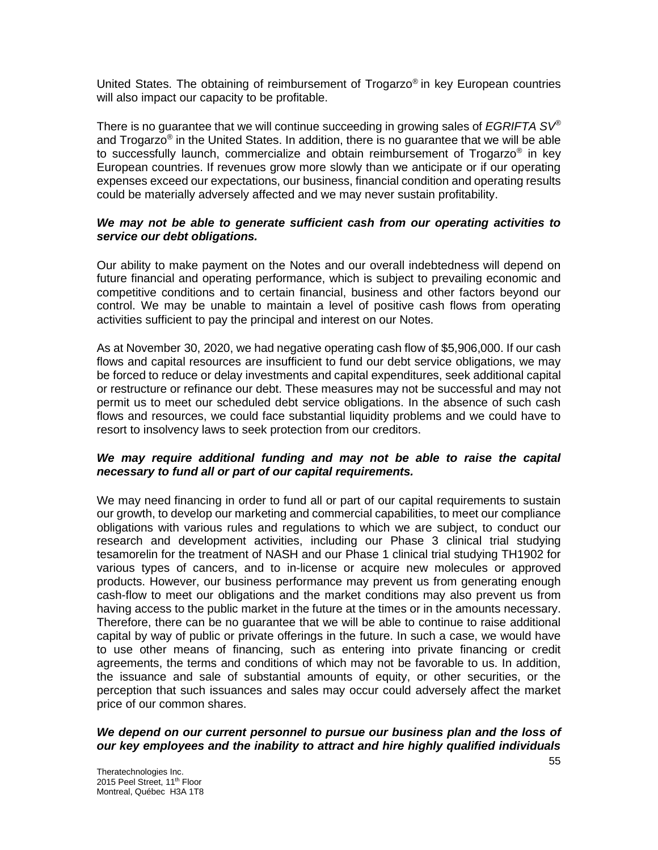United States. The obtaining of reimbursement of Trogarzo® in key European countries will also impact our capacity to be profitable.

There is no guarantee that we will continue succeeding in growing sales of *EGRIFTA SV®* and Trogarzo® in the United States. In addition, there is no guarantee that we will be able to successfully launch, commercialize and obtain reimbursement of Trogarzo<sup>®</sup> in key European countries. If revenues grow more slowly than we anticipate or if our operating expenses exceed our expectations, our business, financial condition and operating results could be materially adversely affected and we may never sustain profitability.

## *We may not be able to generate sufficient cash from our operating activities to service our debt obligations.*

Our ability to make payment on the Notes and our overall indebtedness will depend on future financial and operating performance, which is subject to prevailing economic and competitive conditions and to certain financial, business and other factors beyond our control. We may be unable to maintain a level of positive cash flows from operating activities sufficient to pay the principal and interest on our Notes.

As at November 30, 2020, we had negative operating cash flow of \$5,906,000. If our cash flows and capital resources are insufficient to fund our debt service obligations, we may be forced to reduce or delay investments and capital expenditures, seek additional capital or restructure or refinance our debt. These measures may not be successful and may not permit us to meet our scheduled debt service obligations. In the absence of such cash flows and resources, we could face substantial liquidity problems and we could have to resort to insolvency laws to seek protection from our creditors.

## *We may require additional funding and may not be able to raise the capital necessary to fund all or part of our capital requirements.*

We may need financing in order to fund all or part of our capital requirements to sustain our growth, to develop our marketing and commercial capabilities, to meet our compliance obligations with various rules and regulations to which we are subject, to conduct our research and development activities, including our Phase 3 clinical trial studying tesamorelin for the treatment of NASH and our Phase 1 clinical trial studying TH1902 for various types of cancers, and to in-license or acquire new molecules or approved products. However, our business performance may prevent us from generating enough cash-flow to meet our obligations and the market conditions may also prevent us from having access to the public market in the future at the times or in the amounts necessary. Therefore, there can be no guarantee that we will be able to continue to raise additional capital by way of public or private offerings in the future. In such a case, we would have to use other means of financing, such as entering into private financing or credit agreements, the terms and conditions of which may not be favorable to us. In addition, the issuance and sale of substantial amounts of equity, or other securities, or the perception that such issuances and sales may occur could adversely affect the market price of our common shares.

# *We depend on our current personnel to pursue our business plan and the loss of our key employees and the inability to attract and hire highly qualified individuals*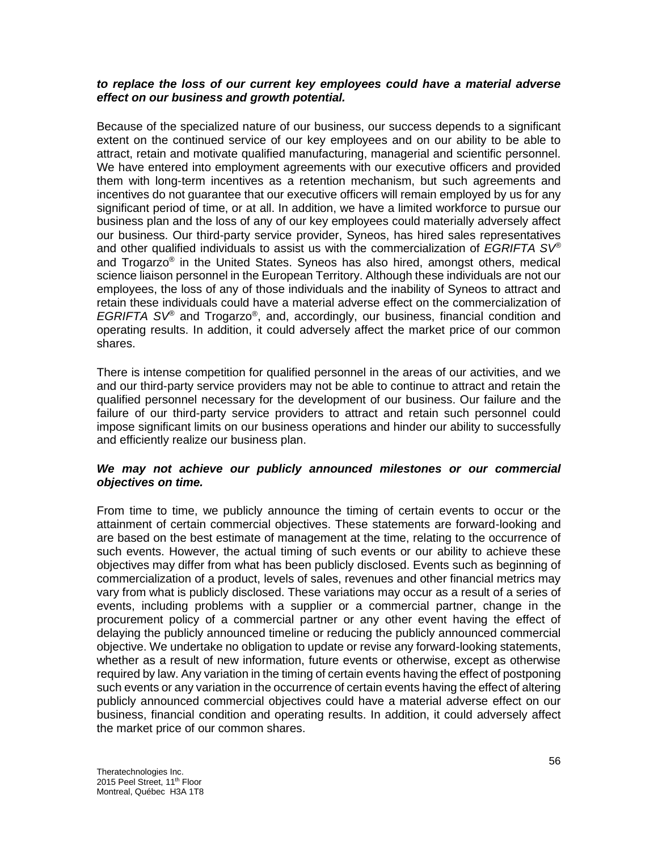## *to replace the loss of our current key employees could have a material adverse effect on our business and growth potential.*

Because of the specialized nature of our business, our success depends to a significant extent on the continued service of our key employees and on our ability to be able to attract, retain and motivate qualified manufacturing, managerial and scientific personnel. We have entered into employment agreements with our executive officers and provided them with long-term incentives as a retention mechanism, but such agreements and incentives do not guarantee that our executive officers will remain employed by us for any significant period of time, or at all. In addition, we have a limited workforce to pursue our business plan and the loss of any of our key employees could materially adversely affect our business. Our third-party service provider, Syneos, has hired sales representatives and other qualified individuals to assist us with the commercialization of *EGRIFTA SV®* and Trogarzo® in the United States. Syneos has also hired, amongst others, medical science liaison personnel in the European Territory. Although these individuals are not our employees, the loss of any of those individuals and the inability of Syneos to attract and retain these individuals could have a material adverse effect on the commercialization of *EGRIFTA SV®* and Trogarzo® , and, accordingly, our business, financial condition and operating results. In addition, it could adversely affect the market price of our common shares.

There is intense competition for qualified personnel in the areas of our activities, and we and our third-party service providers may not be able to continue to attract and retain the qualified personnel necessary for the development of our business. Our failure and the failure of our third-party service providers to attract and retain such personnel could impose significant limits on our business operations and hinder our ability to successfully and efficiently realize our business plan.

## *We may not achieve our publicly announced milestones or our commercial objectives on time.*

From time to time, we publicly announce the timing of certain events to occur or the attainment of certain commercial objectives. These statements are forward-looking and are based on the best estimate of management at the time, relating to the occurrence of such events. However, the actual timing of such events or our ability to achieve these objectives may differ from what has been publicly disclosed. Events such as beginning of commercialization of a product, levels of sales, revenues and other financial metrics may vary from what is publicly disclosed. These variations may occur as a result of a series of events, including problems with a supplier or a commercial partner, change in the procurement policy of a commercial partner or any other event having the effect of delaying the publicly announced timeline or reducing the publicly announced commercial objective. We undertake no obligation to update or revise any forward-looking statements, whether as a result of new information, future events or otherwise, except as otherwise required by law. Any variation in the timing of certain events having the effect of postponing such events or any variation in the occurrence of certain events having the effect of altering publicly announced commercial objectives could have a material adverse effect on our business, financial condition and operating results. In addition, it could adversely affect the market price of our common shares.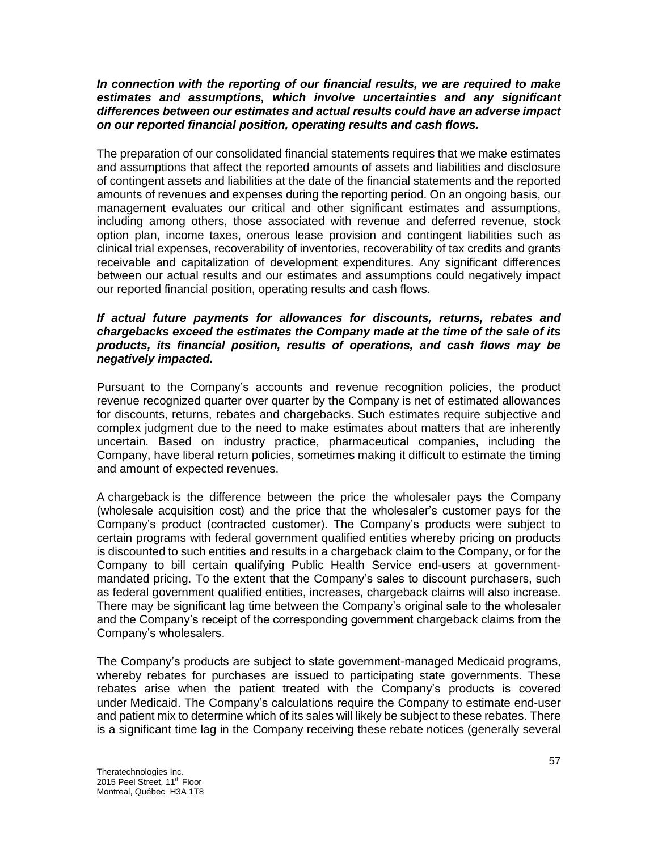## *In connection with the reporting of our financial results, we are required to make estimates and assumptions, which involve uncertainties and any significant differences between our estimates and actual results could have an adverse impact on our reported financial position, operating results and cash flows.*

The preparation of our consolidated financial statements requires that we make estimates and assumptions that affect the reported amounts of assets and liabilities and disclosure of contingent assets and liabilities at the date of the financial statements and the reported amounts of revenues and expenses during the reporting period. On an ongoing basis, our management evaluates our critical and other significant estimates and assumptions, including among others, those associated with revenue and deferred revenue, stock option plan, income taxes, onerous lease provision and contingent liabilities such as clinical trial expenses, recoverability of inventories, recoverability of tax credits and grants receivable and capitalization of development expenditures. Any significant differences between our actual results and our estimates and assumptions could negatively impact our reported financial position, operating results and cash flows.

## *If actual future payments for allowances for discounts, returns, rebates and chargebacks exceed the estimates the Company made at the time of the sale of its products, its financial position, results of operations, and cash flows may be negatively impacted.*

Pursuant to the Company's accounts and revenue recognition policies, the product revenue recognized quarter over quarter by the Company is net of estimated allowances for discounts, returns, rebates and chargebacks. Such estimates require subjective and complex judgment due to the need to make estimates about matters that are inherently uncertain. Based on industry practice, pharmaceutical companies, including the Company, have liberal return policies, sometimes making it difficult to estimate the timing and amount of expected revenues.

A chargeback is the difference between the price the wholesaler pays the Company (wholesale acquisition cost) and the price that the wholesaler's customer pays for the Company's product (contracted customer). The Company's products were subject to certain programs with federal government qualified entities whereby pricing on products is discounted to such entities and results in a chargeback claim to the Company, or for the Company to bill certain qualifying Public Health Service end-users at governmentmandated pricing. To the extent that the Company's sales to discount purchasers, such as federal government qualified entities, increases, chargeback claims will also increase. There may be significant lag time between the Company's original sale to the wholesaler and the Company's receipt of the corresponding government chargeback claims from the Company's wholesalers.

The Company's products are subject to state government-managed Medicaid programs, whereby rebates for purchases are issued to participating state governments. These rebates arise when the patient treated with the Company's products is covered under Medicaid. The Company's calculations require the Company to estimate end-user and patient mix to determine which of its sales will likely be subject to these rebates. There is a significant time lag in the Company receiving these rebate notices (generally several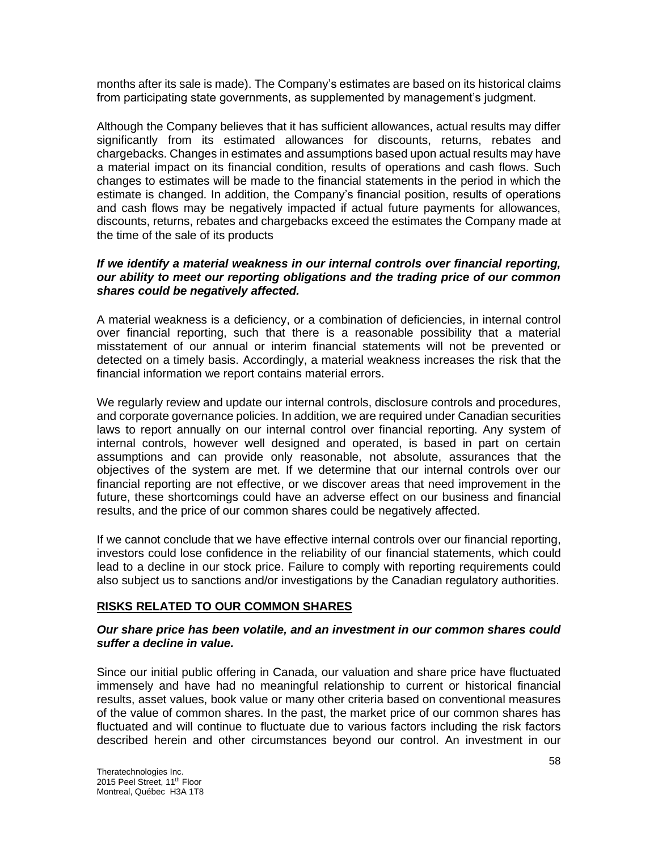months after its sale is made). The Company's estimates are based on its historical claims from participating state governments, as supplemented by management's judgment.

Although the Company believes that it has sufficient allowances, actual results may differ significantly from its estimated allowances for discounts, returns, rebates and chargebacks. Changes in estimates and assumptions based upon actual results may have a material impact on its financial condition, results of operations and cash flows. Such changes to estimates will be made to the financial statements in the period in which the estimate is changed. In addition, the Company's financial position, results of operations and cash flows may be negatively impacted if actual future payments for allowances, discounts, returns, rebates and chargebacks exceed the estimates the Company made at the time of the sale of its products

### *If we identify a material weakness in our internal controls over financial reporting, our ability to meet our reporting obligations and the trading price of our common shares could be negatively affected.*

A material weakness is a deficiency, or a combination of deficiencies, in internal control over financial reporting, such that there is a reasonable possibility that a material misstatement of our annual or interim financial statements will not be prevented or detected on a timely basis. Accordingly, a material weakness increases the risk that the financial information we report contains material errors.

We regularly review and update our internal controls, disclosure controls and procedures, and corporate governance policies. In addition, we are required under Canadian securities laws to report annually on our internal control over financial reporting. Any system of internal controls, however well designed and operated, is based in part on certain assumptions and can provide only reasonable, not absolute, assurances that the objectives of the system are met. If we determine that our internal controls over our financial reporting are not effective, or we discover areas that need improvement in the future, these shortcomings could have an adverse effect on our business and financial results, and the price of our common shares could be negatively affected.

If we cannot conclude that we have effective internal controls over our financial reporting, investors could lose confidence in the reliability of our financial statements, which could lead to a decline in our stock price. Failure to comply with reporting requirements could also subject us to sanctions and/or investigations by the Canadian regulatory authorities.

# **RISKS RELATED TO OUR COMMON SHARES**

## *Our share price has been volatile, and an investment in our common shares could suffer a decline in value.*

Since our initial public offering in Canada, our valuation and share price have fluctuated immensely and have had no meaningful relationship to current or historical financial results, asset values, book value or many other criteria based on conventional measures of the value of common shares. In the past, the market price of our common shares has fluctuated and will continue to fluctuate due to various factors including the risk factors described herein and other circumstances beyond our control. An investment in our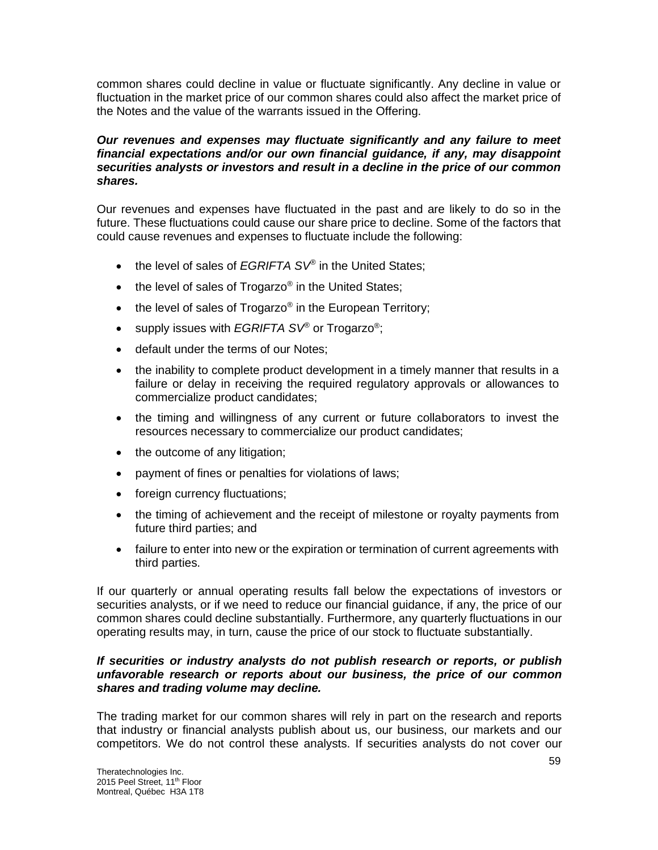common shares could decline in value or fluctuate significantly. Any decline in value or fluctuation in the market price of our common shares could also affect the market price of the Notes and the value of the warrants issued in the Offering.

## *Our revenues and expenses may fluctuate significantly and any failure to meet financial expectations and/or our own financial guidance, if any, may disappoint securities analysts or investors and result in a decline in the price of our common shares.*

Our revenues and expenses have fluctuated in the past and are likely to do so in the future. These fluctuations could cause our share price to decline. Some of the factors that could cause revenues and expenses to fluctuate include the following:

- the level of sales of *EGRIFTA SV®* in the United States;
- the level of sales of Trogarzo® in the United States;
- $\bullet$  the level of sales of Trogarzo® in the European Territory;
- supply issues with *EGRIFTA SV®* or Trogarzo® ;
- default under the terms of our Notes;
- the inability to complete product development in a timely manner that results in a failure or delay in receiving the required regulatory approvals or allowances to commercialize product candidates;
- the timing and willingness of any current or future collaborators to invest the resources necessary to commercialize our product candidates;
- the outcome of any litigation;
- payment of fines or penalties for violations of laws;
- foreign currency fluctuations;
- the timing of achievement and the receipt of milestone or royalty payments from future third parties; and
- failure to enter into new or the expiration or termination of current agreements with third parties.

If our quarterly or annual operating results fall below the expectations of investors or securities analysts, or if we need to reduce our financial guidance, if any, the price of our common shares could decline substantially. Furthermore, any quarterly fluctuations in our operating results may, in turn, cause the price of our stock to fluctuate substantially.

## *If securities or industry analysts do not publish research or reports, or publish unfavorable research or reports about our business, the price of our common shares and trading volume may decline.*

The trading market for our common shares will rely in part on the research and reports that industry or financial analysts publish about us, our business, our markets and our competitors. We do not control these analysts. If securities analysts do not cover our